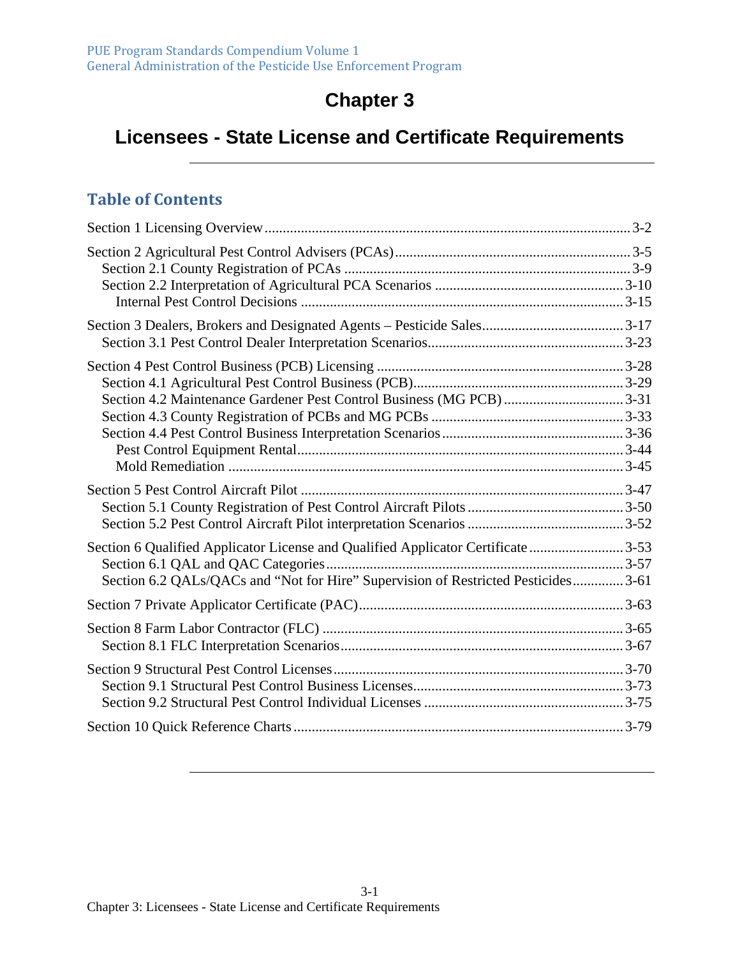# **Chapter 3**

## **Licensees - State License and Certificate Requirements**

#### **Table of Contents**

| Section 4.2 Maintenance Gardener Pest Control Business (MG PCB) 3-31                                                                                                   |  |
|------------------------------------------------------------------------------------------------------------------------------------------------------------------------|--|
|                                                                                                                                                                        |  |
| Section 6 Qualified Applicator License and Qualified Applicator Certificate 3-53<br>Section 6.2 QALs/QACs and "Not for Hire" Supervision of Restricted Pesticides 3-61 |  |
|                                                                                                                                                                        |  |
|                                                                                                                                                                        |  |
|                                                                                                                                                                        |  |
|                                                                                                                                                                        |  |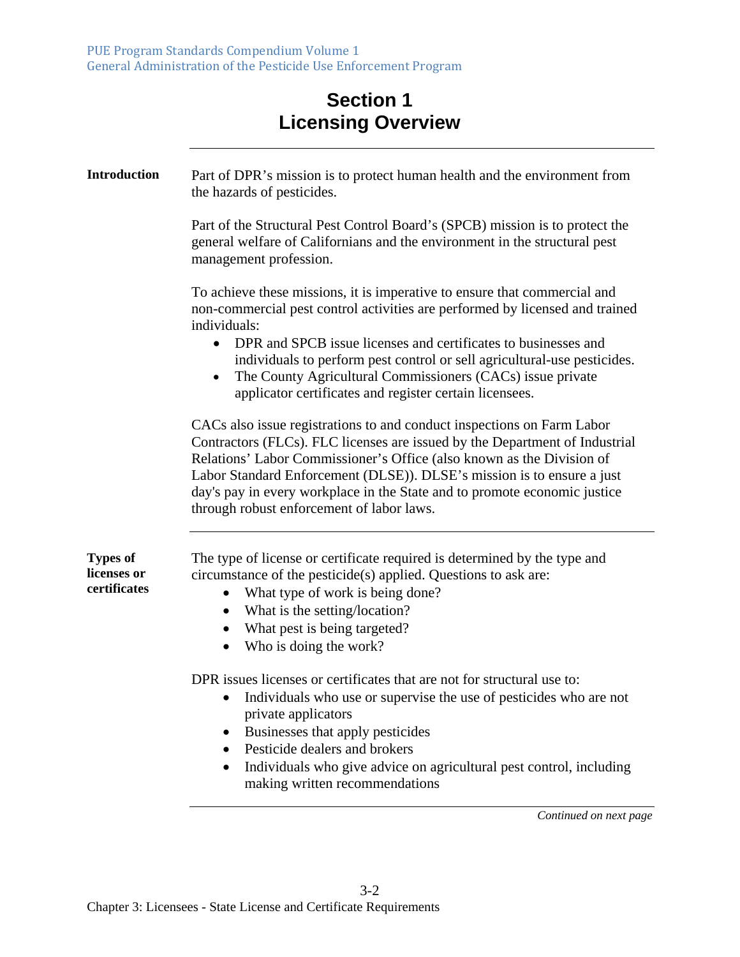#### **Section 1 Licensing Overview**

| <b>Introduction</b>                            | Part of DPR's mission is to protect human health and the environment from<br>the hazards of pesticides.                                                                                                                                                                                                                                                                                                                                                                    |
|------------------------------------------------|----------------------------------------------------------------------------------------------------------------------------------------------------------------------------------------------------------------------------------------------------------------------------------------------------------------------------------------------------------------------------------------------------------------------------------------------------------------------------|
|                                                | Part of the Structural Pest Control Board's (SPCB) mission is to protect the<br>general welfare of Californians and the environment in the structural pest<br>management profession.                                                                                                                                                                                                                                                                                       |
|                                                | To achieve these missions, it is imperative to ensure that commercial and<br>non-commercial pest control activities are performed by licensed and trained<br>individuals:<br>DPR and SPCB issue licenses and certificates to businesses and<br>$\bullet$<br>individuals to perform pest control or sell agricultural-use pesticides.<br>The County Agricultural Commissioners (CACs) issue private<br>$\bullet$<br>applicator certificates and register certain licensees. |
|                                                | CACs also issue registrations to and conduct inspections on Farm Labor<br>Contractors (FLCs). FLC licenses are issued by the Department of Industrial<br>Relations' Labor Commissioner's Office (also known as the Division of<br>Labor Standard Enforcement (DLSE)). DLSE's mission is to ensure a just<br>day's pay in every workplace in the State and to promote economic justice<br>through robust enforcement of labor laws.                                         |
| <b>Types of</b><br>licenses or<br>certificates | The type of license or certificate required is determined by the type and<br>circumstance of the pesticide(s) applied. Questions to ask are:<br>What type of work is being done?<br>$\bullet$<br>What is the setting/location?<br>$\bullet$<br>What pest is being targeted?<br>Who is doing the work?<br>$\bullet$                                                                                                                                                         |
|                                                | DPR issues licenses or certificates that are not for structural use to:<br>Individuals who use or supervise the use of pesticides who are not<br>private applicators<br>Businesses that apply pesticides<br>Pesticide dealers and brokers<br>Individuals who give advice on agricultural pest control, including<br>$\bullet$<br>making written recommendations                                                                                                            |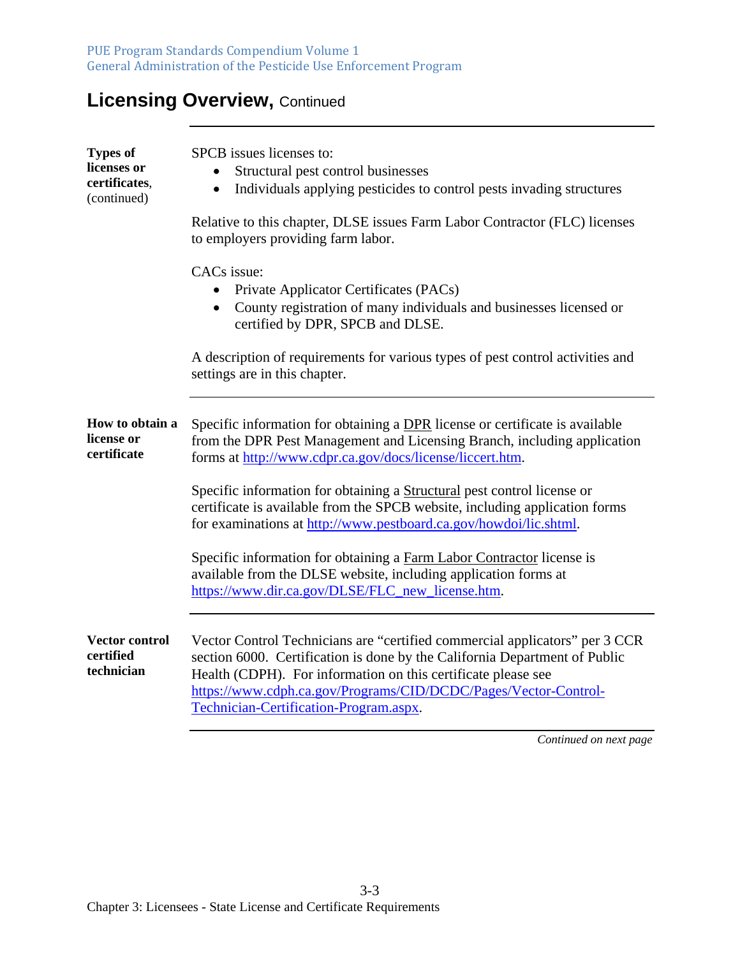## **Licensing Overview, Continued**

| <b>Types of</b><br>licenses or<br>certificates,<br>(continued) | SPCB issues licenses to:<br>Structural pest control businesses<br>Individuals applying pesticides to control pests invading structures<br>$\bullet$                                                                                                                                                                                     |
|----------------------------------------------------------------|-----------------------------------------------------------------------------------------------------------------------------------------------------------------------------------------------------------------------------------------------------------------------------------------------------------------------------------------|
|                                                                | Relative to this chapter, DLSE issues Farm Labor Contractor (FLC) licenses<br>to employers providing farm labor.                                                                                                                                                                                                                        |
|                                                                | CACs issue:<br>Private Applicator Certificates (PACs)<br>County registration of many individuals and businesses licensed or<br>certified by DPR, SPCB and DLSE.                                                                                                                                                                         |
|                                                                | A description of requirements for various types of pest control activities and<br>settings are in this chapter.                                                                                                                                                                                                                         |
| How to obtain a<br>license or<br>certificate                   | Specific information for obtaining a DPR license or certificate is available<br>from the DPR Pest Management and Licensing Branch, including application<br>forms at http://www.cdpr.ca.gov/docs/license/liccert.htm.                                                                                                                   |
|                                                                | Specific information for obtaining a Structural pest control license or<br>certificate is available from the SPCB website, including application forms<br>for examinations at http://www.pestboard.ca.gov/howdoi/lic.shtml.                                                                                                             |
|                                                                | Specific information for obtaining a Farm Labor Contractor license is<br>available from the DLSE website, including application forms at<br>https://www.dir.ca.gov/DLSE/FLC_new_license.htm.                                                                                                                                            |
| <b>Vector control</b><br>certified<br>technician               | Vector Control Technicians are "certified commercial applicators" per 3 CCR<br>section 6000. Certification is done by the California Department of Public<br>Health (CDPH). For information on this certificate please see<br>https://www.cdph.ca.gov/Programs/CID/DCDC/Pages/Vector-Control-<br>Technician-Certification-Program.aspx. |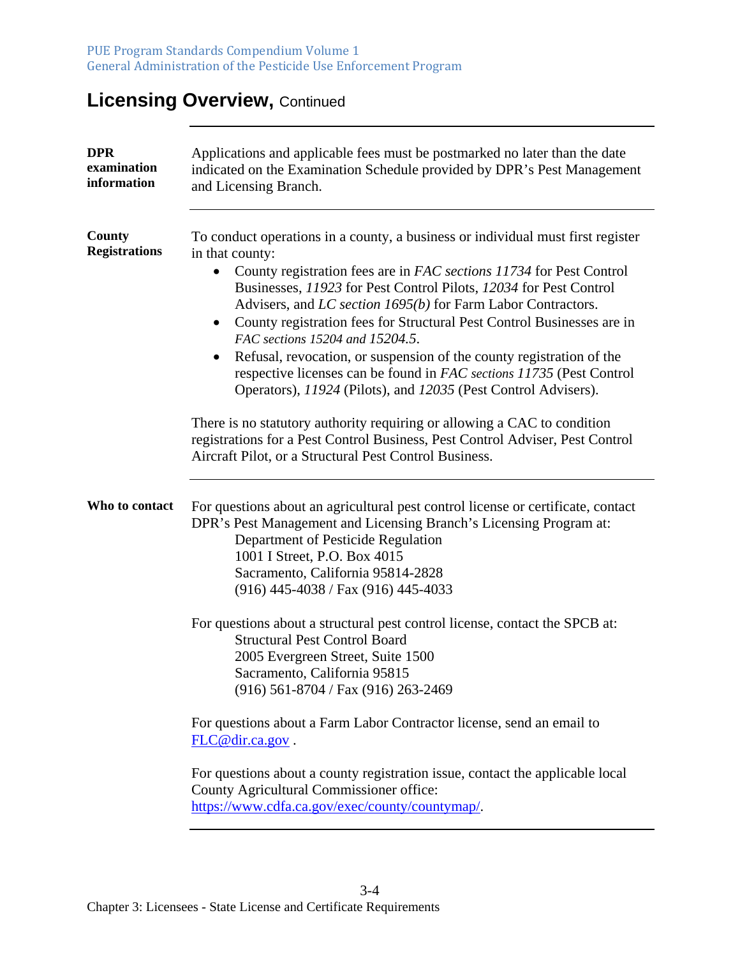## **Licensing Overview, Continued**

| <b>DPR</b><br>examination<br>information | Applications and applicable fees must be postmarked no later than the date<br>indicated on the Examination Schedule provided by DPR's Pest Management<br>and Licensing Branch.                                                                                                                                                                                                                                                                                                                                                                                                                                                                                          |
|------------------------------------------|-------------------------------------------------------------------------------------------------------------------------------------------------------------------------------------------------------------------------------------------------------------------------------------------------------------------------------------------------------------------------------------------------------------------------------------------------------------------------------------------------------------------------------------------------------------------------------------------------------------------------------------------------------------------------|
| County<br><b>Registrations</b>           | To conduct operations in a county, a business or individual must first register<br>in that county:<br>County registration fees are in FAC sections 11734 for Pest Control<br>$\bullet$<br>Businesses, 11923 for Pest Control Pilots, 12034 for Pest Control<br>Advisers, and LC section 1695(b) for Farm Labor Contractors.<br>County registration fees for Structural Pest Control Businesses are in<br>$\bullet$<br>FAC sections 15204 and 15204.5.<br>Refusal, revocation, or suspension of the county registration of the<br>respective licenses can be found in FAC sections 11735 (Pest Control<br>Operators), 11924 (Pilots), and 12035 (Pest Control Advisers). |
|                                          | There is no statutory authority requiring or allowing a CAC to condition<br>registrations for a Pest Control Business, Pest Control Adviser, Pest Control<br>Aircraft Pilot, or a Structural Pest Control Business.                                                                                                                                                                                                                                                                                                                                                                                                                                                     |
| Who to contact                           | For questions about an agricultural pest control license or certificate, contact<br>DPR's Pest Management and Licensing Branch's Licensing Program at:<br>Department of Pesticide Regulation<br>1001 I Street, P.O. Box 4015<br>Sacramento, California 95814-2828<br>(916) 445-4038 / Fax (916) 445-4033                                                                                                                                                                                                                                                                                                                                                                |
|                                          | For questions about a structural pest control license, contact the SPCB at:<br><b>Structural Pest Control Board</b><br>2005 Evergreen Street, Suite 1500<br>Sacramento, California 95815<br>$(916)$ 561-8704 / Fax $(916)$ 263-2469                                                                                                                                                                                                                                                                                                                                                                                                                                     |
|                                          | For questions about a Farm Labor Contractor license, send an email to<br>FLC@dir.ca.gov.                                                                                                                                                                                                                                                                                                                                                                                                                                                                                                                                                                                |
|                                          | For questions about a county registration issue, contact the applicable local<br>County Agricultural Commissioner office:<br>https://www.cdfa.ca.gov/exec/county/countymap/.                                                                                                                                                                                                                                                                                                                                                                                                                                                                                            |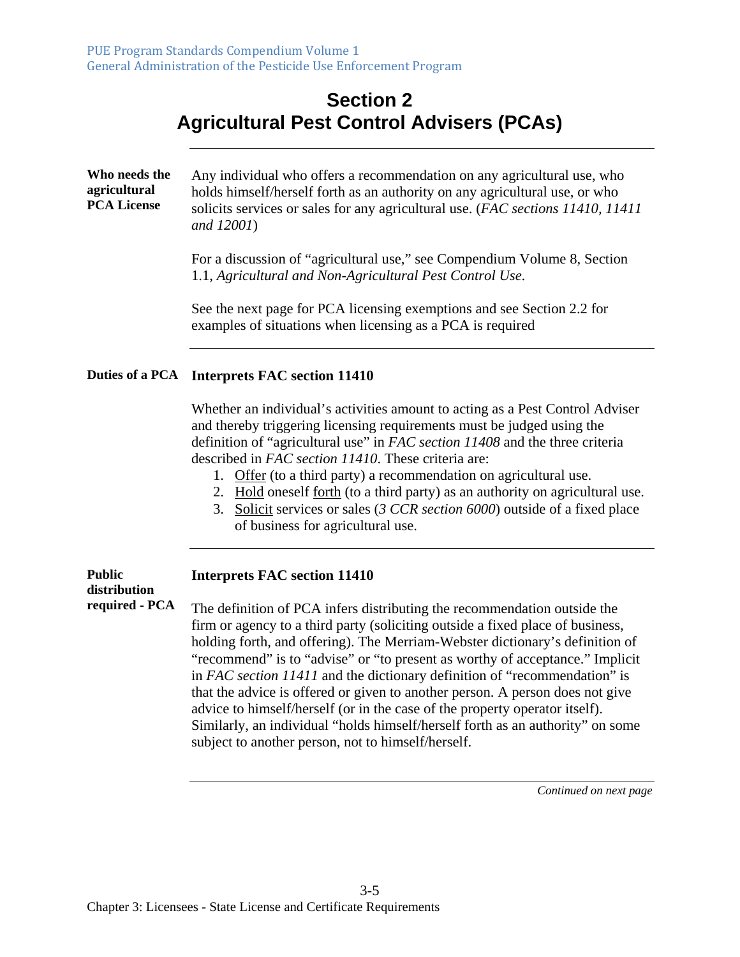#### **Section 2 Agricultural Pest Control Advisers (PCAs)**

| Who needs the<br>agricultural<br><b>PCA License</b> | Any individual who offers a recommendation on any agricultural use, who<br>holds himself/herself forth as an authority on any agricultural use, or who<br>solicits services or sales for any agricultural use. (FAC sections 11410, 11411)<br>and 12001)                                                                                                            |
|-----------------------------------------------------|---------------------------------------------------------------------------------------------------------------------------------------------------------------------------------------------------------------------------------------------------------------------------------------------------------------------------------------------------------------------|
|                                                     | For a discussion of "agricultural use," see Compendium Volume 8, Section<br>1.1, Agricultural and Non-Agricultural Pest Control Use.                                                                                                                                                                                                                                |
|                                                     | See the next page for PCA licensing exemptions and see Section 2.2 for<br>examples of situations when licensing as a PCA is required                                                                                                                                                                                                                                |
|                                                     | Duties of a PCA Interprets FAC section 11410                                                                                                                                                                                                                                                                                                                        |
|                                                     | Whether an individual's activities amount to acting as a Pest Control Adviser<br>and thereby triggering licensing requirements must be judged using the<br>definition of "agricultural use" in FAC section 11408 and the three criteria<br>described in FAC section 11410. These criteria are:<br>1. Offer (to a third party) a recommendation on agricultural use. |

- 
- 2. Hold oneself forth (to a third party) as an authority on agricultural use.
- 3. Solicit services or sales (*3 CCR section 6000*) outside of a fixed place of business for agricultural use.

#### **Public distribution required - PCA Interprets FAC section 11410**  The definition of PCA infers distributing the recommendation outside the firm or agency to a third party (soliciting outside a fixed place of business, holding forth, and offering). The Merriam-Webster dictionary's definition of "recommend" is to "advise" or "to present as worthy of acceptance." Implicit in *FAC section 11411* and the dictionary definition of "recommendation" is that the advice is offered or given to another person. A person does not give advice to himself/herself (or in the case of the property operator itself). Similarly, an individual "holds himself/herself forth as an authority" on some subject to another person, not to himself/herself.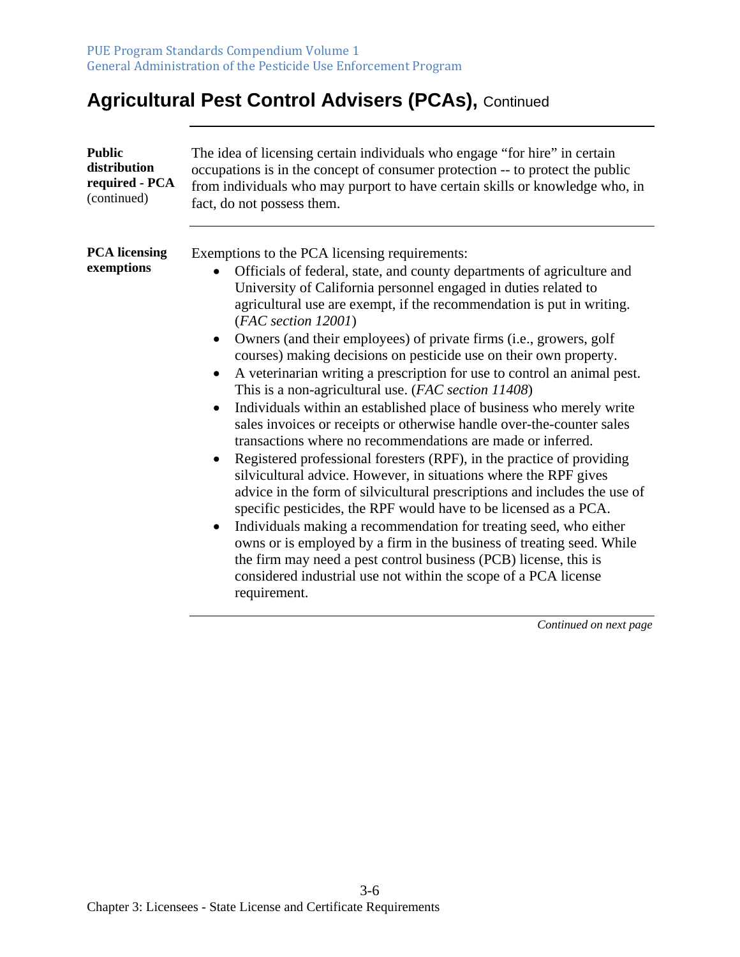## **Agricultural Pest Control Advisers (PCAs), Continued**

| Public                             | The idea of licensing certain individuals who engage "for hire" in certain                                                                                                                                                                                                                                                                                                                                                                                                                                                                                                                                                                                                                                                                                                                                                                                                                                                                                                                                                                                                                                                                                                                                                                                                                                                                                                                                            |
|------------------------------------|-----------------------------------------------------------------------------------------------------------------------------------------------------------------------------------------------------------------------------------------------------------------------------------------------------------------------------------------------------------------------------------------------------------------------------------------------------------------------------------------------------------------------------------------------------------------------------------------------------------------------------------------------------------------------------------------------------------------------------------------------------------------------------------------------------------------------------------------------------------------------------------------------------------------------------------------------------------------------------------------------------------------------------------------------------------------------------------------------------------------------------------------------------------------------------------------------------------------------------------------------------------------------------------------------------------------------------------------------------------------------------------------------------------------------|
| distribution                       | occupations is in the concept of consumer protection -- to protect the public                                                                                                                                                                                                                                                                                                                                                                                                                                                                                                                                                                                                                                                                                                                                                                                                                                                                                                                                                                                                                                                                                                                                                                                                                                                                                                                                         |
| required - PCA                     | from individuals who may purport to have certain skills or knowledge who, in                                                                                                                                                                                                                                                                                                                                                                                                                                                                                                                                                                                                                                                                                                                                                                                                                                                                                                                                                                                                                                                                                                                                                                                                                                                                                                                                          |
| (continued)                        | fact, do not possess them.                                                                                                                                                                                                                                                                                                                                                                                                                                                                                                                                                                                                                                                                                                                                                                                                                                                                                                                                                                                                                                                                                                                                                                                                                                                                                                                                                                                            |
| <b>PCA</b> licensing<br>exemptions | Exemptions to the PCA licensing requirements:<br>Officials of federal, state, and county departments of agriculture and<br>University of California personnel engaged in duties related to<br>agricultural use are exempt, if the recommendation is put in writing.<br>(FAC section 12001)<br>Owners (and their employees) of private firms (i.e., growers, golf<br>courses) making decisions on pesticide use on their own property.<br>A veterinarian writing a prescription for use to control an animal pest.<br>This is a non-agricultural use. (FAC section 11408)<br>Individuals within an established place of business who merely write<br>$\bullet$<br>sales invoices or receipts or otherwise handle over-the-counter sales<br>transactions where no recommendations are made or inferred.<br>Registered professional foresters (RPF), in the practice of providing<br>$\bullet$<br>silvicultural advice. However, in situations where the RPF gives<br>advice in the form of silvicultural prescriptions and includes the use of<br>specific pesticides, the RPF would have to be licensed as a PCA.<br>Individuals making a recommendation for treating seed, who either<br>owns or is employed by a firm in the business of treating seed. While<br>the firm may need a pest control business (PCB) license, this is<br>considered industrial use not within the scope of a PCA license<br>requirement. |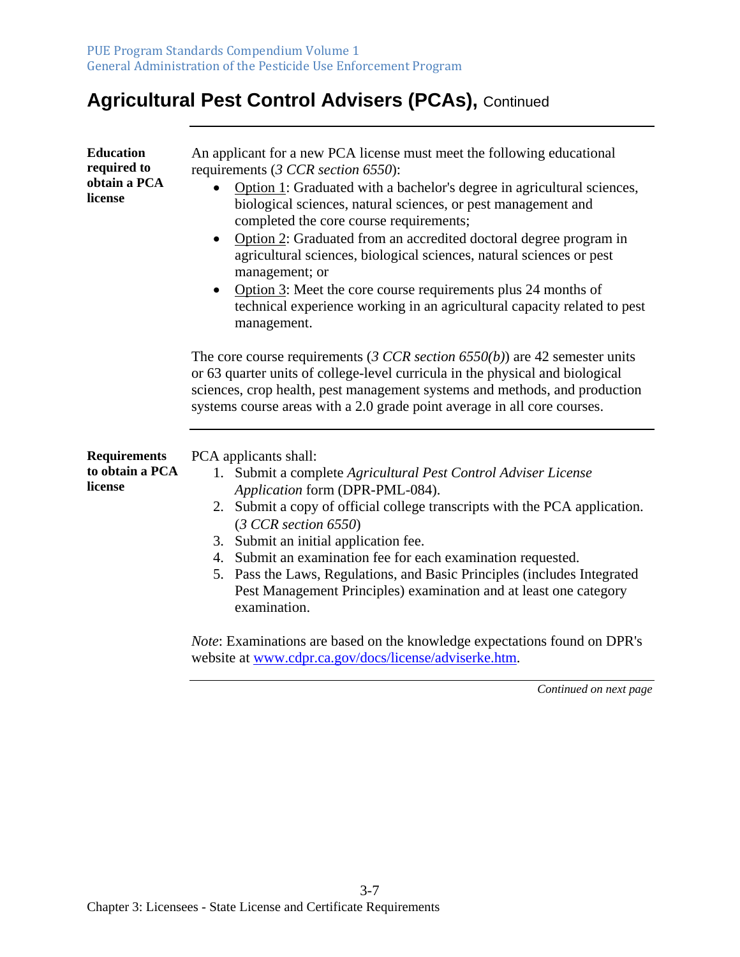## **Agricultural Pest Control Advisers (PCAs), Continued**

| <b>Education</b><br>required to<br>obtain a PCA<br>license | An applicant for a new PCA license must meet the following educational<br>requirements (3 CCR section 6550):<br>Option 1: Graduated with a bachelor's degree in agricultural sciences,<br>biological sciences, natural sciences, or pest management and<br>completed the core course requirements;<br>Option 2: Graduated from an accredited doctoral degree program in<br>$\bullet$<br>agricultural sciences, biological sciences, natural sciences or pest<br>management; or<br>Option 3: Meet the core course requirements plus 24 months of<br>technical experience working in an agricultural capacity related to pest<br>management.               |
|------------------------------------------------------------|----------------------------------------------------------------------------------------------------------------------------------------------------------------------------------------------------------------------------------------------------------------------------------------------------------------------------------------------------------------------------------------------------------------------------------------------------------------------------------------------------------------------------------------------------------------------------------------------------------------------------------------------------------|
|                                                            | The core course requirements (3 CCR section $6550(b)$ ) are 42 semester units<br>or 63 quarter units of college-level curricula in the physical and biological<br>sciences, crop health, pest management systems and methods, and production<br>systems course areas with a 2.0 grade point average in all core courses.                                                                                                                                                                                                                                                                                                                                 |
| <b>Requirements</b><br>to obtain a PCA<br>license          | PCA applicants shall:<br>1. Submit a complete Agricultural Pest Control Adviser License<br>Application form (DPR-PML-084).<br>2. Submit a copy of official college transcripts with the PCA application.<br>(3 CCR section 6550)<br>3. Submit an initial application fee.<br>4. Submit an examination fee for each examination requested.<br>5. Pass the Laws, Regulations, and Basic Principles (includes Integrated<br>Pest Management Principles) examination and at least one category<br>examination.<br><i>Note:</i> Examinations are based on the knowledge expectations found on DPR's<br>website at www.cdpr.ca.gov/docs/license/adviserke.htm. |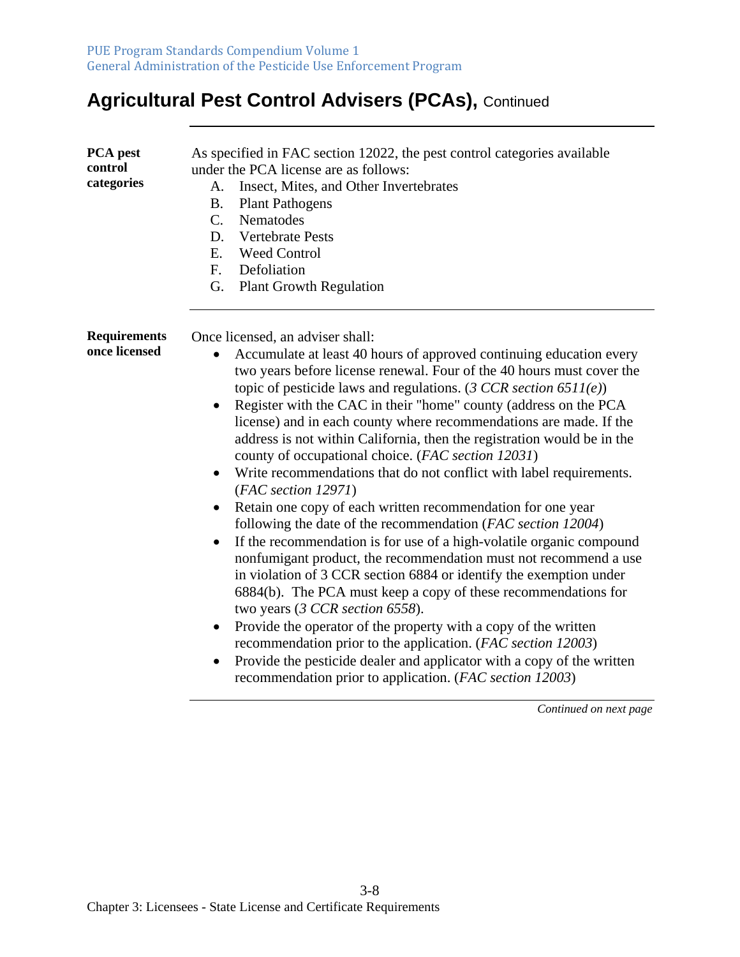## **Agricultural Pest Control Advisers (PCAs), Continued**

| PCA pest<br>control<br>categories    | As specified in FAC section 12022, the pest control categories available<br>under the PCA license are as follows:<br>Insect, Mites, and Other Invertebrates<br>A.<br><b>B.</b><br><b>Plant Pathogens</b><br>Nematodes<br>$C_{\cdot}$<br><b>Vertebrate Pests</b><br>D.<br><b>Weed Control</b><br>E.<br>$F_{\cdot}$<br>Defoliation<br>G.<br><b>Plant Growth Regulation</b>                                                                                                                                                                                                                                                                                                                                                                                                                                                                                                                                                                                                                                                                                                                                                                                                                                                                                                                                                                                                                                                             |
|--------------------------------------|--------------------------------------------------------------------------------------------------------------------------------------------------------------------------------------------------------------------------------------------------------------------------------------------------------------------------------------------------------------------------------------------------------------------------------------------------------------------------------------------------------------------------------------------------------------------------------------------------------------------------------------------------------------------------------------------------------------------------------------------------------------------------------------------------------------------------------------------------------------------------------------------------------------------------------------------------------------------------------------------------------------------------------------------------------------------------------------------------------------------------------------------------------------------------------------------------------------------------------------------------------------------------------------------------------------------------------------------------------------------------------------------------------------------------------------|
| <b>Requirements</b><br>once licensed | Once licensed, an adviser shall:<br>Accumulate at least 40 hours of approved continuing education every<br>$\bullet$<br>two years before license renewal. Four of the 40 hours must cover the<br>topic of pesticide laws and regulations. $(3 CCR section 6511(e))$<br>Register with the CAC in their "home" county (address on the PCA<br>$\bullet$<br>license) and in each county where recommendations are made. If the<br>address is not within California, then the registration would be in the<br>county of occupational choice. (FAC section 12031)<br>Write recommendations that do not conflict with label requirements.<br>$\bullet$<br>(FAC section 12971)<br>Retain one copy of each written recommendation for one year<br>following the date of the recommendation (FAC section 12004)<br>If the recommendation is for use of a high-volatile organic compound<br>$\bullet$<br>nonfumigant product, the recommendation must not recommend a use<br>in violation of 3 CCR section 6884 or identify the exemption under<br>6884(b). The PCA must keep a copy of these recommendations for<br>two years (3 CCR section 6558).<br>Provide the operator of the property with a copy of the written<br>٠<br>recommendation prior to the application. (FAC section 12003)<br>Provide the pesticide dealer and applicator with a copy of the written<br>$\bullet$<br>recommendation prior to application. (FAC section 12003) |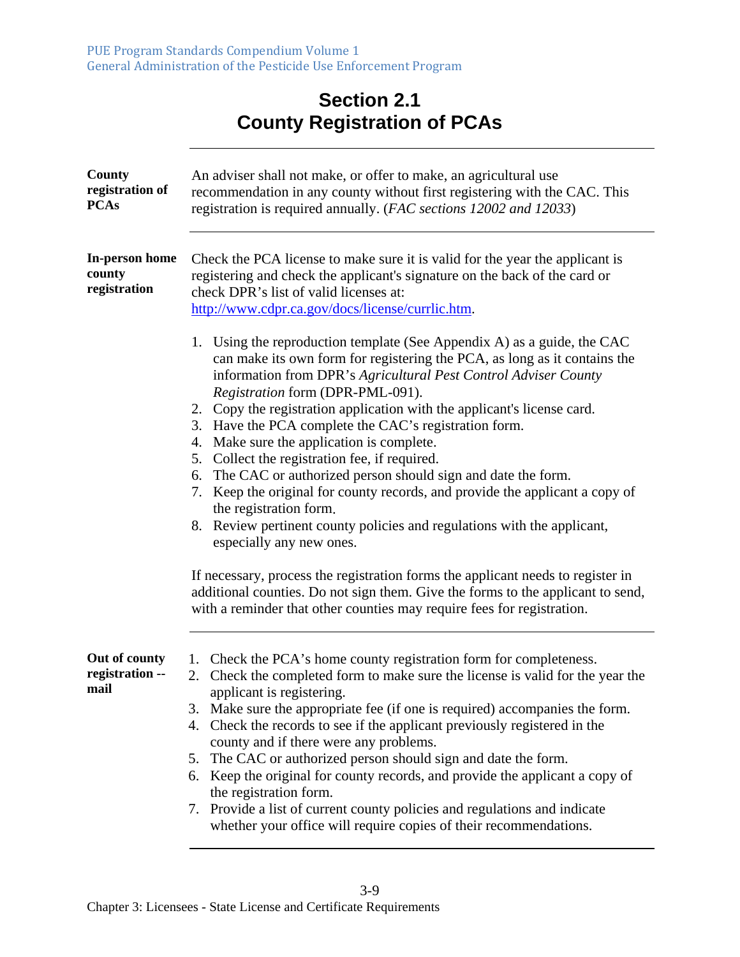#### **Section 2.1 County Registration of PCAs**

| County<br>registration of<br><b>PCAs</b> | An adviser shall not make, or offer to make, an agricultural use<br>recommendation in any county without first registering with the CAC. This<br>registration is required annually. (FAC sections 12002 and 12033)                                                                                                                                                                                                                                                                                                                                                                                                                                                                                                                                                                                                                                                                                                                                                                                                                     |
|------------------------------------------|----------------------------------------------------------------------------------------------------------------------------------------------------------------------------------------------------------------------------------------------------------------------------------------------------------------------------------------------------------------------------------------------------------------------------------------------------------------------------------------------------------------------------------------------------------------------------------------------------------------------------------------------------------------------------------------------------------------------------------------------------------------------------------------------------------------------------------------------------------------------------------------------------------------------------------------------------------------------------------------------------------------------------------------|
| In-person home<br>county<br>registration | Check the PCA license to make sure it is valid for the year the applicant is<br>registering and check the applicant's signature on the back of the card or<br>check DPR's list of valid licenses at:<br>http://www.cdpr.ca.gov/docs/license/currlic.htm.                                                                                                                                                                                                                                                                                                                                                                                                                                                                                                                                                                                                                                                                                                                                                                               |
|                                          | 1. Using the reproduction template (See Appendix A) as a guide, the CAC<br>can make its own form for registering the PCA, as long as it contains the<br>information from DPR's Agricultural Pest Control Adviser County<br>Registration form (DPR-PML-091).<br>2. Copy the registration application with the applicant's license card.<br>3. Have the PCA complete the CAC's registration form.<br>4. Make sure the application is complete.<br>Collect the registration fee, if required.<br>5.<br>The CAC or authorized person should sign and date the form.<br>6.<br>7. Keep the original for county records, and provide the applicant a copy of<br>the registration form.<br>8. Review pertinent county policies and regulations with the applicant,<br>especially any new ones.<br>If necessary, process the registration forms the applicant needs to register in<br>additional counties. Do not sign them. Give the forms to the applicant to send,<br>with a reminder that other counties may require fees for registration. |
|                                          |                                                                                                                                                                                                                                                                                                                                                                                                                                                                                                                                                                                                                                                                                                                                                                                                                                                                                                                                                                                                                                        |
| Out of county<br>registration --<br>mail | 1. Check the PCA's home county registration form for completeness.<br>Check the completed form to make sure the license is valid for the year the<br>2.<br>applicant is registering.<br>3. Make sure the appropriate fee (if one is required) accompanies the form.<br>4. Check the records to see if the applicant previously registered in the<br>county and if there were any problems.<br>The CAC or authorized person should sign and date the form.<br>5.<br>6. Keep the original for county records, and provide the applicant a copy of<br>the registration form.<br>7. Provide a list of current county policies and regulations and indicate<br>whether your office will require copies of their recommendations.                                                                                                                                                                                                                                                                                                            |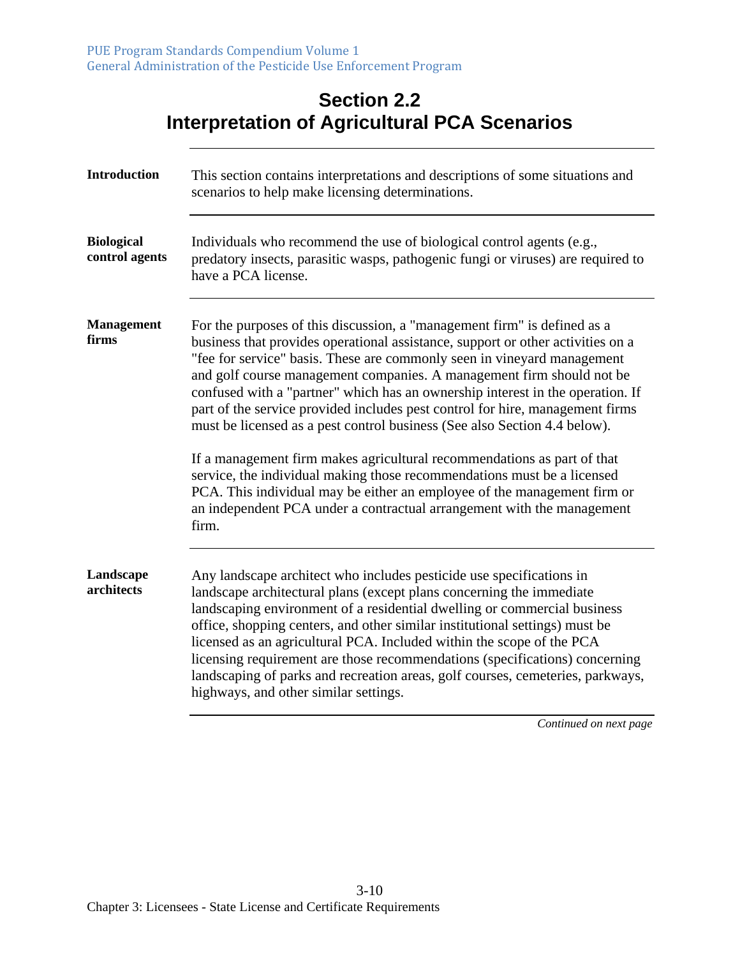#### **Section 2.2 Interpretation of Agricultural PCA Scenarios**

| <b>Introduction</b>                 | This section contains interpretations and descriptions of some situations and<br>scenarios to help make licensing determinations.                                                                                                                                                                                                                                                                                                                                                                                                                                                                                                                                                                                                                                                                                                                                                    |
|-------------------------------------|--------------------------------------------------------------------------------------------------------------------------------------------------------------------------------------------------------------------------------------------------------------------------------------------------------------------------------------------------------------------------------------------------------------------------------------------------------------------------------------------------------------------------------------------------------------------------------------------------------------------------------------------------------------------------------------------------------------------------------------------------------------------------------------------------------------------------------------------------------------------------------------|
| <b>Biological</b><br>control agents | Individuals who recommend the use of biological control agents (e.g.,<br>predatory insects, parasitic wasps, pathogenic fungi or viruses) are required to<br>have a PCA license.                                                                                                                                                                                                                                                                                                                                                                                                                                                                                                                                                                                                                                                                                                     |
| <b>Management</b><br>firms          | For the purposes of this discussion, a "management firm" is defined as a<br>business that provides operational assistance, support or other activities on a<br>"fee for service" basis. These are commonly seen in vineyard management<br>and golf course management companies. A management firm should not be<br>confused with a "partner" which has an ownership interest in the operation. If<br>part of the service provided includes pest control for hire, management firms<br>must be licensed as a pest control business (See also Section 4.4 below).<br>If a management firm makes agricultural recommendations as part of that<br>service, the individual making those recommendations must be a licensed<br>PCA. This individual may be either an employee of the management firm or<br>an independent PCA under a contractual arrangement with the management<br>firm. |
| Landscape<br>architects             | Any landscape architect who includes pesticide use specifications in<br>landscape architectural plans (except plans concerning the immediate<br>landscaping environment of a residential dwelling or commercial business<br>office, shopping centers, and other similar institutional settings) must be<br>licensed as an agricultural PCA. Included within the scope of the PCA<br>licensing requirement are those recommendations (specifications) concerning<br>landscaping of parks and recreation areas, golf courses, cemeteries, parkways,<br>highways, and other similar settings.                                                                                                                                                                                                                                                                                           |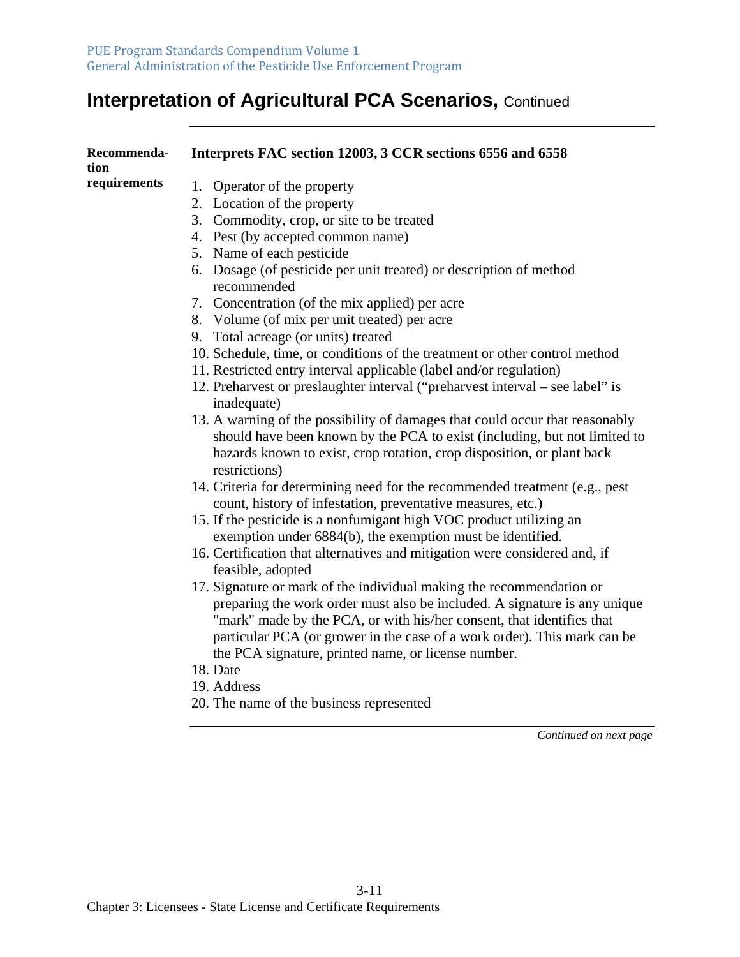| Recommenda-<br>tion | Interprets FAC section 12003, 3 CCR sections 6556 and 6558                                                                                                                                                                                                                                             |
|---------------------|--------------------------------------------------------------------------------------------------------------------------------------------------------------------------------------------------------------------------------------------------------------------------------------------------------|
| requirements        | 1. Operator of the property                                                                                                                                                                                                                                                                            |
|                     | 2. Location of the property                                                                                                                                                                                                                                                                            |
|                     | 3. Commodity, crop, or site to be treated                                                                                                                                                                                                                                                              |
|                     | 4. Pest (by accepted common name)                                                                                                                                                                                                                                                                      |
|                     | 5. Name of each pesticide                                                                                                                                                                                                                                                                              |
|                     | 6. Dosage (of pesticide per unit treated) or description of method<br>recommended                                                                                                                                                                                                                      |
|                     | 7. Concentration (of the mix applied) per acre                                                                                                                                                                                                                                                         |
|                     | 8. Volume (of mix per unit treated) per acre                                                                                                                                                                                                                                                           |
|                     | 9. Total acreage (or units) treated                                                                                                                                                                                                                                                                    |
|                     | 10. Schedule, time, or conditions of the treatment or other control method                                                                                                                                                                                                                             |
|                     | 11. Restricted entry interval applicable (label and/or regulation)                                                                                                                                                                                                                                     |
|                     | 12. Preharvest or preslaughter interval ("preharvest interval – see label" is<br>inadequate)                                                                                                                                                                                                           |
|                     | 13. A warning of the possibility of damages that could occur that reasonably<br>should have been known by the PCA to exist (including, but not limited to<br>hazards known to exist, crop rotation, crop disposition, or plant back<br>restrictions)                                                   |
|                     | 14. Criteria for determining need for the recommended treatment (e.g., pest<br>count, history of infestation, preventative measures, etc.)                                                                                                                                                             |
|                     | 15. If the pesticide is a nonfumigant high VOC product utilizing an<br>exemption under 6884(b), the exemption must be identified.                                                                                                                                                                      |
|                     | 16. Certification that alternatives and mitigation were considered and, if<br>feasible, adopted                                                                                                                                                                                                        |
|                     | 17. Signature or mark of the individual making the recommendation or<br>preparing the work order must also be included. A signature is any unique<br>"mark" made by the PCA, or with his/her consent, that identifies that<br>particular PCA (or grower in the case of a work order). This mark can be |
|                     |                                                                                                                                                                                                                                                                                                        |
|                     | the PCA signature, printed name, or license number.<br>18. Date                                                                                                                                                                                                                                        |
|                     | 19. Address                                                                                                                                                                                                                                                                                            |
|                     | 20. The name of the business represented                                                                                                                                                                                                                                                               |
|                     | Continued on next page                                                                                                                                                                                                                                                                                 |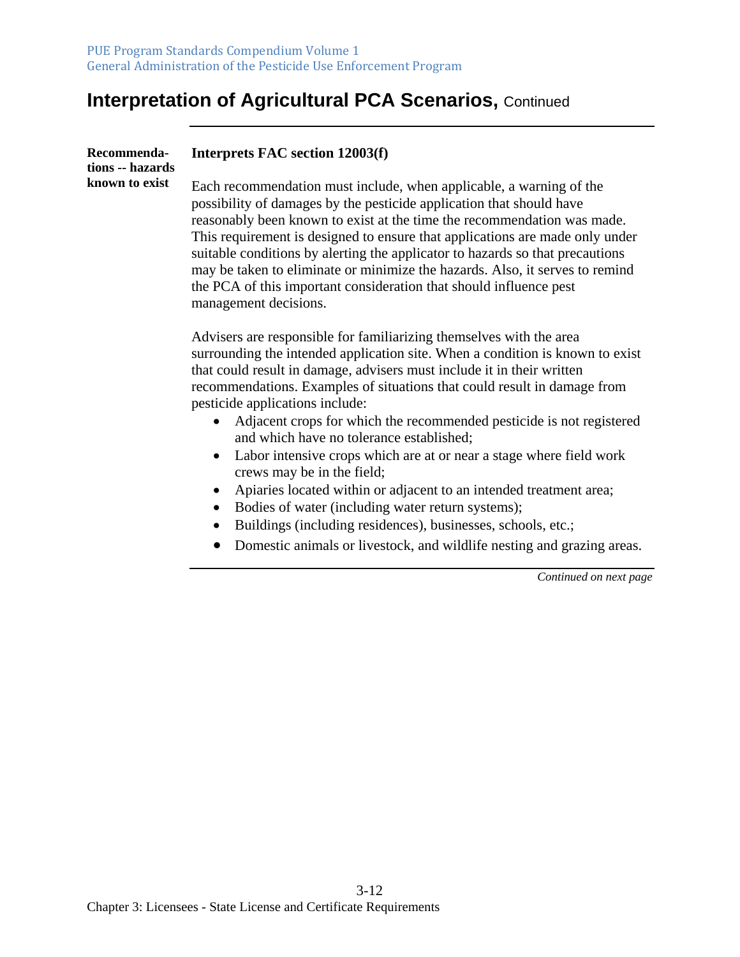| Recommenda-<br>tions -- hazards | Interprets FAC section 12003(f)                                                                                                                                                                                                                                                                                                                                                                                                                                                                                                                                        |
|---------------------------------|------------------------------------------------------------------------------------------------------------------------------------------------------------------------------------------------------------------------------------------------------------------------------------------------------------------------------------------------------------------------------------------------------------------------------------------------------------------------------------------------------------------------------------------------------------------------|
| known to exist                  | Each recommendation must include, when applicable, a warning of the<br>possibility of damages by the pesticide application that should have<br>reasonably been known to exist at the time the recommendation was made.<br>This requirement is designed to ensure that applications are made only under<br>suitable conditions by alerting the applicator to hazards so that precautions<br>may be taken to eliminate or minimize the hazards. Also, it serves to remind<br>the PCA of this important consideration that should influence pest<br>management decisions. |
|                                 | Advisers are responsible for familiarizing themselves with the area<br>surrounding the intended application site. When a condition is known to exist<br>that could result in damage, advisers must include it in their written<br>recommendations. Examples of situations that could result in damage from<br>pesticide applications include:<br>Adjacent crops for which the recommended pesticide is not registered                                                                                                                                                  |
|                                 | and which have no tolerance established;<br>Labor intensive crops which are at or near a stage where field work<br>$\bullet$<br>crews may be in the field;<br>Apiaries located within or adjacent to an intended treatment area;<br>Bodies of water (including water return systems);<br>Buildings (including residences), businesses, schools, etc.;                                                                                                                                                                                                                  |
|                                 | Domestic animals or livestock, and wildlife nesting and grazing areas.<br>$\bullet$                                                                                                                                                                                                                                                                                                                                                                                                                                                                                    |
|                                 | Continued on next page                                                                                                                                                                                                                                                                                                                                                                                                                                                                                                                                                 |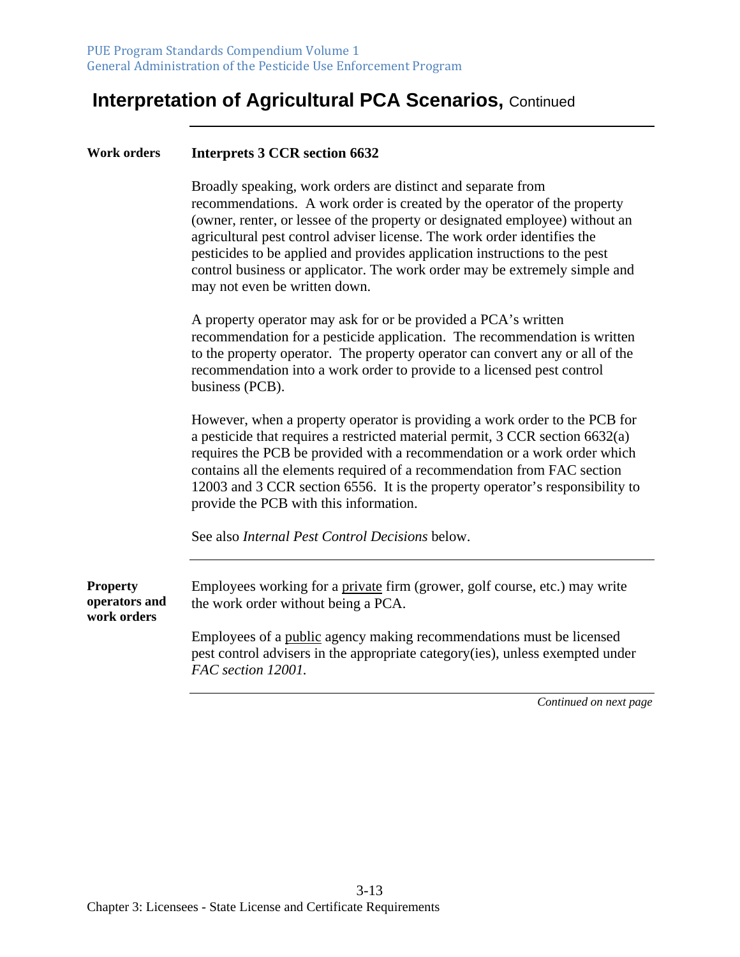#### **Work orders Interprets 3 CCR section 6632**

Broadly speaking, work orders are distinct and separate from recommendations. A work order is created by the operator of the property (owner, renter, or lessee of the property or designated employee) without an agricultural pest control adviser license. The work order identifies the pesticides to be applied and provides application instructions to the pest control business or applicator. The work order may be extremely simple and may not even be written down.

A property operator may ask for or be provided a PCA's written recommendation for a pesticide application. The recommendation is written to the property operator. The property operator can convert any or all of the recommendation into a work order to provide to a licensed pest control business (PCB).

However, when a property operator is providing a work order to the PCB for a pesticide that requires a restricted material permit, 3 CCR section 6632(a) requires the PCB be provided with a recommendation or a work order which contains all the elements required of a recommendation from FAC section 12003 and 3 CCR section 6556. It is the property operator's responsibility to provide the PCB with this information.

See also *Internal Pest Control Decisions* below.

**Property operators and work orders**  Employees working for a private firm (grower, golf course, etc.) may write the work order without being a PCA. Employees of a public agency making recommendations must be licensed pest control advisers in the appropriate category(ies), unless exempted under *FAC section 12001.*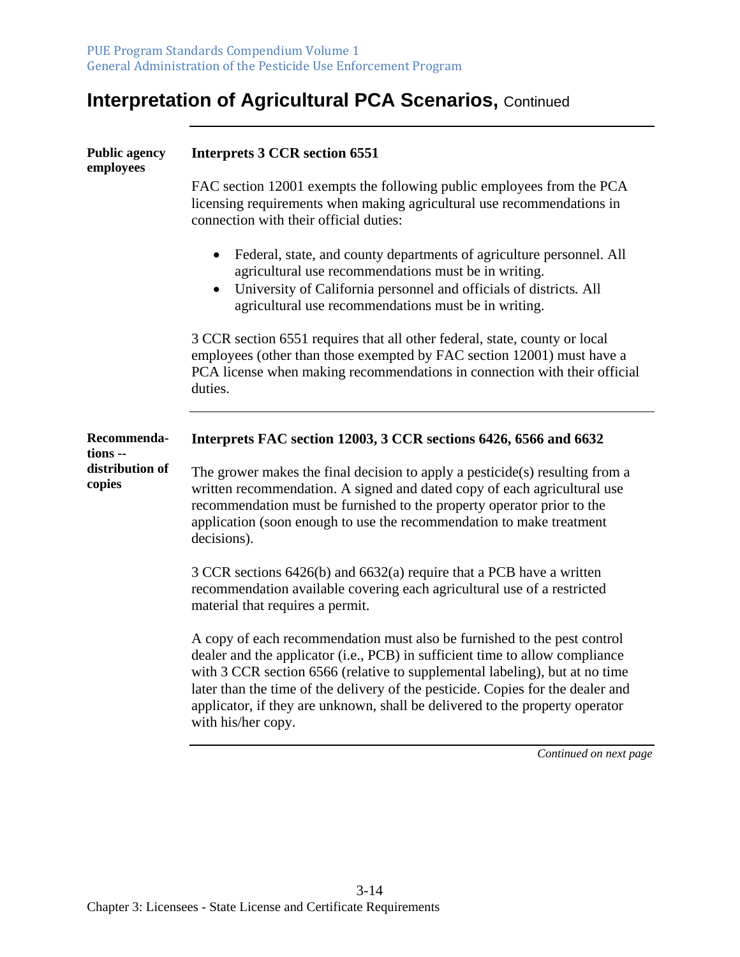| <b>Public agency</b><br>employees | <b>Interprets 3 CCR section 6551</b>                                                                                                                                                                                                                                                                                                                                                                                             |
|-----------------------------------|----------------------------------------------------------------------------------------------------------------------------------------------------------------------------------------------------------------------------------------------------------------------------------------------------------------------------------------------------------------------------------------------------------------------------------|
|                                   | FAC section 12001 exempts the following public employees from the PCA<br>licensing requirements when making agricultural use recommendations in<br>connection with their official duties:                                                                                                                                                                                                                                        |
|                                   | Federal, state, and county departments of agriculture personnel. All<br>$\bullet$<br>agricultural use recommendations must be in writing.<br>University of California personnel and officials of districts. All<br>agricultural use recommendations must be in writing.                                                                                                                                                          |
|                                   | 3 CCR section 6551 requires that all other federal, state, county or local<br>employees (other than those exempted by FAC section 12001) must have a<br>PCA license when making recommendations in connection with their official<br>duties.                                                                                                                                                                                     |
| Recommenda-<br>tions --           | Interprets FAC section 12003, 3 CCR sections 6426, 6566 and 6632                                                                                                                                                                                                                                                                                                                                                                 |
| distribution of<br>copies         | The grower makes the final decision to apply a pesticide(s) resulting from a<br>written recommendation. A signed and dated copy of each agricultural use<br>recommendation must be furnished to the property operator prior to the<br>application (soon enough to use the recommendation to make treatment<br>decisions).                                                                                                        |
|                                   | 3 CCR sections 6426(b) and 6632(a) require that a PCB have a written<br>recommendation available covering each agricultural use of a restricted<br>material that requires a permit.                                                                                                                                                                                                                                              |
|                                   | A copy of each recommendation must also be furnished to the pest control<br>dealer and the applicator (i.e., PCB) in sufficient time to allow compliance<br>with 3 CCR section 6566 (relative to supplemental labeling), but at no time<br>later than the time of the delivery of the pesticide. Copies for the dealer and<br>applicator, if they are unknown, shall be delivered to the property operator<br>with his/her copy. |
|                                   | Continued on next page                                                                                                                                                                                                                                                                                                                                                                                                           |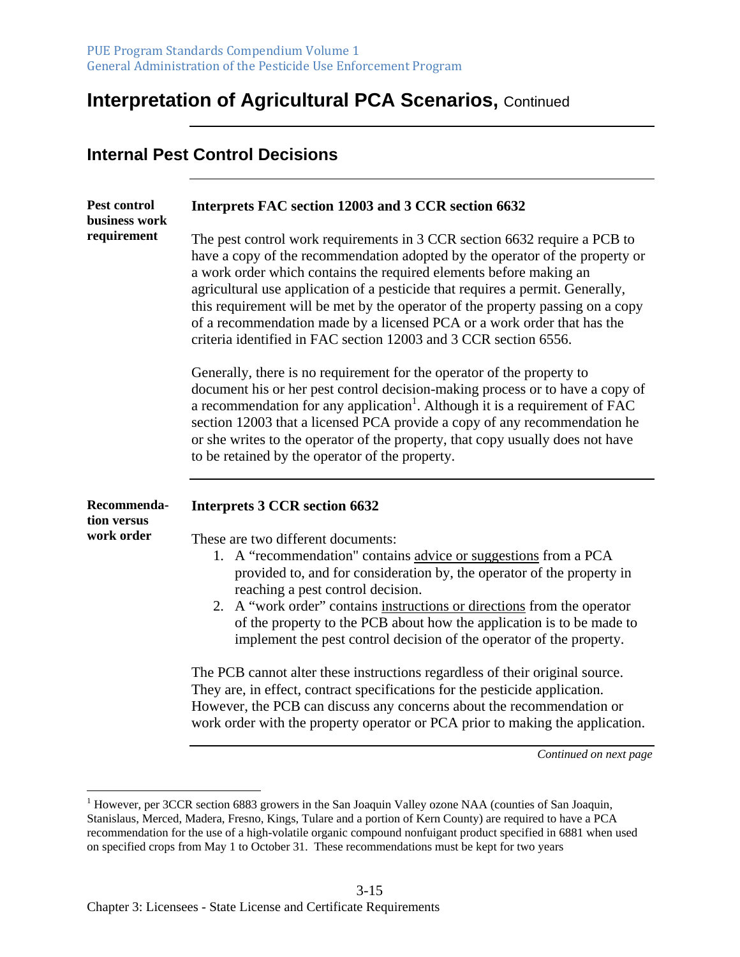**Internal Pest Control Decisions**

#### **Interpretation of Agricultural PCA Scenarios,** Continued

| <b>Pest control</b><br>business work | Interprets FAC section 12003 and 3 CCR section 6632                                                                                                                                                                                                                                                                                                                                                                                                                                                                                                |
|--------------------------------------|----------------------------------------------------------------------------------------------------------------------------------------------------------------------------------------------------------------------------------------------------------------------------------------------------------------------------------------------------------------------------------------------------------------------------------------------------------------------------------------------------------------------------------------------------|
| requirement                          | The pest control work requirements in 3 CCR section 6632 require a PCB to<br>have a copy of the recommendation adopted by the operator of the property or<br>a work order which contains the required elements before making an<br>agricultural use application of a pesticide that requires a permit. Generally,<br>this requirement will be met by the operator of the property passing on a copy<br>of a recommendation made by a licensed PCA or a work order that has the<br>criteria identified in FAC section 12003 and 3 CCR section 6556. |
|                                      | Generally, there is no requirement for the operator of the property to<br>document his or her pest control decision-making process or to have a copy of<br>a recommendation for any application <sup>1</sup> . Although it is a requirement of FAC<br>section 12003 that a licensed PCA provide a copy of any recommendation he<br>or she writes to the operator of the property, that copy usually does not have<br>to be retained by the operator of the property.                                                                               |
| Recommenda-                          | <b>Interprets 3 CCR section 6632</b>                                                                                                                                                                                                                                                                                                                                                                                                                                                                                                               |
| tion versus<br>work order            | These are two different documents:<br>1. A "recommendation" contains advice or suggestions from a PCA<br>provided to, and for consideration by, the operator of the property in<br>reaching a pest control decision.<br>2. A "work order" contains instructions or directions from the operator<br>of the property to the PCB about how the application is to be made to<br>implement the pest control decision of the operator of the property.                                                                                                   |
|                                      | The PCB cannot alter these instructions regardless of their original source.<br>They are, in effect, contract specifications for the pesticide application.<br>However, the PCB can discuss any concerns about the recommendation or<br>work order with the property operator or PCA prior to making the application.                                                                                                                                                                                                                              |

<sup>&</sup>lt;sup>1</sup> However, per 3CCR section 6883 growers in the San Joaquin Valley ozone NAA (counties of San Joaquin, Stanislaus, Merced, Madera, Fresno, Kings, Tulare and a portion of Kern County) are required to have a PCA recommendation for the use of a high-volatile organic compound nonfuigant product specified in 6881 when used on specified crops from May 1 to October 31. These recommendations must be kept for two years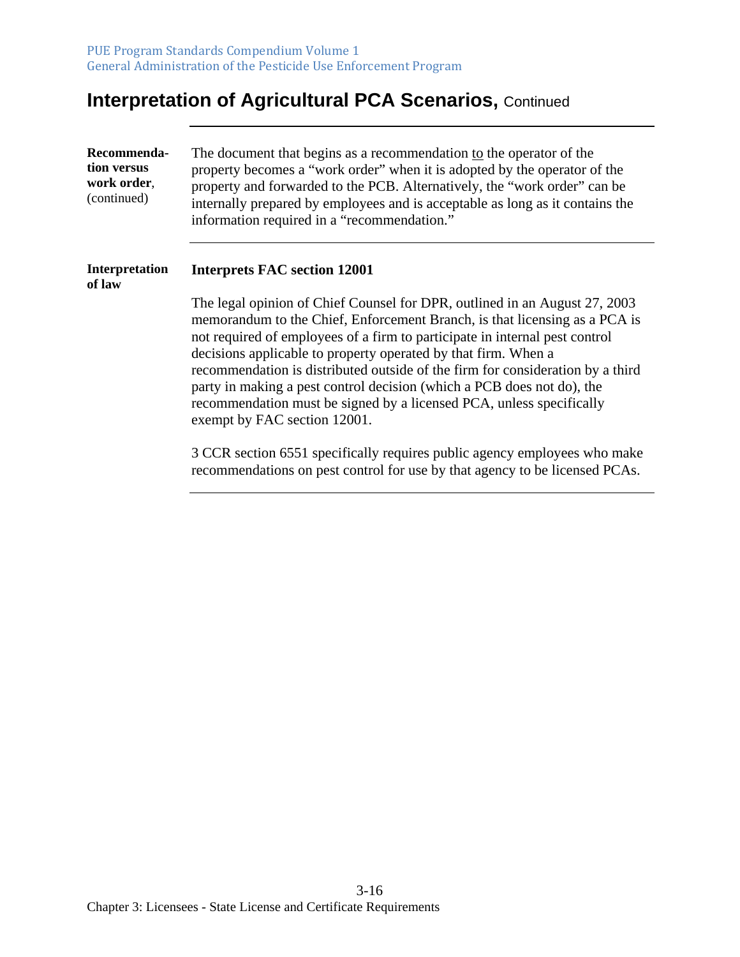| Recommenda-<br>tion versus<br>work order,<br>(continued) | The document that begins as a recommendation to the operator of the<br>property becomes a "work order" when it is adopted by the operator of the<br>property and forwarded to the PCB. Alternatively, the "work order" can be<br>internally prepared by employees and is acceptable as long as it contains the<br>information required in a "recommendation."                                                                                                                                                                                                                 |
|----------------------------------------------------------|-------------------------------------------------------------------------------------------------------------------------------------------------------------------------------------------------------------------------------------------------------------------------------------------------------------------------------------------------------------------------------------------------------------------------------------------------------------------------------------------------------------------------------------------------------------------------------|
| <b>Interpretation</b><br>of law                          | <b>Interprets FAC section 12001</b>                                                                                                                                                                                                                                                                                                                                                                                                                                                                                                                                           |
|                                                          | The legal opinion of Chief Counsel for DPR, outlined in an August 27, 2003<br>memorandum to the Chief, Enforcement Branch, is that licensing as a PCA is<br>not required of employees of a firm to participate in internal pest control<br>decisions applicable to property operated by that firm. When a<br>recommendation is distributed outside of the firm for consideration by a third<br>party in making a pest control decision (which a PCB does not do), the<br>recommendation must be signed by a licensed PCA, unless specifically<br>exempt by FAC section 12001. |
|                                                          | 3 CCR section 6551 specifically requires public agency employees who make<br>recommendations on pest control for use by that agency to be licensed PCAs.                                                                                                                                                                                                                                                                                                                                                                                                                      |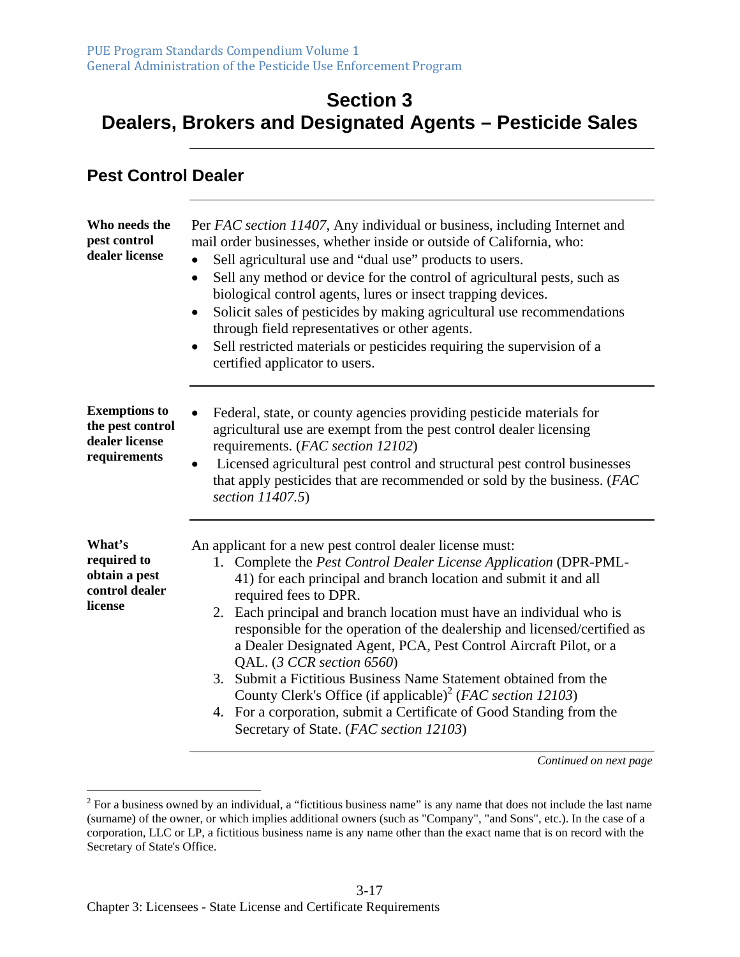#### **Section 3 Dealers, Brokers and Designated Agents – Pesticide Sales**

#### **Pest Control Dealer**

| Who needs the<br>pest control<br>dealer license                            | Per FAC section 11407, Any individual or business, including Internet and<br>mail order businesses, whether inside or outside of California, who:<br>Sell agricultural use and "dual use" products to users.<br>$\bullet$<br>Sell any method or device for the control of agricultural pests, such as<br>biological control agents, lures or insect trapping devices.<br>Solicit sales of pesticides by making agricultural use recommendations<br>$\bullet$<br>through field representatives or other agents.<br>Sell restricted materials or pesticides requiring the supervision of a<br>$\bullet$<br>certified applicator to users.                                                                                                            |
|----------------------------------------------------------------------------|----------------------------------------------------------------------------------------------------------------------------------------------------------------------------------------------------------------------------------------------------------------------------------------------------------------------------------------------------------------------------------------------------------------------------------------------------------------------------------------------------------------------------------------------------------------------------------------------------------------------------------------------------------------------------------------------------------------------------------------------------|
| <b>Exemptions to</b><br>the pest control<br>dealer license<br>requirements | Federal, state, or county agencies providing pesticide materials for<br>agricultural use are exempt from the pest control dealer licensing<br>requirements. (FAC section 12102)<br>Licensed agricultural pest control and structural pest control businesses<br>$\bullet$<br>that apply pesticides that are recommended or sold by the business. (FAC<br>section 11407.5)                                                                                                                                                                                                                                                                                                                                                                          |
| What's<br>required to<br>obtain a pest<br>control dealer<br>license        | An applicant for a new pest control dealer license must:<br>1. Complete the Pest Control Dealer License Application (DPR-PML-<br>41) for each principal and branch location and submit it and all<br>required fees to DPR.<br>2. Each principal and branch location must have an individual who is<br>responsible for the operation of the dealership and licensed/certified as<br>a Dealer Designated Agent, PCA, Pest Control Aircraft Pilot, or a<br>QAL. (3 CCR section 6560)<br>3. Submit a Fictitious Business Name Statement obtained from the<br>County Clerk's Office (if applicable) <sup>2</sup> (FAC section 12103)<br>4. For a corporation, submit a Certificate of Good Standing from the<br>Secretary of State. (FAC section 12103) |

 $2^2$  For a business owned by an individual, a "fictitious business name" is any name that does not include the last name (surname) of the owner, or which implies additional owners (such as "Company", "and Sons", etc.). In the case of a corporation, LLC or LP, a fictitious business name is any name other than the exact name that is on record with the Secretary of State's Office.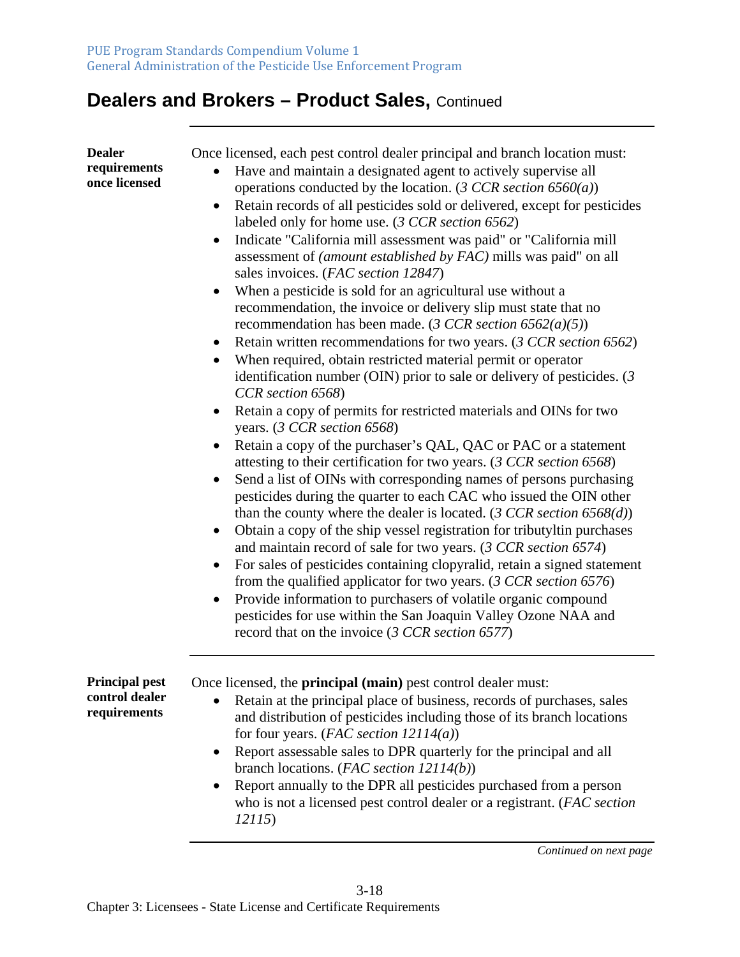| <b>Dealer</b><br>requirements<br>once licensed          | Once licensed, each pest control dealer principal and branch location must:<br>Have and maintain a designated agent to actively supervise all<br>operations conducted by the location. (3 CCR section $6560(a)$ )<br>Retain records of all pesticides sold or delivered, except for pesticides<br>$\bullet$<br>labeled only for home use. (3 CCR section 6562)<br>Indicate "California mill assessment was paid" or "California mill<br>$\bullet$<br>assessment of <i>(amount established by FAC)</i> mills was paid" on all<br>sales invoices. (FAC section 12847)<br>When a pesticide is sold for an agricultural use without a<br>٠<br>recommendation, the invoice or delivery slip must state that no<br>recommendation has been made. (3 CCR section 6562(a)(5))<br>Retain written recommendations for two years. (3 CCR section 6562)<br>$\bullet$<br>When required, obtain restricted material permit or operator<br>٠<br>identification number (OIN) prior to sale or delivery of pesticides. $(3)$<br>CCR section 6568)<br>Retain a copy of permits for restricted materials and OINs for two<br>٠<br>years. $(3 CCR section 6568)$<br>Retain a copy of the purchaser's QAL, QAC or PAC or a statement<br>attesting to their certification for two years. (3 CCR section 6568)<br>Send a list of OINs with corresponding names of persons purchasing<br>٠<br>pesticides during the quarter to each CAC who issued the OIN other<br>than the county where the dealer is located. $(3 CCR section 6568(d))$<br>Obtain a copy of the ship vessel registration for tributyltin purchases<br>$\bullet$<br>and maintain record of sale for two years. (3 CCR section 6574)<br>For sales of pesticides containing clopyralid, retain a signed statement<br>from the qualified applicator for two years. $(3 CCR section 6576)$<br>Provide information to purchasers of volatile organic compound<br>pesticides for use within the San Joaquin Valley Ozone NAA and<br>record that on the invoice (3 CCR section 6577) |
|---------------------------------------------------------|-------------------------------------------------------------------------------------------------------------------------------------------------------------------------------------------------------------------------------------------------------------------------------------------------------------------------------------------------------------------------------------------------------------------------------------------------------------------------------------------------------------------------------------------------------------------------------------------------------------------------------------------------------------------------------------------------------------------------------------------------------------------------------------------------------------------------------------------------------------------------------------------------------------------------------------------------------------------------------------------------------------------------------------------------------------------------------------------------------------------------------------------------------------------------------------------------------------------------------------------------------------------------------------------------------------------------------------------------------------------------------------------------------------------------------------------------------------------------------------------------------------------------------------------------------------------------------------------------------------------------------------------------------------------------------------------------------------------------------------------------------------------------------------------------------------------------------------------------------------------------------------------------------------------------------------------------------------------------------------------------------------------------|
| <b>Principal pest</b><br>control dealer<br>requirements | Once licensed, the <b>principal</b> (main) pest control dealer must:<br>Retain at the principal place of business, records of purchases, sales<br>and distribution of pesticides including those of its branch locations<br>for four years. ( <i>FAC section 12114(a)</i> )<br>Report assessable sales to DPR quarterly for the principal and all<br>branch locations. (FAC section $12114(b)$ )<br>Report annually to the DPR all pesticides purchased from a person<br>who is not a licensed pest control dealer or a registrant. (FAC section<br>12115)                                                                                                                                                                                                                                                                                                                                                                                                                                                                                                                                                                                                                                                                                                                                                                                                                                                                                                                                                                                                                                                                                                                                                                                                                                                                                                                                                                                                                                                              |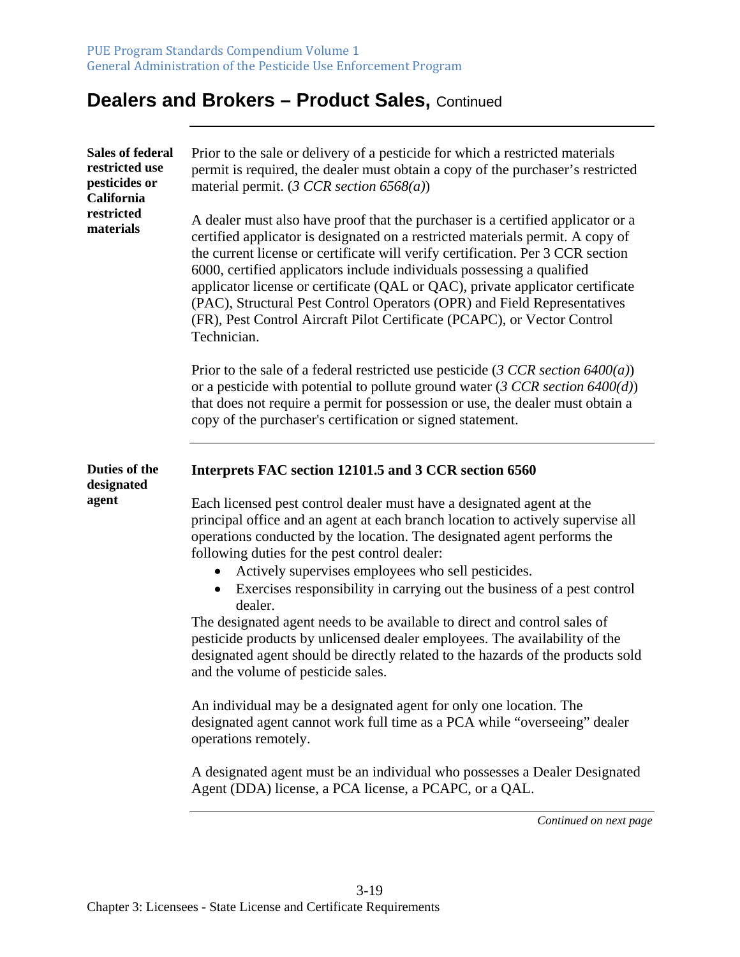| <b>Sales of federal</b><br>restricted use<br>pesticides or<br>California<br>restricted<br>materials | Prior to the sale or delivery of a pesticide for which a restricted materials<br>permit is required, the dealer must obtain a copy of the purchaser's restricted<br>material permit. (3 CCR section $6568(a)$ )                                                                                                                                                                                                                                                                                                                                                                         |
|-----------------------------------------------------------------------------------------------------|-----------------------------------------------------------------------------------------------------------------------------------------------------------------------------------------------------------------------------------------------------------------------------------------------------------------------------------------------------------------------------------------------------------------------------------------------------------------------------------------------------------------------------------------------------------------------------------------|
|                                                                                                     | A dealer must also have proof that the purchaser is a certified applicator or a<br>certified applicator is designated on a restricted materials permit. A copy of<br>the current license or certificate will verify certification. Per 3 CCR section<br>6000, certified applicators include individuals possessing a qualified<br>applicator license or certificate (QAL or QAC), private applicator certificate<br>(PAC), Structural Pest Control Operators (OPR) and Field Representatives<br>(FR), Pest Control Aircraft Pilot Certificate (PCAPC), or Vector Control<br>Technician. |
|                                                                                                     | Prior to the sale of a federal restricted use pesticide (3 CCR section $6400(a)$ )<br>or a pesticide with potential to pollute ground water (3 CCR section $6400(d)$ )<br>that does not require a permit for possession or use, the dealer must obtain a<br>copy of the purchaser's certification or signed statement.                                                                                                                                                                                                                                                                  |
| Duties of the<br>designated                                                                         | Interprets FAC section 12101.5 and 3 CCR section 6560                                                                                                                                                                                                                                                                                                                                                                                                                                                                                                                                   |
| agent                                                                                               | Each licensed pest control dealer must have a designated agent at the<br>principal office and an agent at each branch location to actively supervise all<br>operations conducted by the location. The designated agent performs the<br>following duties for the pest control dealer:                                                                                                                                                                                                                                                                                                    |
|                                                                                                     | Actively supervises employees who sell pesticides.<br>Exercises responsibility in carrying out the business of a pest control<br>dealer.                                                                                                                                                                                                                                                                                                                                                                                                                                                |
|                                                                                                     | The designated agent needs to be available to direct and control sales of<br>pesticide products by unlicensed dealer employees. The availability of the<br>designated agent should be directly related to the hazards of the products sold<br>and the volume of pesticide sales.                                                                                                                                                                                                                                                                                                        |
|                                                                                                     | An individual may be a designated agent for only one location. The<br>designated agent cannot work full time as a PCA while "overseeing" dealer<br>operations remotely.                                                                                                                                                                                                                                                                                                                                                                                                                 |
|                                                                                                     | A designated agent must be an individual who possesses a Dealer Designated<br>Agent (DDA) license, a PCA license, a PCAPC, or a QAL.                                                                                                                                                                                                                                                                                                                                                                                                                                                    |
|                                                                                                     | Continued on next page                                                                                                                                                                                                                                                                                                                                                                                                                                                                                                                                                                  |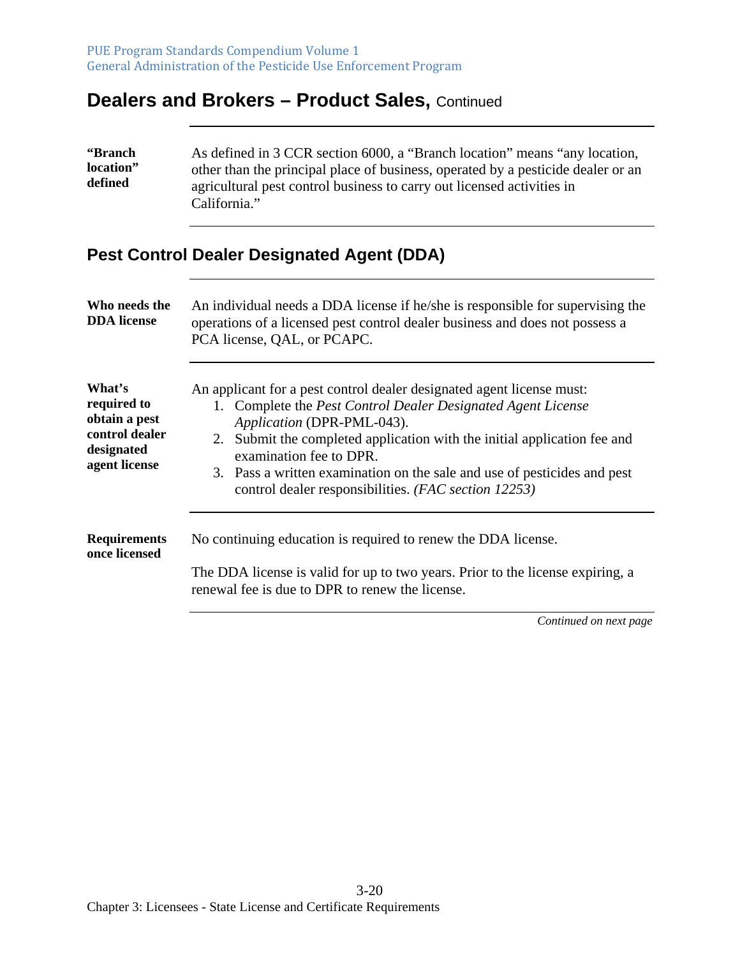| <b>'Branch</b> | As defined in 3 CCR section 6000, a "Branch location" means "any location,       |
|----------------|----------------------------------------------------------------------------------|
| location"      | other than the principal place of business, operated by a pesticide dealer or an |
| defined        | agricultural pest control business to carry out licensed activities in           |
|                | California."                                                                     |

#### **Pest Control Dealer Designated Agent (DDA)**

| Who needs the<br><b>DDA</b> license                                                     | An individual needs a DDA license if he/she is responsible for supervising the<br>operations of a licensed pest control dealer business and does not possess a<br>PCA license, QAL, or PCAPC.                                                                                                                                                                                                                         |
|-----------------------------------------------------------------------------------------|-----------------------------------------------------------------------------------------------------------------------------------------------------------------------------------------------------------------------------------------------------------------------------------------------------------------------------------------------------------------------------------------------------------------------|
| What's<br>required to<br>obtain a pest<br>control dealer<br>designated<br>agent license | An applicant for a pest control dealer designated agent license must:<br>1. Complete the <i>Pest Control Dealer Designated Agent License</i><br>Application (DPR-PML-043).<br>2. Submit the completed application with the initial application fee and<br>examination fee to DPR.<br>3. Pass a written examination on the sale and use of pesticides and pest<br>control dealer responsibilities. (FAC section 12253) |
| <b>Requirements</b><br>once licensed                                                    | No continuing education is required to renew the DDA license.<br>The DDA license is valid for up to two years. Prior to the license expiring, a<br>renewal fee is due to DPR to renew the license.                                                                                                                                                                                                                    |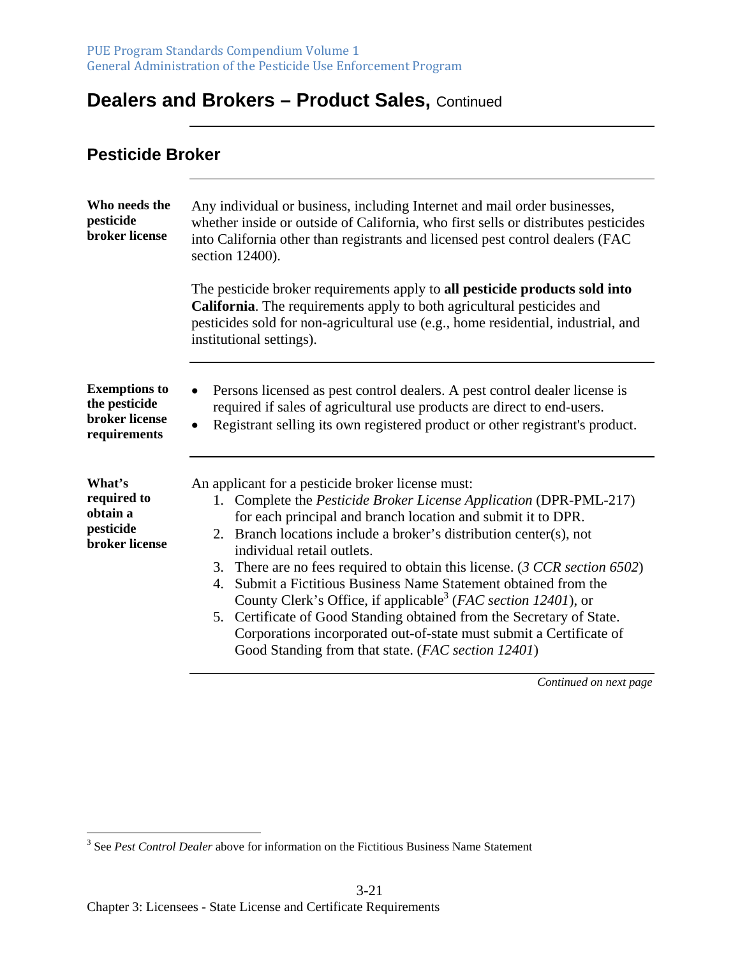#### **Pesticide Broker**

| Who needs the<br>pesticide<br>broker license                            | Any individual or business, including Internet and mail order businesses,<br>whether inside or outside of California, who first sells or distributes pesticides<br>into California other than registrants and licensed pest control dealers (FAC<br>section 12400).<br>The pesticide broker requirements apply to all pesticide products sold into<br>California. The requirements apply to both agricultural pesticides and<br>pesticides sold for non-agricultural use (e.g., home residential, industrial, and<br>institutional settings).                                                                                                                               |
|-------------------------------------------------------------------------|-----------------------------------------------------------------------------------------------------------------------------------------------------------------------------------------------------------------------------------------------------------------------------------------------------------------------------------------------------------------------------------------------------------------------------------------------------------------------------------------------------------------------------------------------------------------------------------------------------------------------------------------------------------------------------|
|                                                                         |                                                                                                                                                                                                                                                                                                                                                                                                                                                                                                                                                                                                                                                                             |
| <b>Exemptions to</b><br>the pesticide<br>broker license<br>requirements | Persons licensed as pest control dealers. A pest control dealer license is<br>$\bullet$<br>required if sales of agricultural use products are direct to end-users.<br>Registrant selling its own registered product or other registrant's product.<br>$\bullet$                                                                                                                                                                                                                                                                                                                                                                                                             |
| What's                                                                  | An applicant for a pesticide broker license must:                                                                                                                                                                                                                                                                                                                                                                                                                                                                                                                                                                                                                           |
| required to<br>obtain a<br>pesticide<br>broker license                  | 1. Complete the Pesticide Broker License Application (DPR-PML-217)<br>for each principal and branch location and submit it to DPR.<br>2. Branch locations include a broker's distribution center(s), not<br>individual retail outlets.<br>3. There are no fees required to obtain this license. (3 CCR section 6502)<br>4. Submit a Fictitious Business Name Statement obtained from the<br>County Clerk's Office, if applicable <sup>3</sup> (FAC section 12401), or<br>5. Certificate of Good Standing obtained from the Secretary of State.<br>Corporations incorporated out-of-state must submit a Certificate of<br>Good Standing from that state. (FAC section 12401) |

<sup>&</sup>lt;sup>3</sup> See *Pest Control Dealer* above for information on the Fictitious Business Name Statement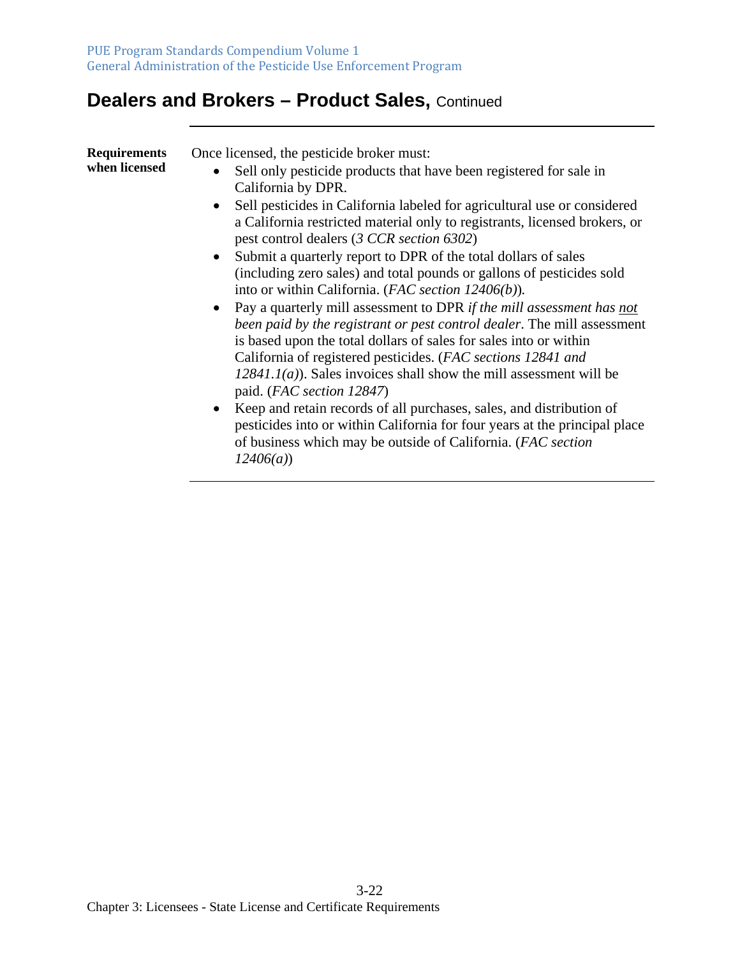| <b>Requirements</b><br>when licensed | Once licensed, the pesticide broker must:<br>Sell only pesticide products that have been registered for sale in<br>California by DPR.<br>Sell pesticides in California labeled for agricultural use or considered                                                                                                                                                                             |
|--------------------------------------|-----------------------------------------------------------------------------------------------------------------------------------------------------------------------------------------------------------------------------------------------------------------------------------------------------------------------------------------------------------------------------------------------|
|                                      | a California restricted material only to registrants, licensed brokers, or<br>pest control dealers (3 CCR section 6302)                                                                                                                                                                                                                                                                       |
|                                      | Submit a quarterly report to DPR of the total dollars of sales<br>$\bullet$<br>(including zero sales) and total pounds or gallons of pesticides sold<br>into or within California. (FAC section 12406(b)).                                                                                                                                                                                    |
|                                      | • Pay a quarterly mill assessment to DPR if the mill assessment has not<br>been paid by the registrant or pest control dealer. The mill assessment<br>is based upon the total dollars of sales for sales into or within<br>California of registered pesticides. (FAC sections 12841 and<br>$12841.1(a)$ ). Sales invoices shall show the mill assessment will be<br>paid. (FAC section 12847) |
|                                      | • Keep and retain records of all purchases, sales, and distribution of<br>pesticides into or within California for four years at the principal place<br>of business which may be outside of California. (FAC section<br>12406(a)                                                                                                                                                              |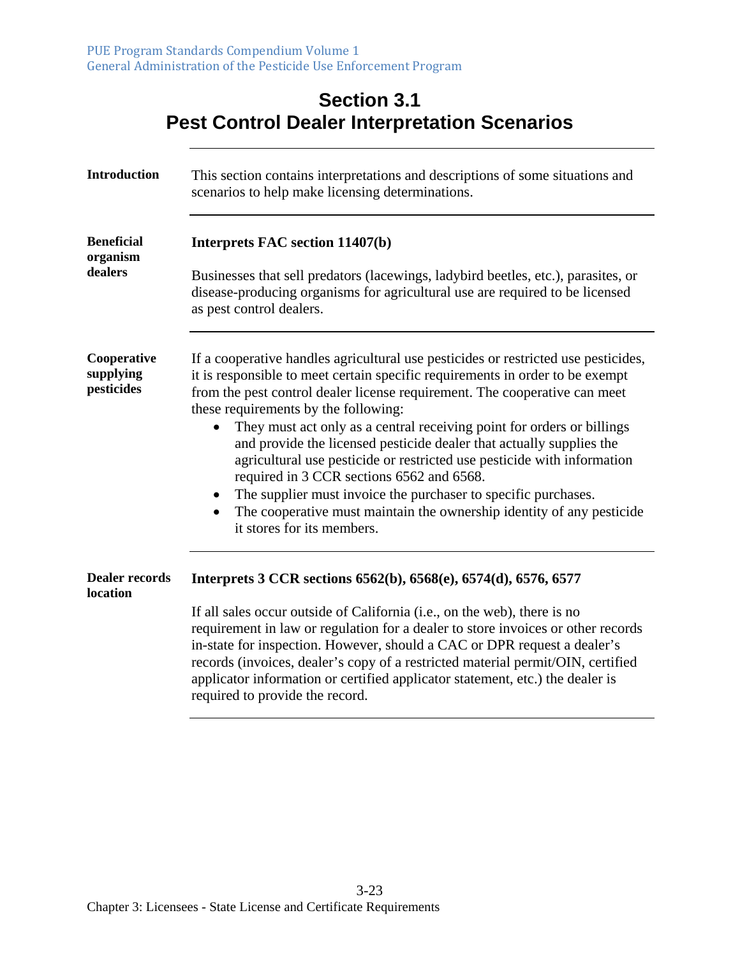|                                          | <b>Section 3.1</b><br><b>Pest Control Dealer Interpretation Scenarios</b>                                                                                                                                                                                                                                                                                                                                                                                                                                                                                                                                                                                                                                                                                              |
|------------------------------------------|------------------------------------------------------------------------------------------------------------------------------------------------------------------------------------------------------------------------------------------------------------------------------------------------------------------------------------------------------------------------------------------------------------------------------------------------------------------------------------------------------------------------------------------------------------------------------------------------------------------------------------------------------------------------------------------------------------------------------------------------------------------------|
| <b>Introduction</b>                      | This section contains interpretations and descriptions of some situations and<br>scenarios to help make licensing determinations.                                                                                                                                                                                                                                                                                                                                                                                                                                                                                                                                                                                                                                      |
| <b>Beneficial</b><br>organism<br>dealers | Interprets FAC section 11407(b)<br>Businesses that sell predators (lacewings, ladybird beetles, etc.), parasites, or<br>disease-producing organisms for agricultural use are required to be licensed<br>as pest control dealers.                                                                                                                                                                                                                                                                                                                                                                                                                                                                                                                                       |
| Cooperative<br>supplying<br>pesticides   | If a cooperative handles agricultural use pesticides or restricted use pesticides,<br>it is responsible to meet certain specific requirements in order to be exempt<br>from the pest control dealer license requirement. The cooperative can meet<br>these requirements by the following:<br>They must act only as a central receiving point for orders or billings<br>$\bullet$<br>and provide the licensed pesticide dealer that actually supplies the<br>agricultural use pesticide or restricted use pesticide with information<br>required in 3 CCR sections 6562 and 6568.<br>The supplier must invoice the purchaser to specific purchases.<br>$\bullet$<br>The cooperative must maintain the ownership identity of any pesticide<br>it stores for its members. |
| <b>Dealer records</b><br>location        | Interprets 3 CCR sections 6562(b), 6568(e), 6574(d), 6576, 6577<br>If all sales occur outside of California (i.e., on the web), there is no<br>requirement in law or regulation for a dealer to store invoices or other records<br>in-state for inspection. However, should a CAC or DPR request a dealer's<br>records (invoices, dealer's copy of a restricted material permit/OIN, certified<br>applicator information or certified applicator statement, etc.) the dealer is<br>required to provide the record.                                                                                                                                                                                                                                                     |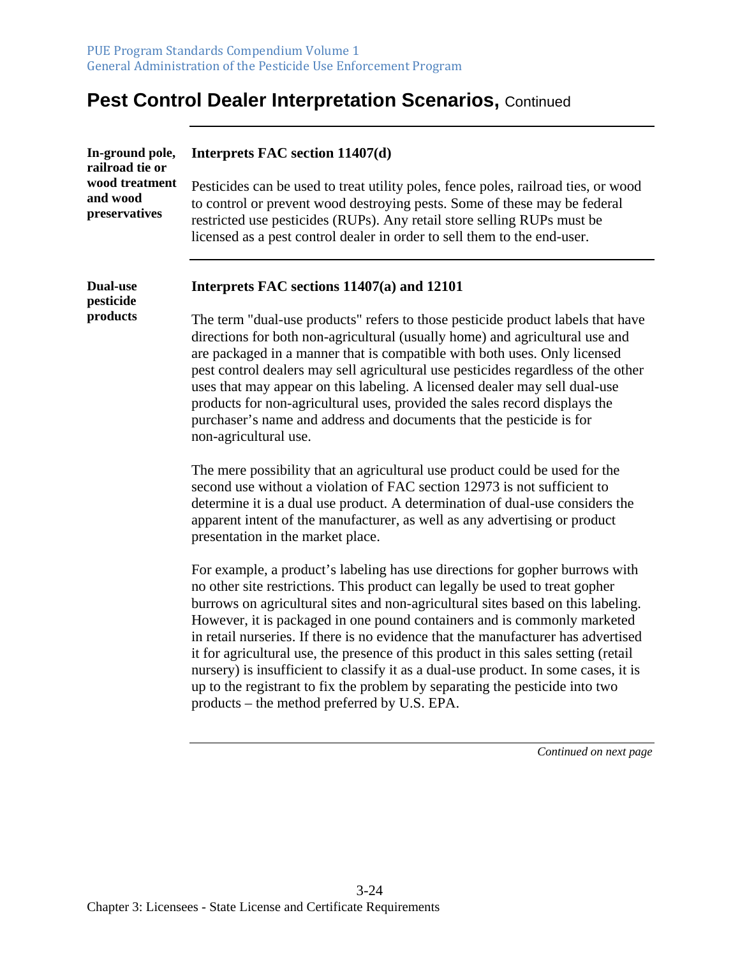| In-ground pole,<br>railroad tie or<br>wood treatment<br>and wood<br>preservatives | Interprets FAC section 11407(d)                                                                                                                                                                                                                                                                                                                                                                                                                                                                                                                                                                                                                                                                                                 |
|-----------------------------------------------------------------------------------|---------------------------------------------------------------------------------------------------------------------------------------------------------------------------------------------------------------------------------------------------------------------------------------------------------------------------------------------------------------------------------------------------------------------------------------------------------------------------------------------------------------------------------------------------------------------------------------------------------------------------------------------------------------------------------------------------------------------------------|
|                                                                                   | Pesticides can be used to treat utility poles, fence poles, railroad ties, or wood<br>to control or prevent wood destroying pests. Some of these may be federal<br>restricted use pesticides (RUPs). Any retail store selling RUPs must be<br>licensed as a pest control dealer in order to sell them to the end-user.                                                                                                                                                                                                                                                                                                                                                                                                          |
| <b>Dual-use</b>                                                                   | Interprets FAC sections 11407(a) and 12101                                                                                                                                                                                                                                                                                                                                                                                                                                                                                                                                                                                                                                                                                      |
| pesticide<br>products                                                             | The term "dual-use products" refers to those pesticide product labels that have<br>directions for both non-agricultural (usually home) and agricultural use and<br>are packaged in a manner that is compatible with both uses. Only licensed<br>pest control dealers may sell agricultural use pesticides regardless of the other<br>uses that may appear on this labeling. A licensed dealer may sell dual-use<br>products for non-agricultural uses, provided the sales record displays the<br>purchaser's name and address and documents that the pesticide is for<br>non-agricultural use.                                                                                                                                  |
|                                                                                   | The mere possibility that an agricultural use product could be used for the<br>second use without a violation of FAC section 12973 is not sufficient to<br>determine it is a dual use product. A determination of dual-use considers the<br>apparent intent of the manufacturer, as well as any advertising or product<br>presentation in the market place.                                                                                                                                                                                                                                                                                                                                                                     |
|                                                                                   | For example, a product's labeling has use directions for gopher burrows with<br>no other site restrictions. This product can legally be used to treat gopher<br>burrows on agricultural sites and non-agricultural sites based on this labeling.<br>However, it is packaged in one pound containers and is commonly marketed<br>in retail nurseries. If there is no evidence that the manufacturer has advertised<br>it for agricultural use, the presence of this product in this sales setting (retail<br>nursery) is insufficient to classify it as a dual-use product. In some cases, it is<br>up to the registrant to fix the problem by separating the pesticide into two<br>products – the method preferred by U.S. EPA. |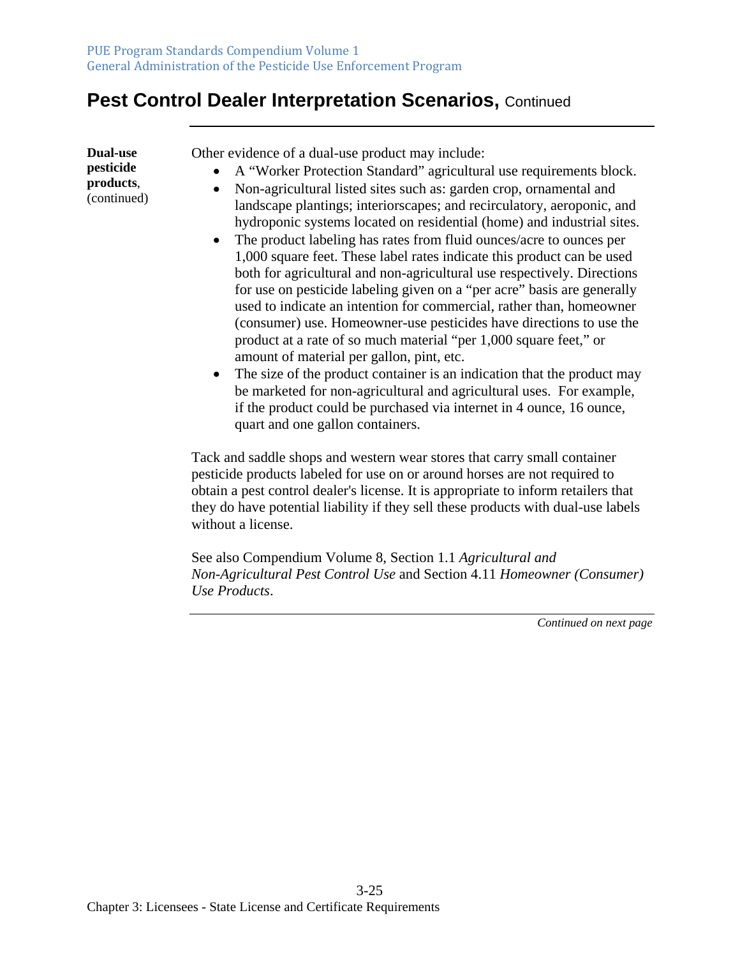**Dual-use pesticide products**, (continued) Other evidence of a dual-use product may include:

- A "Worker Protection Standard" agricultural use requirements block.
- Non-agricultural listed sites such as: garden crop, ornamental and landscape plantings; interiorscapes; and recirculatory, aeroponic, and hydroponic systems located on residential (home) and industrial sites.
- The product labeling has rates from fluid ounces/acre to ounces per 1,000 square feet. These label rates indicate this product can be used both for agricultural and non-agricultural use respectively. Directions for use on pesticide labeling given on a "per acre" basis are generally used to indicate an intention for commercial, rather than, homeowner (consumer) use. Homeowner-use pesticides have directions to use the product at a rate of so much material "per 1,000 square feet," or amount of material per gallon, pint, etc.
- The size of the product container is an indication that the product may be marketed for non-agricultural and agricultural uses. For example, if the product could be purchased via internet in 4 ounce, 16 ounce, quart and one gallon containers.

Tack and saddle shops and western wear stores that carry small container pesticide products labeled for use on or around horses are not required to obtain a pest control dealer's license. It is appropriate to inform retailers that they do have potential liability if they sell these products with dual-use labels without a license.

See also Compendium Volume 8, Section 1.1 *Agricultural and Non-Agricultural Pest Control Use* and Section 4.11 *Homeowner (Consumer) Use Products*.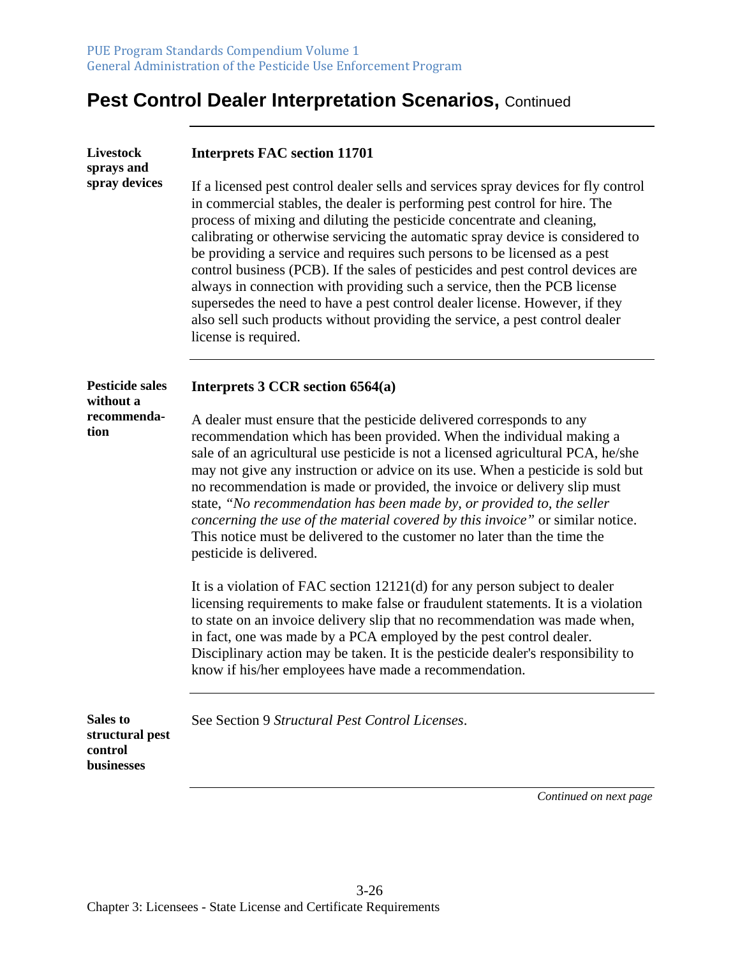| <b>Livestock</b><br>sprays and<br>spray devices      | <b>Interprets FAC section 11701</b>                                                                                                                                                                                                                                                                                                                                                                                                                                                                                                                                                                                                                                                                                                                             |
|------------------------------------------------------|-----------------------------------------------------------------------------------------------------------------------------------------------------------------------------------------------------------------------------------------------------------------------------------------------------------------------------------------------------------------------------------------------------------------------------------------------------------------------------------------------------------------------------------------------------------------------------------------------------------------------------------------------------------------------------------------------------------------------------------------------------------------|
|                                                      | If a licensed pest control dealer sells and services spray devices for fly control<br>in commercial stables, the dealer is performing pest control for hire. The<br>process of mixing and diluting the pesticide concentrate and cleaning,<br>calibrating or otherwise servicing the automatic spray device is considered to<br>be providing a service and requires such persons to be licensed as a pest<br>control business (PCB). If the sales of pesticides and pest control devices are<br>always in connection with providing such a service, then the PCB license<br>supersedes the need to have a pest control dealer license. However, if they<br>also sell such products without providing the service, a pest control dealer<br>license is required. |
| <b>Pesticide sales</b><br>without a                  | Interprets 3 CCR section 6564(a)                                                                                                                                                                                                                                                                                                                                                                                                                                                                                                                                                                                                                                                                                                                                |
| recommenda-<br>tion                                  | A dealer must ensure that the pesticide delivered corresponds to any<br>recommendation which has been provided. When the individual making a<br>sale of an agricultural use pesticide is not a licensed agricultural PCA, he/she<br>may not give any instruction or advice on its use. When a pesticide is sold but<br>no recommendation is made or provided, the invoice or delivery slip must<br>state, "No recommendation has been made by, or provided to, the seller<br>concerning the use of the material covered by this invoice" or similar notice.<br>This notice must be delivered to the customer no later than the time the<br>pesticide is delivered.                                                                                              |
|                                                      | It is a violation of FAC section 12121(d) for any person subject to dealer<br>licensing requirements to make false or fraudulent statements. It is a violation<br>to state on an invoice delivery slip that no recommendation was made when,<br>in fact, one was made by a PCA employed by the pest control dealer.<br>Disciplinary action may be taken. It is the pesticide dealer's responsibility to<br>know if his/her employees have made a recommendation.                                                                                                                                                                                                                                                                                                |
| Sales to<br>structural pest<br>control<br>businesses | See Section 9 Structural Pest Control Licenses.                                                                                                                                                                                                                                                                                                                                                                                                                                                                                                                                                                                                                                                                                                                 |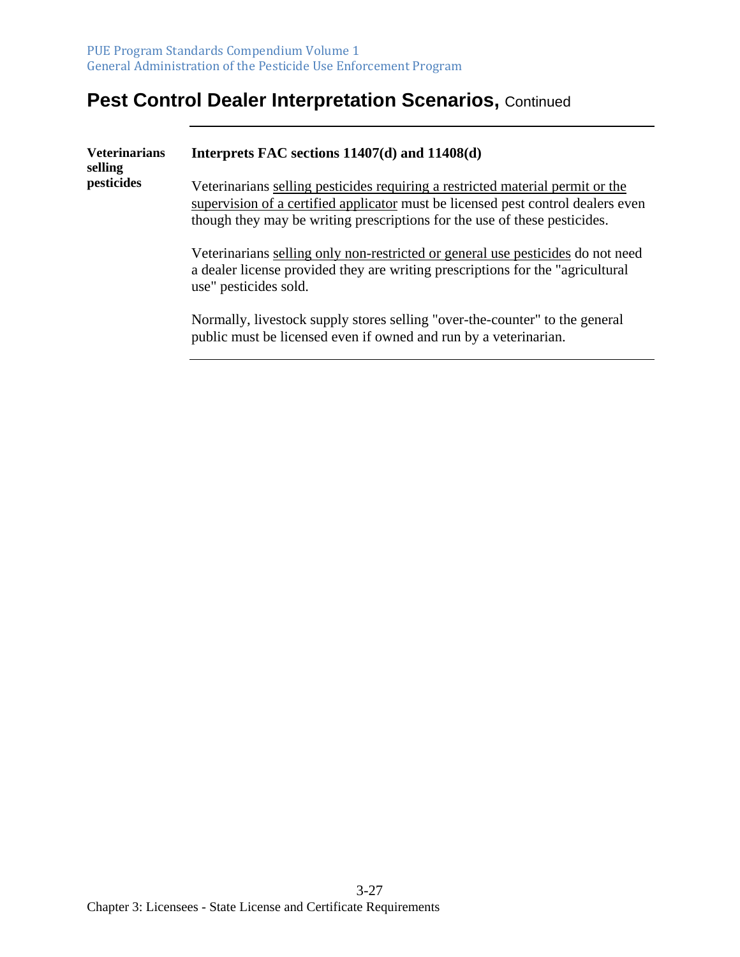| <b>Veterinarians</b><br>selling | Interprets FAC sections 11407(d) and 11408(d)                                                                                                                                                                                                   |
|---------------------------------|-------------------------------------------------------------------------------------------------------------------------------------------------------------------------------------------------------------------------------------------------|
| pesticides                      | Veterinarians selling pesticides requiring a restricted material permit or the<br>supervision of a certified applicator must be licensed pest control dealers even<br>though they may be writing prescriptions for the use of these pesticides. |
|                                 | Veterinarians selling only non-restricted or general use pesticides do not need<br>a dealer license provided they are writing prescriptions for the "agricultural"<br>use" pesticides sold.                                                     |
|                                 | Normally, livestock supply stores selling "over-the-counter" to the general<br>public must be licensed even if owned and run by a veterinarian.                                                                                                 |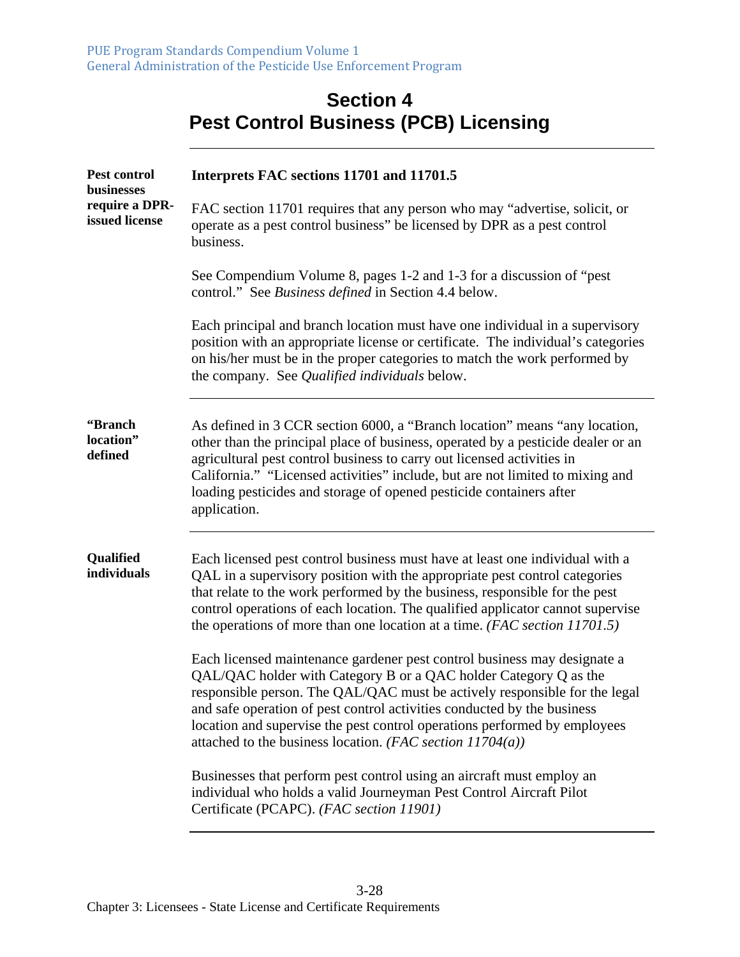|                                  | <b>Pest Control Business (PCB) Licensing</b>                                                                                                                                                                                                                                                                                                                                                                                                       |
|----------------------------------|----------------------------------------------------------------------------------------------------------------------------------------------------------------------------------------------------------------------------------------------------------------------------------------------------------------------------------------------------------------------------------------------------------------------------------------------------|
| Pest control<br>businesses       | Interprets FAC sections 11701 and 11701.5                                                                                                                                                                                                                                                                                                                                                                                                          |
| require a DPR-<br>issued license | FAC section 11701 requires that any person who may "advertise, solicit, or<br>operate as a pest control business" be licensed by DPR as a pest control<br>business.                                                                                                                                                                                                                                                                                |
|                                  | See Compendium Volume 8, pages 1-2 and 1-3 for a discussion of "pest"<br>control." See Business defined in Section 4.4 below.                                                                                                                                                                                                                                                                                                                      |
|                                  | Each principal and branch location must have one individual in a supervisory<br>position with an appropriate license or certificate. The individual's categories<br>on his/her must be in the proper categories to match the work performed by<br>the company. See Qualified individuals below.                                                                                                                                                    |
| "Branch<br>location"<br>defined  | As defined in 3 CCR section 6000, a "Branch location" means "any location,<br>other than the principal place of business, operated by a pesticide dealer or an<br>agricultural pest control business to carry out licensed activities in<br>California." "Licensed activities" include, but are not limited to mixing and<br>loading pesticides and storage of opened pesticide containers after<br>application.                                   |
| Qualified<br>individuals         | Each licensed pest control business must have at least one individual with a<br>QAL in a supervisory position with the appropriate pest control categories<br>that relate to the work performed by the business, responsible for the pest<br>control operations of each location. The qualified applicator cannot supervise<br>the operations of more than one location at a time. $(FAC \, section \, 11701.5)$                                   |
|                                  | Each licensed maintenance gardener pest control business may designate a<br>QAL/QAC holder with Category B or a QAC holder Category Q as the<br>responsible person. The QAL/QAC must be actively responsible for the legal<br>and safe operation of pest control activities conducted by the business<br>location and supervise the pest control operations performed by employees<br>attached to the business location. (FAC section $11704(a)$ ) |
|                                  | Businesses that perform pest control using an aircraft must employ an<br>individual who holds a valid Journeyman Pest Control Aircraft Pilot<br>Certificate (PCAPC). (FAC section 11901)                                                                                                                                                                                                                                                           |

# **Section 4**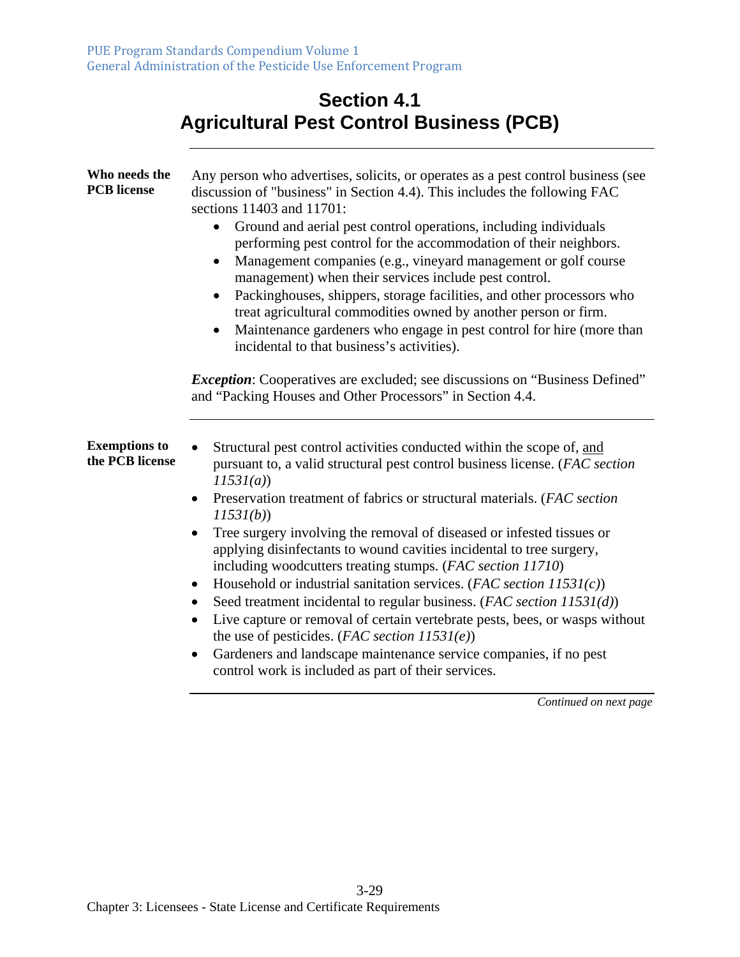| <b>Section 4.1</b>                              |
|-------------------------------------------------|
| <b>Agricultural Pest Control Business (PCB)</b> |

| Who needs the<br><b>PCB</b> license     | Any person who advertises, solicits, or operates as a pest control business (see<br>discussion of "business" in Section 4.4). This includes the following FAC<br>sections 11403 and 11701:<br>Ground and aerial pest control operations, including individuals<br>$\bullet$<br>performing pest control for the accommodation of their neighbors.<br>Management companies (e.g., vineyard management or golf course<br>management) when their services include pest control.<br>Packinghouses, shippers, storage facilities, and other processors who<br>treat agricultural commodities owned by another person or firm.<br>Maintenance gardeners who engage in pest control for hire (more than<br>incidental to that business's activities).                                                                                                                                                                                        |
|-----------------------------------------|--------------------------------------------------------------------------------------------------------------------------------------------------------------------------------------------------------------------------------------------------------------------------------------------------------------------------------------------------------------------------------------------------------------------------------------------------------------------------------------------------------------------------------------------------------------------------------------------------------------------------------------------------------------------------------------------------------------------------------------------------------------------------------------------------------------------------------------------------------------------------------------------------------------------------------------|
|                                         | <i>Exception:</i> Cooperatives are excluded; see discussions on "Business Defined"<br>and "Packing Houses and Other Processors" in Section 4.4.                                                                                                                                                                                                                                                                                                                                                                                                                                                                                                                                                                                                                                                                                                                                                                                      |
| <b>Exemptions to</b><br>the PCB license | Structural pest control activities conducted within the scope of, and<br>pursuant to, a valid structural pest control business license. (FAC section<br>11531(a)<br>Preservation treatment of fabrics or structural materials. (FAC section<br>11531(b)<br>Tree surgery involving the removal of diseased or infested tissues or<br>$\bullet$<br>applying disinfectants to wound cavities incidental to tree surgery,<br>including woodcutters treating stumps. (FAC section 11710)<br>Household or industrial sanitation services. (FAC section $11531(c)$ )<br>٠<br>Seed treatment incidental to regular business. (FAC section 11531(d))<br>Live capture or removal of certain vertebrate pests, bees, or wasps without<br>$\bullet$<br>the use of pesticides. (FAC section $11531(e)$ )<br>Gardeners and landscape maintenance service companies, if no pest<br>$\bullet$<br>control work is included as part of their services. |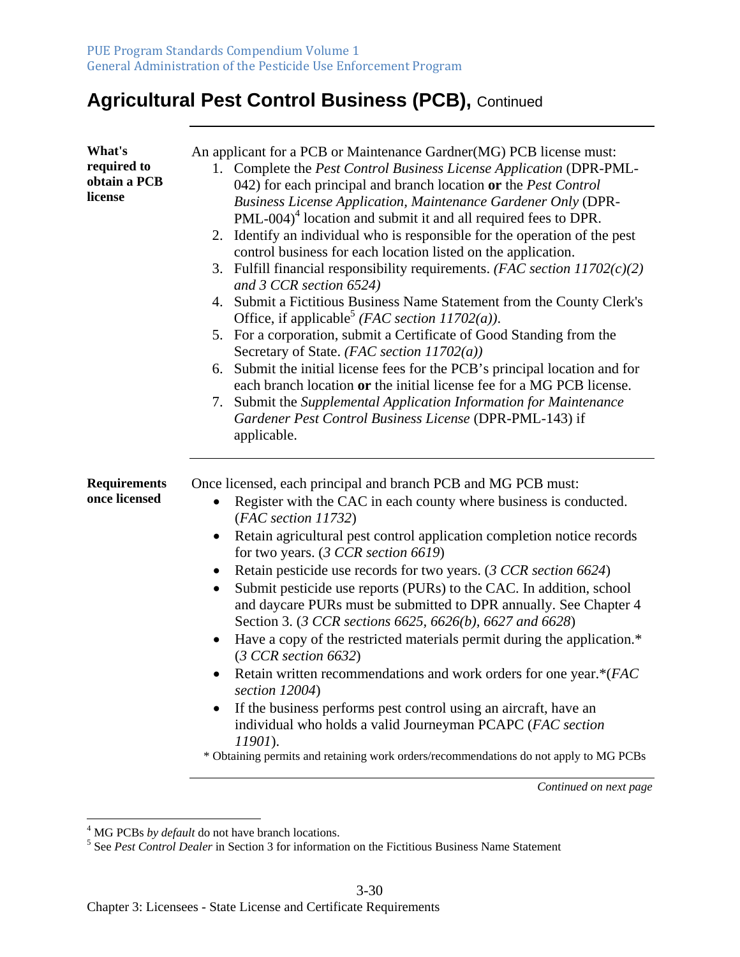# **Agricultural Pest Control Business (PCB),** Continued

| What's<br>required to<br>obtain a PCB<br>license | An applicant for a PCB or Maintenance Gardner(MG) PCB license must:<br>1. Complete the Pest Control Business License Application (DPR-PML-<br>042) for each principal and branch location or the <i>Pest Control</i><br><b>Business License Application, Maintenance Gardener Only (DPR-</b><br>PML-004) <sup>4</sup> location and submit it and all required fees to DPR.<br>2. Identify an individual who is responsible for the operation of the pest<br>control business for each location listed on the application.<br>3. Fulfill financial responsibility requirements. ( <i>FAC section <math>11702(c)(2)</math></i> )<br>and 3 CCR section 6524)<br>4. Submit a Fictitious Business Name Statement from the County Clerk's<br>Office, if applicable <sup>5</sup> ( <i>FAC section 11702(a)</i> ).<br>5. For a corporation, submit a Certificate of Good Standing from the<br>Secretary of State. ( <i>FAC section 11702(a)</i> )<br>6. Submit the initial license fees for the PCB's principal location and for<br>each branch location or the initial license fee for a MG PCB license.<br>7. Submit the Supplemental Application Information for Maintenance<br>Gardener Pest Control Business License (DPR-PML-143) if<br>applicable. |
|--------------------------------------------------|---------------------------------------------------------------------------------------------------------------------------------------------------------------------------------------------------------------------------------------------------------------------------------------------------------------------------------------------------------------------------------------------------------------------------------------------------------------------------------------------------------------------------------------------------------------------------------------------------------------------------------------------------------------------------------------------------------------------------------------------------------------------------------------------------------------------------------------------------------------------------------------------------------------------------------------------------------------------------------------------------------------------------------------------------------------------------------------------------------------------------------------------------------------------------------------------------------------------------------------------------|
| <b>Requirements</b><br>once licensed             | Once licensed, each principal and branch PCB and MG PCB must:<br>Register with the CAC in each county where business is conducted.<br>$\bullet$<br>(FAC section 11732)<br>Retain agricultural pest control application completion notice records<br>$\bullet$<br>for two years. $(3 CCR section 6619)$<br>Retain pesticide use records for two years. (3 CCR section 6624)<br>$\bullet$<br>Submit pesticide use reports (PURs) to the CAC. In addition, school<br>$\bullet$<br>and daycare PURs must be submitted to DPR annually. See Chapter 4<br>Section 3. (3 CCR sections 6625, 6626(b), 6627 and 6628)<br>Have a copy of the restricted materials permit during the application.*<br>$\bullet$<br>(3 CCR section 6632)<br>Retain written recommendations and work orders for one year.*(FAC<br>section 12004)<br>If the business performs pest control using an aircraft, have an<br>$\bullet$<br>individual who holds a valid Journeyman PCAPC (FAC section<br>11901).<br>* Obtaining permits and retaining work orders/recommendations do not apply to MG PCBs                                                                                                                                                                            |

<sup>&</sup>lt;sup>4</sup> MG PCBs *by default* do not have branch locations.<br><sup>5</sup> See *Pest Control Dealer* in Section 3 for information on the Fictitious Business Name Statement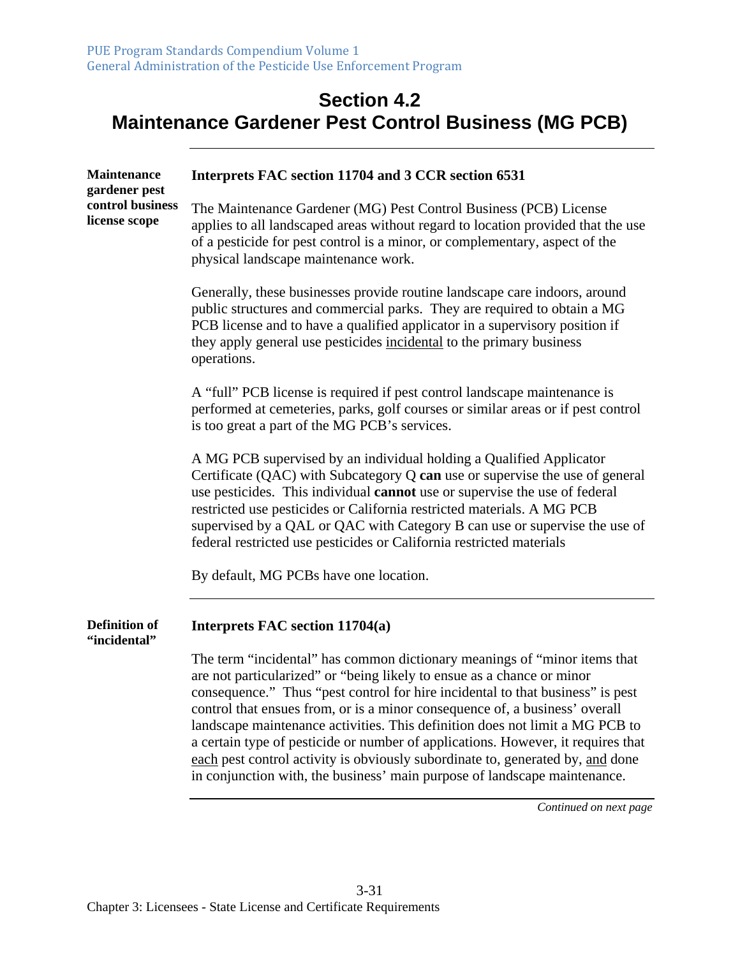#### **Section 4.2 Maintenance Gardener Pest Control Business (MG PCB)**

| <b>Maintenance</b><br>gardener pest<br>control business<br>license scope | Interprets FAC section 11704 and 3 CCR section 6531                                                                                                                                                                                                                                                                                                                                                                                                                                                                                                                                                                                                     |
|--------------------------------------------------------------------------|---------------------------------------------------------------------------------------------------------------------------------------------------------------------------------------------------------------------------------------------------------------------------------------------------------------------------------------------------------------------------------------------------------------------------------------------------------------------------------------------------------------------------------------------------------------------------------------------------------------------------------------------------------|
|                                                                          | The Maintenance Gardener (MG) Pest Control Business (PCB) License<br>applies to all landscaped areas without regard to location provided that the use<br>of a pesticide for pest control is a minor, or complementary, aspect of the<br>physical landscape maintenance work.                                                                                                                                                                                                                                                                                                                                                                            |
|                                                                          | Generally, these businesses provide routine landscape care indoors, around<br>public structures and commercial parks. They are required to obtain a MG<br>PCB license and to have a qualified applicator in a supervisory position if<br>they apply general use pesticides incidental to the primary business<br>operations.                                                                                                                                                                                                                                                                                                                            |
|                                                                          | A "full" PCB license is required if pest control landscape maintenance is<br>performed at cemeteries, parks, golf courses or similar areas or if pest control<br>is too great a part of the MG PCB's services.                                                                                                                                                                                                                                                                                                                                                                                                                                          |
|                                                                          | A MG PCB supervised by an individual holding a Qualified Applicator<br>Certificate (QAC) with Subcategory Q can use or supervise the use of general<br>use pesticides. This individual cannot use or supervise the use of federal<br>restricted use pesticides or California restricted materials. A MG PCB<br>supervised by a QAL or QAC with Category B can use or supervise the use of<br>federal restricted use pesticides or California restricted materials                                                                                                                                                                                       |
|                                                                          | By default, MG PCBs have one location.                                                                                                                                                                                                                                                                                                                                                                                                                                                                                                                                                                                                                  |
| <b>Definition of</b><br>"incidental"                                     | Interprets FAC section 11704(a)                                                                                                                                                                                                                                                                                                                                                                                                                                                                                                                                                                                                                         |
|                                                                          | The term "incidental" has common dictionary meanings of "minor items that<br>are not particularized" or "being likely to ensue as a chance or minor<br>consequence." Thus "pest control for hire incidental to that business" is pest<br>control that ensues from, or is a minor consequence of, a business' overall<br>landscape maintenance activities. This definition does not limit a MG PCB to<br>a certain type of pesticide or number of applications. However, it requires that<br>each pest control activity is obviously subordinate to, generated by, and done<br>in conjunction with, the business' main purpose of landscape maintenance. |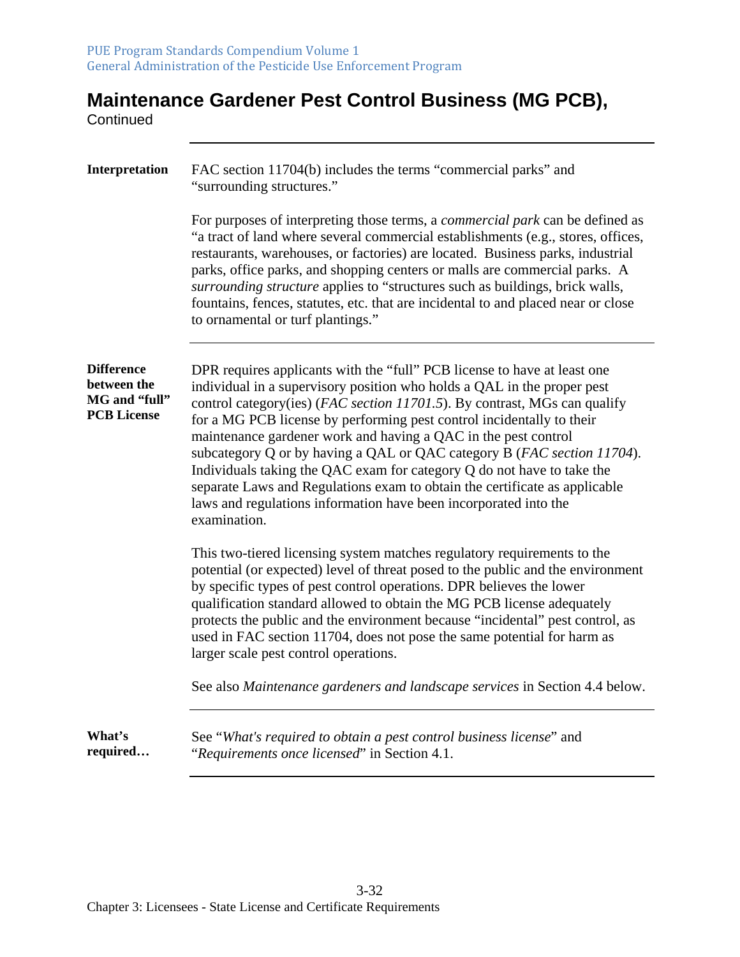# **Maintenance Gardener Pest Control Business (MG PCB),**

**Continued** 

| Interpretation                                                          | FAC section 11704(b) includes the terms "commercial parks" and<br>"surrounding structures."                                                                                                                                                                                                                                                                                                                                                                                                                                                                                                                                                                                                        |
|-------------------------------------------------------------------------|----------------------------------------------------------------------------------------------------------------------------------------------------------------------------------------------------------------------------------------------------------------------------------------------------------------------------------------------------------------------------------------------------------------------------------------------------------------------------------------------------------------------------------------------------------------------------------------------------------------------------------------------------------------------------------------------------|
|                                                                         | For purposes of interpreting those terms, a <i>commercial park</i> can be defined as<br>"a tract of land where several commercial establishments (e.g., stores, offices,<br>restaurants, warehouses, or factories) are located. Business parks, industrial<br>parks, office parks, and shopping centers or malls are commercial parks. A<br>surrounding structure applies to "structures such as buildings, brick walls,<br>fountains, fences, statutes, etc. that are incidental to and placed near or close<br>to ornamental or turf plantings."                                                                                                                                                 |
| <b>Difference</b><br>between the<br>MG and "full"<br><b>PCB</b> License | DPR requires applicants with the "full" PCB license to have at least one<br>individual in a supervisory position who holds a QAL in the proper pest<br>control category(ies) (FAC section 11701.5). By contrast, MGs can qualify<br>for a MG PCB license by performing pest control incidentally to their<br>maintenance gardener work and having a QAC in the pest control<br>subcategory Q or by having a QAL or QAC category B (FAC section 11704).<br>Individuals taking the QAC exam for category Q do not have to take the<br>separate Laws and Regulations exam to obtain the certificate as applicable<br>laws and regulations information have been incorporated into the<br>examination. |
|                                                                         | This two-tiered licensing system matches regulatory requirements to the<br>potential (or expected) level of threat posed to the public and the environment<br>by specific types of pest control operations. DPR believes the lower<br>qualification standard allowed to obtain the MG PCB license adequately<br>protects the public and the environment because "incidental" pest control, as<br>used in FAC section 11704, does not pose the same potential for harm as<br>larger scale pest control operations.                                                                                                                                                                                  |
|                                                                         | See also Maintenance gardeners and landscape services in Section 4.4 below.                                                                                                                                                                                                                                                                                                                                                                                                                                                                                                                                                                                                                        |
| What's<br>required                                                      | See "What's required to obtain a pest control business license" and<br>"Requirements once licensed" in Section 4.1.                                                                                                                                                                                                                                                                                                                                                                                                                                                                                                                                                                                |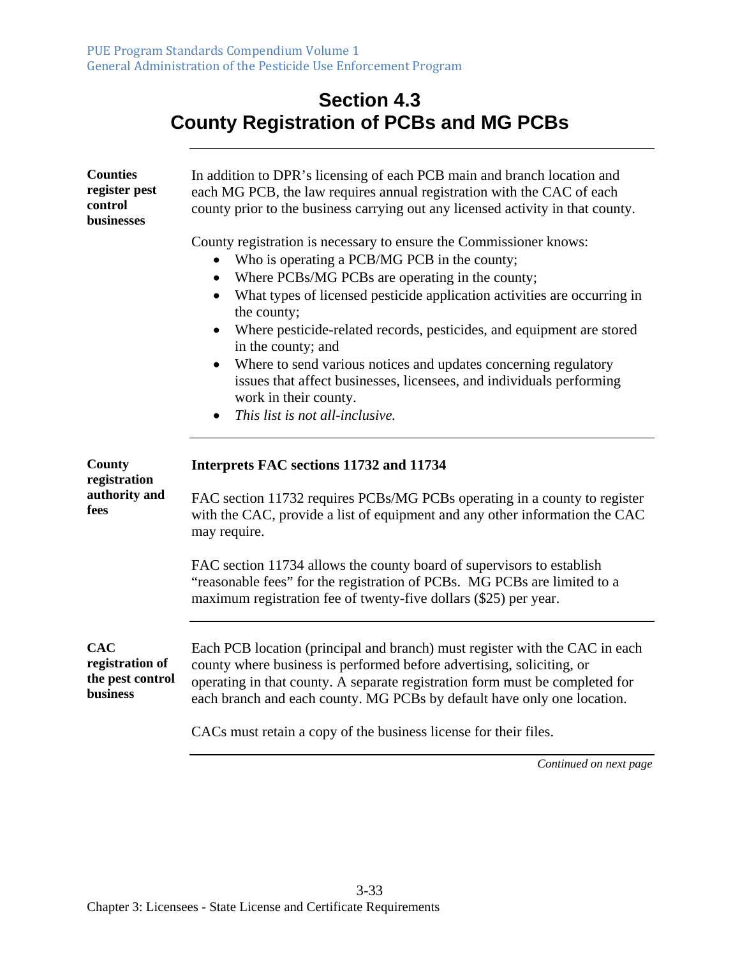#### **Section 4.3 County Registration of PCBs and MG PCBs**

| <b>Counties</b><br>register pest<br>control<br>businesses     | In addition to DPR's licensing of each PCB main and branch location and<br>each MG PCB, the law requires annual registration with the CAC of each<br>county prior to the business carrying out any licensed activity in that county.                                                                                                                                                                                                                                                                                                                                                             |
|---------------------------------------------------------------|--------------------------------------------------------------------------------------------------------------------------------------------------------------------------------------------------------------------------------------------------------------------------------------------------------------------------------------------------------------------------------------------------------------------------------------------------------------------------------------------------------------------------------------------------------------------------------------------------|
|                                                               | County registration is necessary to ensure the Commissioner knows:<br>Who is operating a PCB/MG PCB in the county;<br>Where PCBs/MG PCBs are operating in the county;<br>$\bullet$<br>What types of licensed pesticide application activities are occurring in<br>the county;<br>Where pesticide-related records, pesticides, and equipment are stored<br>in the county; and<br>Where to send various notices and updates concerning regulatory<br>$\bullet$<br>issues that affect businesses, licensees, and individuals performing<br>work in their county.<br>This list is not all-inclusive. |
| County<br>registration<br>authority and<br>fees               | Interprets FAC sections 11732 and 11734<br>FAC section 11732 requires PCBs/MG PCBs operating in a county to register<br>with the CAC, provide a list of equipment and any other information the CAC<br>may require.<br>FAC section 11734 allows the county board of supervisors to establish<br>"reasonable fees" for the registration of PCBs. MG PCBs are limited to a                                                                                                                                                                                                                         |
| <b>CAC</b><br>registration of<br>the pest control<br>business | maximum registration fee of twenty-five dollars (\$25) per year.<br>Each PCB location (principal and branch) must register with the CAC in each<br>county where business is performed before advertising, soliciting, or<br>operating in that county. A separate registration form must be completed for<br>each branch and each county. MG PCBs by default have only one location.                                                                                                                                                                                                              |
|                                                               | CACs must retain a copy of the business license for their files.                                                                                                                                                                                                                                                                                                                                                                                                                                                                                                                                 |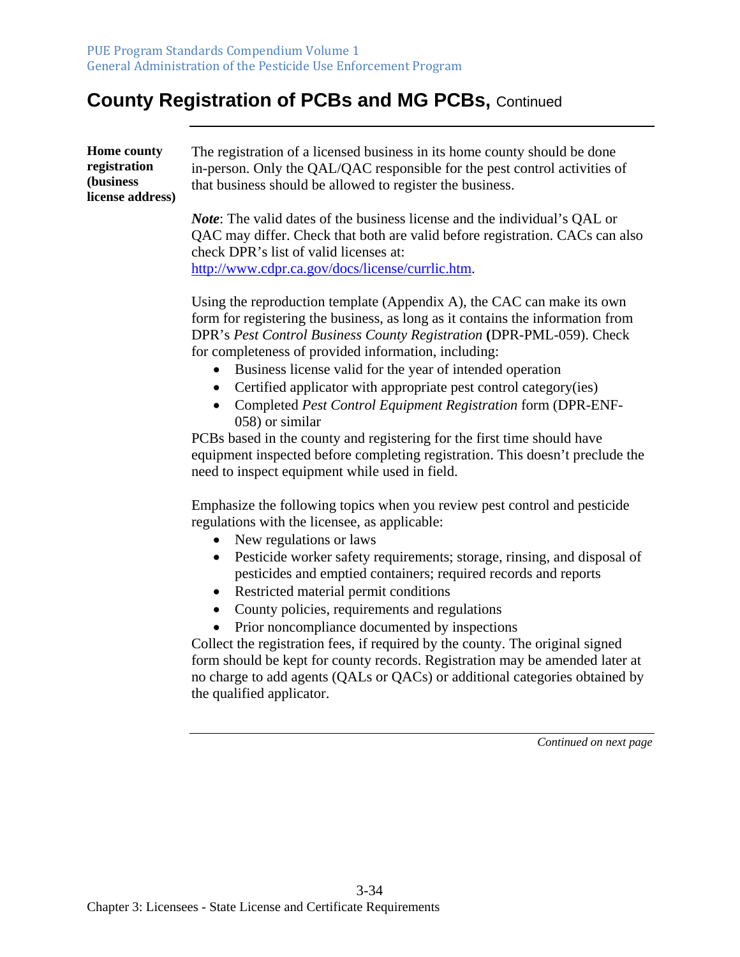#### **County Registration of PCBs and MG PCBs,** Continued

| <b>Home county</b><br>registration<br>(business)<br>license address) | The registration of a licensed business in its home county should be done<br>in-person. Only the QAL/QAC responsible for the pest control activities of<br>that business should be allowed to register the business. |
|----------------------------------------------------------------------|----------------------------------------------------------------------------------------------------------------------------------------------------------------------------------------------------------------------|
|                                                                      | <i>Note:</i> The valid dates of the business license and the individual's QAL or<br>QAC may differ. Check that both are valid before registration. CACs can also<br>check DPR's list of valid licenses at:           |

[http://www.cdpr.ca.gov/docs/license/currlic.htm.](http://www.cdpr.ca.gov/docs/license/currlic.htm) 

Using the reproduction template (Appendix A), the CAC can make its own form for registering the business, as long as it contains the information from DPR's *Pest Control Business County Registration* **(**DPR-PML-059). Check for completeness of provided information, including:

- Business license valid for the year of intended operation
- Certified applicator with appropriate pest control category(ies)
- Completed *Pest Control Equipment Registration* form (DPR-ENF-058) or similar

PCBs based in the county and registering for the first time should have equipment inspected before completing registration. This doesn't preclude the need to inspect equipment while used in field.

Emphasize the following topics when you review pest control and pesticide regulations with the licensee, as applicable:

- New regulations or laws
- Pesticide worker safety requirements; storage, rinsing, and disposal of pesticides and emptied containers; required records and reports
- Restricted material permit conditions
- County policies, requirements and regulations
- Prior noncompliance documented by inspections

Collect the registration fees, if required by the county. The original signed form should be kept for county records. Registration may be amended later at no charge to add agents (QALs or QACs) or additional categories obtained by the qualified applicator.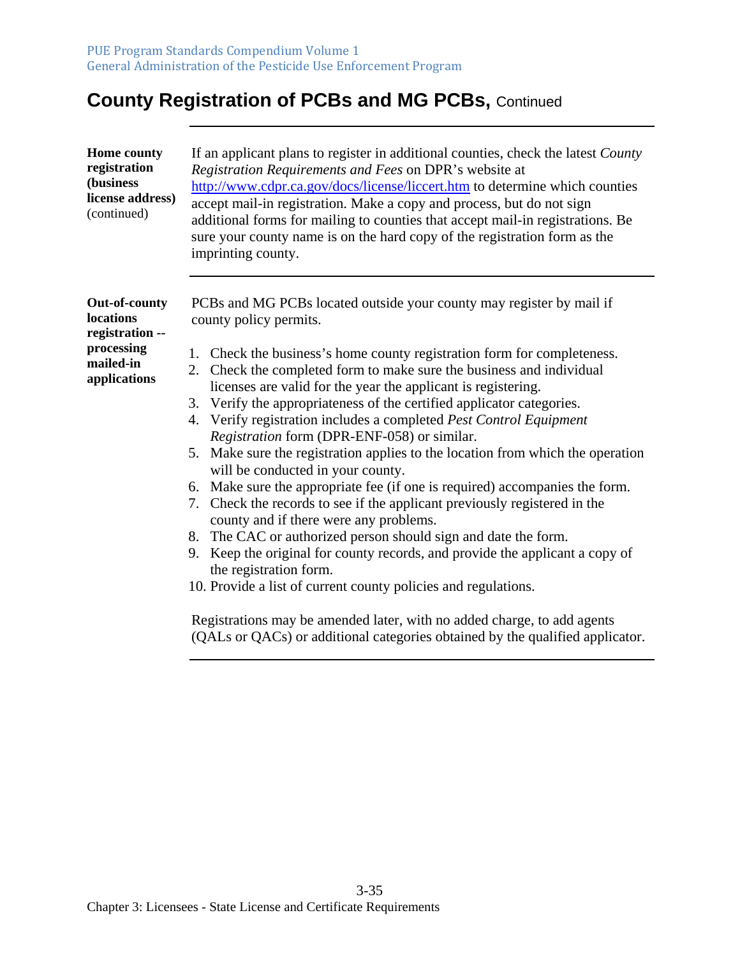#### **County Registration of PCBs and MG PCBs,** Continued

| <b>Home county</b><br>registration<br>(business<br>license address)<br>(continued) | If an applicant plans to register in additional counties, check the latest County<br>Registration Requirements and Fees on DPR's website at<br>http://www.cdpr.ca.gov/docs/license/liccert.htm to determine which counties<br>accept mail-in registration. Make a copy and process, but do not sign<br>additional forms for mailing to counties that accept mail-in registrations. Be<br>sure your county name is on the hard copy of the registration form as the<br>imprinting county. |
|------------------------------------------------------------------------------------|------------------------------------------------------------------------------------------------------------------------------------------------------------------------------------------------------------------------------------------------------------------------------------------------------------------------------------------------------------------------------------------------------------------------------------------------------------------------------------------|
| <b>Out-of-county</b><br><b>locations</b><br>registration --                        | PCBs and MG PCBs located outside your county may register by mail if<br>county policy permits.                                                                                                                                                                                                                                                                                                                                                                                           |
| processing<br>mailed-in                                                            | Check the business's home county registration form for completeness.<br>1.<br>2. Check the completed form to make sure the business and individual                                                                                                                                                                                                                                                                                                                                       |
| applications                                                                       | licenses are valid for the year the applicant is registering.                                                                                                                                                                                                                                                                                                                                                                                                                            |
|                                                                                    | 3. Verify the appropriateness of the certified applicator categories.                                                                                                                                                                                                                                                                                                                                                                                                                    |
|                                                                                    | 4. Verify registration includes a completed Pest Control Equipment                                                                                                                                                                                                                                                                                                                                                                                                                       |
|                                                                                    | Registration form (DPR-ENF-058) or similar.                                                                                                                                                                                                                                                                                                                                                                                                                                              |
|                                                                                    | Make sure the registration applies to the location from which the operation<br>5.<br>will be conducted in your county.                                                                                                                                                                                                                                                                                                                                                                   |
|                                                                                    | 6. Make sure the appropriate fee (if one is required) accompanies the form.                                                                                                                                                                                                                                                                                                                                                                                                              |
|                                                                                    | 7. Check the records to see if the applicant previously registered in the                                                                                                                                                                                                                                                                                                                                                                                                                |
|                                                                                    | county and if there were any problems.                                                                                                                                                                                                                                                                                                                                                                                                                                                   |
|                                                                                    | The CAC or authorized person should sign and date the form.<br>8.                                                                                                                                                                                                                                                                                                                                                                                                                        |
|                                                                                    | Keep the original for county records, and provide the applicant a copy of<br>9.<br>the registration form.                                                                                                                                                                                                                                                                                                                                                                                |
|                                                                                    | 10. Provide a list of current county policies and regulations.                                                                                                                                                                                                                                                                                                                                                                                                                           |
|                                                                                    | Registrations may be amended later, with no added charge, to add agents<br>(QALs or QACs) or additional categories obtained by the qualified applicator.                                                                                                                                                                                                                                                                                                                                 |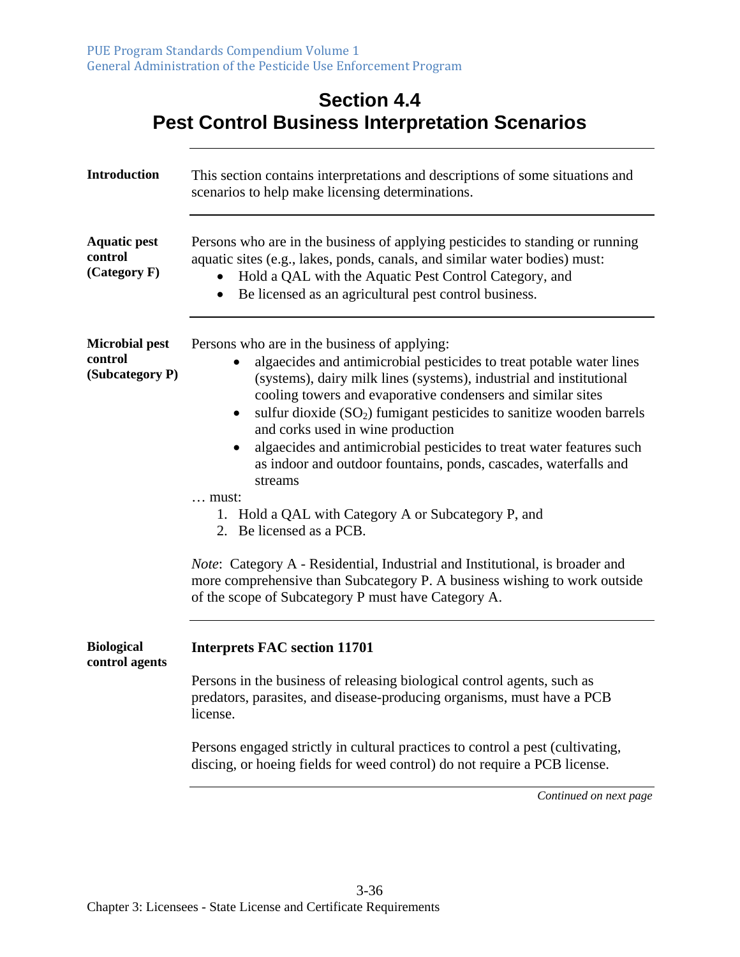#### **Section 4.4 Pest Control Business Interpretation Scenarios**

| <b>Introduction</b>                                 | This section contains interpretations and descriptions of some situations and<br>scenarios to help make licensing determinations.                                                                                                                                                                                                                                                                                                                                                                                                                                                                                                                                                                                                                                                                                                      |
|-----------------------------------------------------|----------------------------------------------------------------------------------------------------------------------------------------------------------------------------------------------------------------------------------------------------------------------------------------------------------------------------------------------------------------------------------------------------------------------------------------------------------------------------------------------------------------------------------------------------------------------------------------------------------------------------------------------------------------------------------------------------------------------------------------------------------------------------------------------------------------------------------------|
| <b>Aquatic pest</b><br>control<br>(Categorical)     | Persons who are in the business of applying pesticides to standing or running<br>aquatic sites (e.g., lakes, ponds, canals, and similar water bodies) must:<br>Hold a QAL with the Aquatic Pest Control Category, and<br>Be licensed as an agricultural pest control business.<br>$\bullet$                                                                                                                                                                                                                                                                                                                                                                                                                                                                                                                                            |
| <b>Microbial pest</b><br>control<br>(Subcategory P) | Persons who are in the business of applying:<br>algaecides and antimicrobial pesticides to treat potable water lines<br>(systems), dairy milk lines (systems), industrial and institutional<br>cooling towers and evaporative condensers and similar sites<br>sulfur dioxide (SO <sub>2</sub> ) fumigant pesticides to sanitize wooden barrels<br>$\bullet$<br>and corks used in wine production<br>algaecides and antimicrobial pesticides to treat water features such<br>$\bullet$<br>as indoor and outdoor fountains, ponds, cascades, waterfalls and<br>streams<br>$\ldots$ must:<br>1. Hold a QAL with Category A or Subcategory P, and<br>2. Be licensed as a PCB.<br>Note: Category A - Residential, Industrial and Institutional, is broader and<br>more comprehensive than Subcategory P. A business wishing to work outside |
|                                                     | of the scope of Subcategory P must have Category A.                                                                                                                                                                                                                                                                                                                                                                                                                                                                                                                                                                                                                                                                                                                                                                                    |
| <b>Biological</b><br>control agents                 | <b>Interprets FAC section 11701</b>                                                                                                                                                                                                                                                                                                                                                                                                                                                                                                                                                                                                                                                                                                                                                                                                    |
|                                                     | Persons in the business of releasing biological control agents, such as<br>predators, parasites, and disease-producing organisms, must have a PCB<br>license.                                                                                                                                                                                                                                                                                                                                                                                                                                                                                                                                                                                                                                                                          |
|                                                     | Persons engaged strictly in cultural practices to control a pest (cultivating,<br>discing, or hoeing fields for weed control) do not require a PCB license.                                                                                                                                                                                                                                                                                                                                                                                                                                                                                                                                                                                                                                                                            |
|                                                     | Continued on next page                                                                                                                                                                                                                                                                                                                                                                                                                                                                                                                                                                                                                                                                                                                                                                                                                 |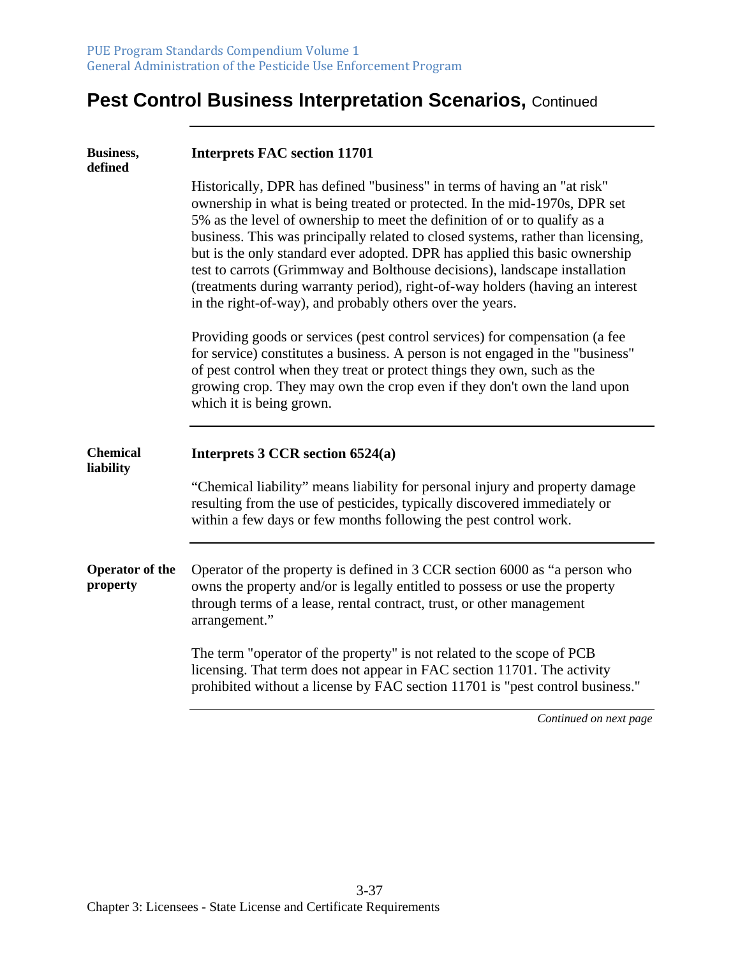| <b>Business,</b><br>defined        | <b>Interprets FAC section 11701</b>                                                                                                                                                                                                                                                                                                                                                                                                                                                                                                                                                                                                |
|------------------------------------|------------------------------------------------------------------------------------------------------------------------------------------------------------------------------------------------------------------------------------------------------------------------------------------------------------------------------------------------------------------------------------------------------------------------------------------------------------------------------------------------------------------------------------------------------------------------------------------------------------------------------------|
|                                    | Historically, DPR has defined "business" in terms of having an "at risk"<br>ownership in what is being treated or protected. In the mid-1970s, DPR set<br>5% as the level of ownership to meet the definition of or to qualify as a<br>business. This was principally related to closed systems, rather than licensing,<br>but is the only standard ever adopted. DPR has applied this basic ownership<br>test to carrots (Grimmway and Bolthouse decisions), landscape installation<br>(treatments during warranty period), right-of-way holders (having an interest<br>in the right-of-way), and probably others over the years. |
|                                    | Providing goods or services (pest control services) for compensation (a fee<br>for service) constitutes a business. A person is not engaged in the "business"<br>of pest control when they treat or protect things they own, such as the<br>growing crop. They may own the crop even if they don't own the land upon<br>which it is being grown.                                                                                                                                                                                                                                                                                   |
| <b>Chemical</b><br>liability       | Interprets $3$ CCR section $6524(a)$                                                                                                                                                                                                                                                                                                                                                                                                                                                                                                                                                                                               |
|                                    | "Chemical liability" means liability for personal injury and property damage<br>resulting from the use of pesticides, typically discovered immediately or<br>within a few days or few months following the pest control work.                                                                                                                                                                                                                                                                                                                                                                                                      |
| <b>Operator of the</b><br>property | Operator of the property is defined in 3 CCR section 6000 as "a person who<br>owns the property and/or is legally entitled to possess or use the property<br>through terms of a lease, rental contract, trust, or other management<br>arrangement."                                                                                                                                                                                                                                                                                                                                                                                |
|                                    | The term "operator of the property" is not related to the scope of PCB<br>licensing. That term does not appear in FAC section 11701. The activity<br>prohibited without a license by FAC section 11701 is "pest control business."                                                                                                                                                                                                                                                                                                                                                                                                 |
|                                    | Continued on next page                                                                                                                                                                                                                                                                                                                                                                                                                                                                                                                                                                                                             |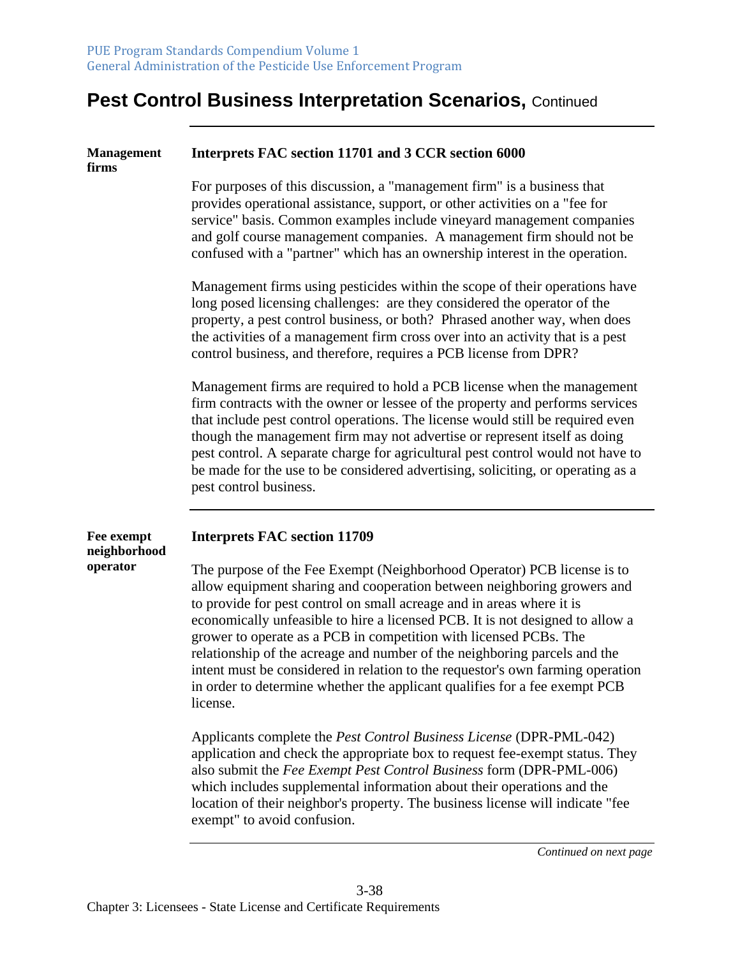| <b>Management</b><br>firms | Interprets FAC section 11701 and 3 CCR section 6000                                                                                                                                                                                                                                                                                                                                                                                                                                                                                                                                                                                        |
|----------------------------|--------------------------------------------------------------------------------------------------------------------------------------------------------------------------------------------------------------------------------------------------------------------------------------------------------------------------------------------------------------------------------------------------------------------------------------------------------------------------------------------------------------------------------------------------------------------------------------------------------------------------------------------|
|                            | For purposes of this discussion, a "management firm" is a business that<br>provides operational assistance, support, or other activities on a "fee for<br>service" basis. Common examples include vineyard management companies<br>and golf course management companies. A management firm should not be<br>confused with a "partner" which has an ownership interest in the operation.                                                                                                                                                                                                                                                    |
|                            | Management firms using pesticides within the scope of their operations have<br>long posed licensing challenges: are they considered the operator of the<br>property, a pest control business, or both? Phrased another way, when does<br>the activities of a management firm cross over into an activity that is a pest<br>control business, and therefore, requires a PCB license from DPR?                                                                                                                                                                                                                                               |
|                            | Management firms are required to hold a PCB license when the management<br>firm contracts with the owner or lessee of the property and performs services<br>that include pest control operations. The license would still be required even<br>though the management firm may not advertise or represent itself as doing<br>pest control. A separate charge for agricultural pest control would not have to<br>be made for the use to be considered advertising, soliciting, or operating as a<br>pest control business.                                                                                                                    |
| Fee exempt<br>neighborhood | <b>Interprets FAC section 11709</b>                                                                                                                                                                                                                                                                                                                                                                                                                                                                                                                                                                                                        |
| operator                   | The purpose of the Fee Exempt (Neighborhood Operator) PCB license is to<br>allow equipment sharing and cooperation between neighboring growers and<br>to provide for pest control on small acreage and in areas where it is<br>economically unfeasible to hire a licensed PCB. It is not designed to allow a<br>grower to operate as a PCB in competition with licensed PCBs. The<br>relationship of the acreage and number of the neighboring parcels and the<br>intent must be considered in relation to the requestor's own farming operation<br>in order to determine whether the applicant qualifies for a fee exempt PCB<br>license. |
|                            | Applicants complete the <i>Pest Control Business License</i> (DPR-PML-042)<br>application and check the appropriate box to request fee-exempt status. They<br>also submit the Fee Exempt Pest Control Business form (DPR-PML-006)<br>which includes supplemental information about their operations and the<br>location of their neighbor's property. The business license will indicate "fee<br>exempt" to avoid confusion.                                                                                                                                                                                                               |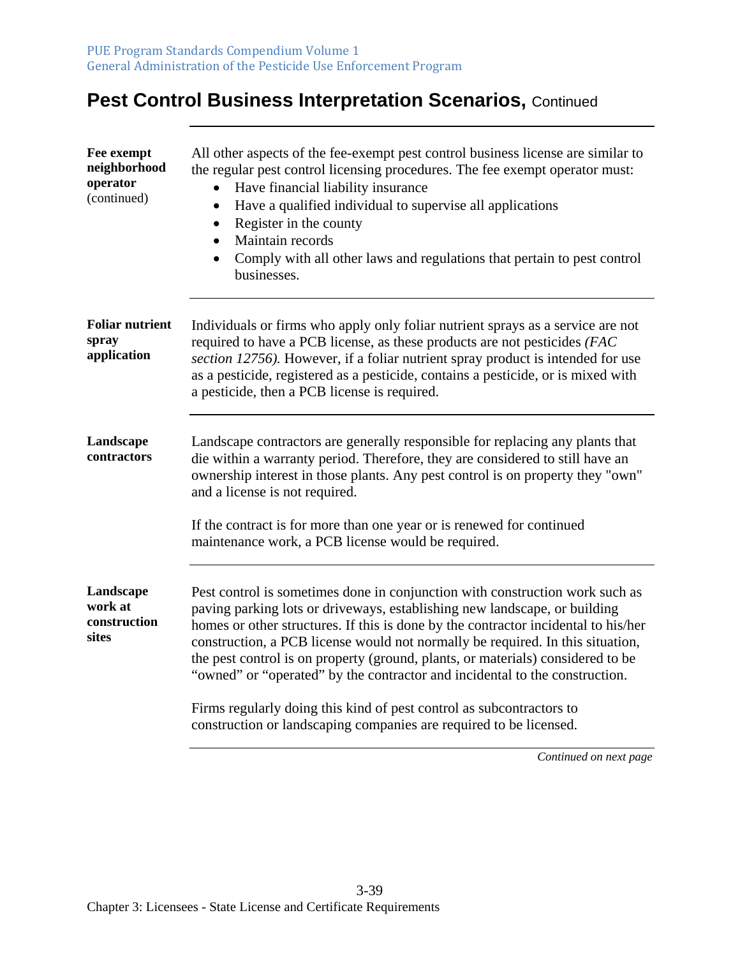| Fee exempt<br>neighborhood<br>operator<br>(continued) | All other aspects of the fee-exempt pest control business license are similar to<br>the regular pest control licensing procedures. The fee exempt operator must:<br>Have financial liability insurance<br>Have a qualified individual to supervise all applications<br>٠<br>Register in the county<br>$\bullet$<br>Maintain records<br>$\bullet$<br>Comply with all other laws and regulations that pertain to pest control<br>$\bullet$<br>businesses.                                                                                                                                                                                           |
|-------------------------------------------------------|---------------------------------------------------------------------------------------------------------------------------------------------------------------------------------------------------------------------------------------------------------------------------------------------------------------------------------------------------------------------------------------------------------------------------------------------------------------------------------------------------------------------------------------------------------------------------------------------------------------------------------------------------|
| <b>Foliar nutrient</b><br>spray<br>application        | Individuals or firms who apply only foliar nutrient sprays as a service are not<br>required to have a PCB license, as these products are not pesticides (FAC<br>section 12756). However, if a foliar nutrient spray product is intended for use<br>as a pesticide, registered as a pesticide, contains a pesticide, or is mixed with<br>a pesticide, then a PCB license is required.                                                                                                                                                                                                                                                              |
| Landscape<br>contractors                              | Landscape contractors are generally responsible for replacing any plants that<br>die within a warranty period. Therefore, they are considered to still have an<br>ownership interest in those plants. Any pest control is on property they "own"<br>and a license is not required.<br>If the contract is for more than one year or is renewed for continued<br>maintenance work, a PCB license would be required.                                                                                                                                                                                                                                 |
| Landscape<br>work at<br>construction<br>sites         | Pest control is sometimes done in conjunction with construction work such as<br>paving parking lots or driveways, establishing new landscape, or building<br>homes or other structures. If this is done by the contractor incidental to his/her<br>construction, a PCB license would not normally be required. In this situation,<br>the pest control is on property (ground, plants, or materials) considered to be<br>"owned" or "operated" by the contractor and incidental to the construction.<br>Firms regularly doing this kind of pest control as subcontractors to<br>construction or landscaping companies are required to be licensed. |
|                                                       | Continued on next page                                                                                                                                                                                                                                                                                                                                                                                                                                                                                                                                                                                                                            |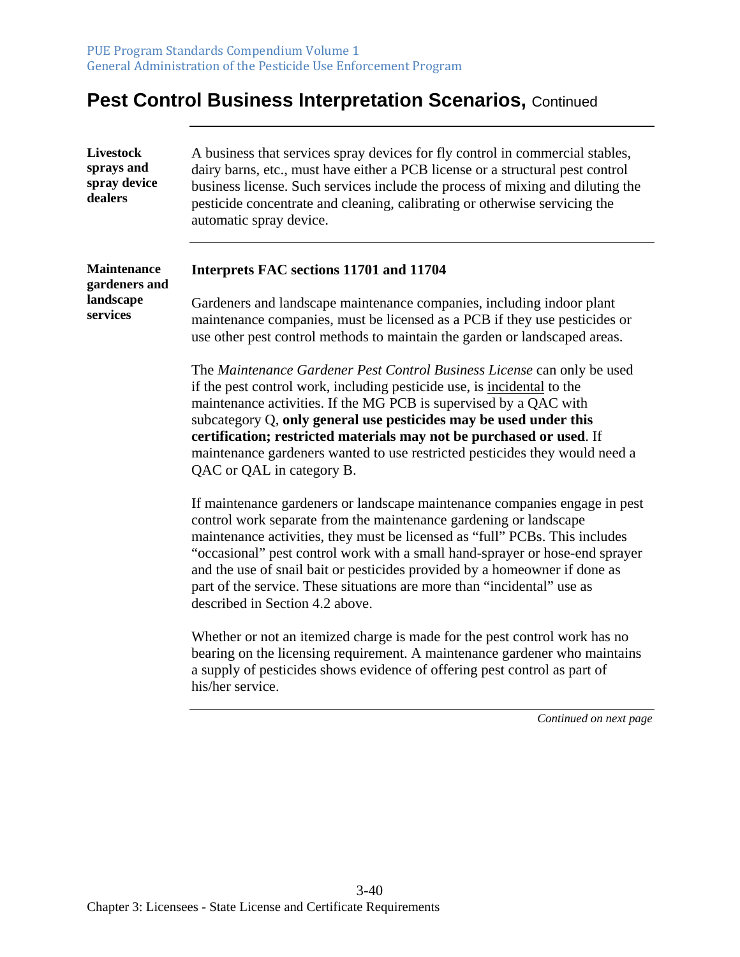| <b>Livestock</b><br>sprays and<br>spray device<br>dealers | A business that services spray devices for fly control in commercial stables,<br>dairy barns, etc., must have either a PCB license or a structural pest control<br>business license. Such services include the process of mixing and diluting the<br>pesticide concentrate and cleaning, calibrating or otherwise servicing the<br>automatic spray device.                                                                                                                                                 |
|-----------------------------------------------------------|------------------------------------------------------------------------------------------------------------------------------------------------------------------------------------------------------------------------------------------------------------------------------------------------------------------------------------------------------------------------------------------------------------------------------------------------------------------------------------------------------------|
| <b>Maintenance</b><br>gardeners and                       | Interprets FAC sections 11701 and 11704                                                                                                                                                                                                                                                                                                                                                                                                                                                                    |
| landscape<br>services                                     | Gardeners and landscape maintenance companies, including indoor plant<br>maintenance companies, must be licensed as a PCB if they use pesticides or<br>use other pest control methods to maintain the garden or landscaped areas.                                                                                                                                                                                                                                                                          |
|                                                           | The Maintenance Gardener Pest Control Business License can only be used<br>if the pest control work, including pesticide use, is incidental to the<br>maintenance activities. If the MG PCB is supervised by a QAC with<br>subcategory Q, only general use pesticides may be used under this<br>certification; restricted materials may not be purchased or used. If<br>maintenance gardeners wanted to use restricted pesticides they would need a<br>QAC or QAL in category B.                           |
|                                                           | If maintenance gardeners or landscape maintenance companies engage in pest<br>control work separate from the maintenance gardening or landscape<br>maintenance activities, they must be licensed as "full" PCBs. This includes<br>"occasional" pest control work with a small hand-sprayer or hose-end sprayer<br>and the use of snail bait or pesticides provided by a homeowner if done as<br>part of the service. These situations are more than "incidental" use as<br>described in Section 4.2 above. |
|                                                           | Whether or not an itemized charge is made for the pest control work has no<br>bearing on the licensing requirement. A maintenance gardener who maintains<br>a supply of pesticides shows evidence of offering pest control as part of<br>his/her service.                                                                                                                                                                                                                                                  |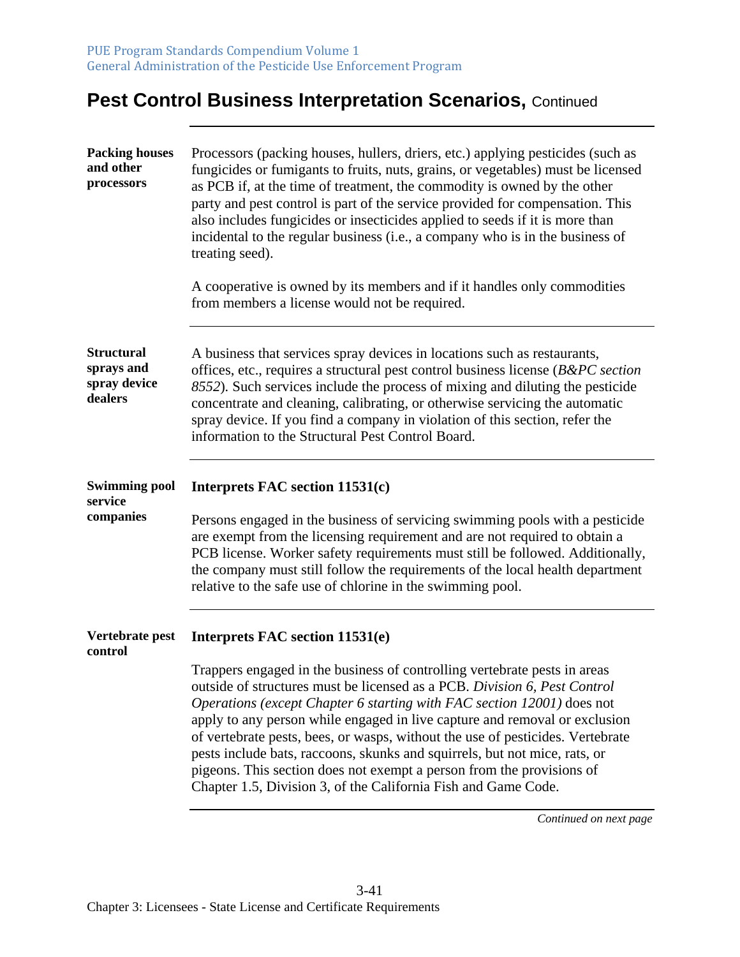| <b>Packing houses</b><br>and other<br>processors           | Processors (packing houses, hullers, driers, etc.) applying pesticides (such as<br>fungicides or fumigants to fruits, nuts, grains, or vegetables) must be licensed<br>as PCB if, at the time of treatment, the commodity is owned by the other<br>party and pest control is part of the service provided for compensation. This<br>also includes fungicides or insecticides applied to seeds if it is more than<br>incidental to the regular business (i.e., a company who is in the business of<br>treating seed).<br>A cooperative is owned by its members and if it handles only commodities<br>from members a license would not be required.            |
|------------------------------------------------------------|--------------------------------------------------------------------------------------------------------------------------------------------------------------------------------------------------------------------------------------------------------------------------------------------------------------------------------------------------------------------------------------------------------------------------------------------------------------------------------------------------------------------------------------------------------------------------------------------------------------------------------------------------------------|
| <b>Structural</b><br>sprays and<br>spray device<br>dealers | A business that services spray devices in locations such as restaurants,<br>offices, etc., requires a structural pest control business license ( $B\&PC\, section$<br>8552). Such services include the process of mixing and diluting the pesticide<br>concentrate and cleaning, calibrating, or otherwise servicing the automatic<br>spray device. If you find a company in violation of this section, refer the<br>information to the Structural Pest Control Board.                                                                                                                                                                                       |
| <b>Swimming pool</b><br>service<br>companies               | Interprets FAC section 11531(c)<br>Persons engaged in the business of servicing swimming pools with a pesticide<br>are exempt from the licensing requirement and are not required to obtain a<br>PCB license. Worker safety requirements must still be followed. Additionally,<br>the company must still follow the requirements of the local health department<br>relative to the safe use of chlorine in the swimming pool.                                                                                                                                                                                                                                |
| Vertebrate pest<br>control                                 | Interprets FAC section 11531(e)<br>Trappers engaged in the business of controlling vertebrate pests in areas<br>outside of structures must be licensed as a PCB. Division 6, Pest Control<br>Operations (except Chapter 6 starting with FAC section 12001) does not<br>apply to any person while engaged in live capture and removal or exclusion<br>of vertebrate pests, bees, or wasps, without the use of pesticides. Vertebrate<br>pests include bats, raccoons, skunks and squirrels, but not mice, rats, or<br>pigeons. This section does not exempt a person from the provisions of<br>Chapter 1.5, Division 3, of the California Fish and Game Code. |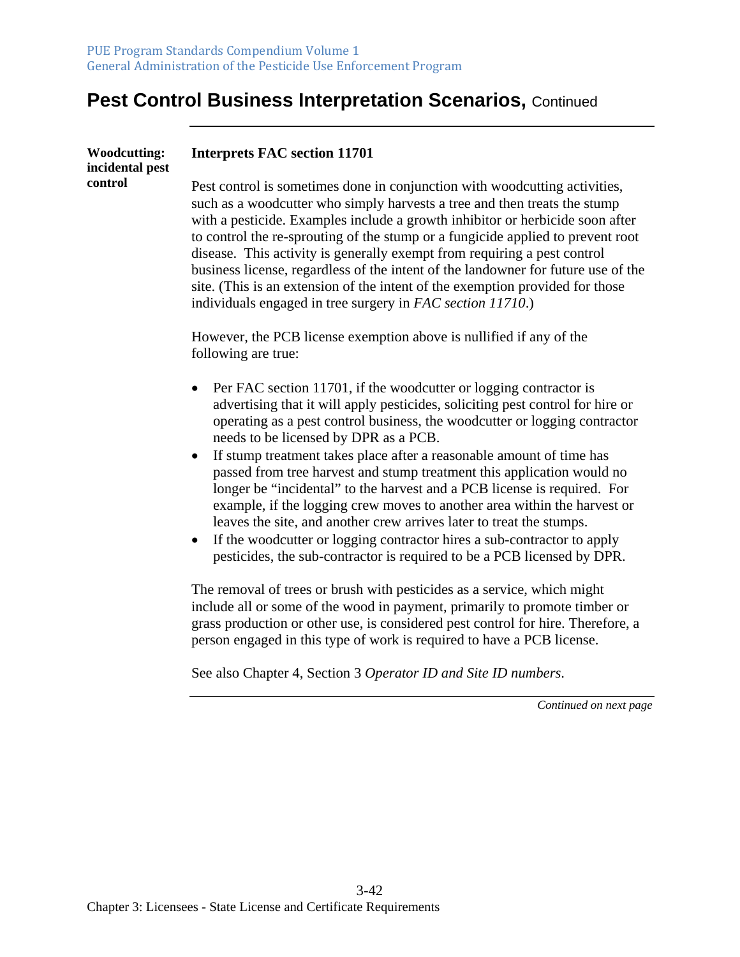| <b>Woodcutting:</b><br>incidental pest | <b>Interprets FAC section 11701</b>                                                                                                                                                                                                                                                                                                                                                                                                                                                                                                                                                                                                         |
|----------------------------------------|---------------------------------------------------------------------------------------------------------------------------------------------------------------------------------------------------------------------------------------------------------------------------------------------------------------------------------------------------------------------------------------------------------------------------------------------------------------------------------------------------------------------------------------------------------------------------------------------------------------------------------------------|
| control                                | Pest control is sometimes done in conjunction with woodcutting activities,<br>such as a woodcutter who simply harvests a tree and then treats the stump<br>with a pesticide. Examples include a growth inhibitor or herbicide soon after<br>to control the re-sprouting of the stump or a fungicide applied to prevent root<br>disease. This activity is generally exempt from requiring a pest control<br>business license, regardless of the intent of the landowner for future use of the<br>site. (This is an extension of the intent of the exemption provided for those<br>individuals engaged in tree surgery in FAC section 11710.) |
|                                        | However, the PCB license exemption above is nullified if any of the<br>following are true:                                                                                                                                                                                                                                                                                                                                                                                                                                                                                                                                                  |
|                                        | Per FAC section 11701, if the woodcutter or logging contractor is<br>$\bullet$<br>advertising that it will apply pesticides, soliciting pest control for hire or<br>operating as a pest control business, the woodcutter or logging contractor<br>needs to be licensed by DPR as a PCB.                                                                                                                                                                                                                                                                                                                                                     |
|                                        | If stump treatment takes place after a reasonable amount of time has<br>$\bullet$<br>passed from tree harvest and stump treatment this application would no<br>longer be "incidental" to the harvest and a PCB license is required. For<br>example, if the logging crew moves to another area within the harvest or<br>leaves the site, and another crew arrives later to treat the stumps.<br>If the woodcutter or logging contractor hires a sub-contractor to apply<br>$\bullet$<br>pesticides, the sub-contractor is required to be a PCB licensed by DPR.                                                                              |
|                                        | The removal of trees or brush with pesticides as a service, which might<br>include all or some of the wood in payment, primarily to promote timber or<br>grass production or other use, is considered pest control for hire. Therefore, a<br>person engaged in this type of work is required to have a PCB license.                                                                                                                                                                                                                                                                                                                         |

See also Chapter 4, Section 3 *Operator ID and Site ID numbers*.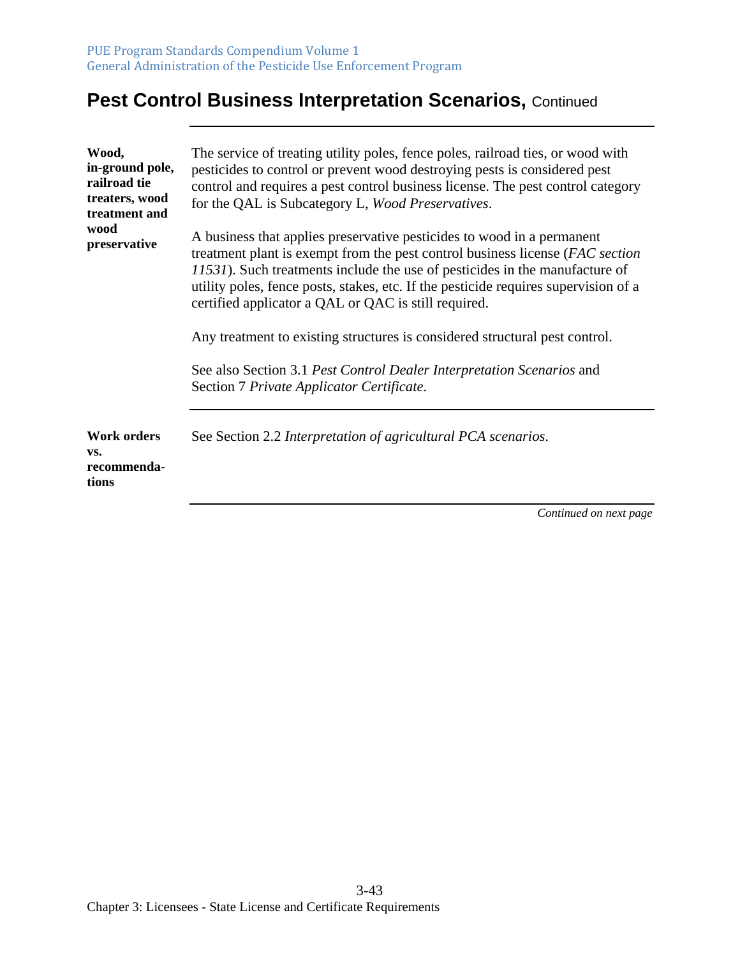| Wood,<br>in-ground pole,<br>railroad tie<br>treaters, wood<br>treatment and | The service of treating utility poles, fence poles, railroad ties, or wood with<br>pesticides to control or prevent wood destroying pests is considered pest<br>control and requires a pest control business license. The pest control category<br>for the QAL is Subcategory L, Wood Preservatives.                                                                                  |
|-----------------------------------------------------------------------------|---------------------------------------------------------------------------------------------------------------------------------------------------------------------------------------------------------------------------------------------------------------------------------------------------------------------------------------------------------------------------------------|
| wood<br>preservative                                                        | A business that applies preservative pesticides to wood in a permanent<br>treatment plant is exempt from the pest control business license (FAC section<br>11531). Such treatments include the use of pesticides in the manufacture of<br>utility poles, fence posts, stakes, etc. If the pesticide requires supervision of a<br>certified applicator a QAL or QAC is still required. |
|                                                                             | Any treatment to existing structures is considered structural pest control.                                                                                                                                                                                                                                                                                                           |
|                                                                             | See also Section 3.1 Pest Control Dealer Interpretation Scenarios and<br>Section 7 Private Applicator Certificate.                                                                                                                                                                                                                                                                    |
| <b>Work orders</b><br>VS.<br>recommenda-<br>tions                           | See Section 2.2 Interpretation of agricultural PCA scenarios.                                                                                                                                                                                                                                                                                                                         |
|                                                                             | Continued on next page                                                                                                                                                                                                                                                                                                                                                                |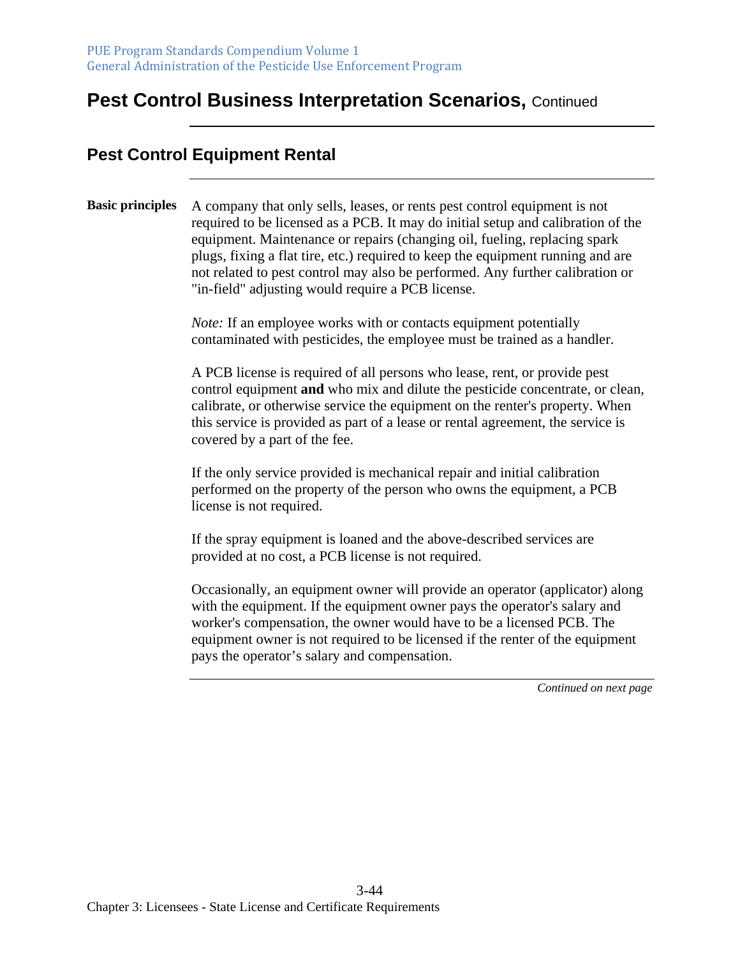#### **Pest Control Equipment Rental**

#### **Basic principles** A company that only sells, leases, or rents pest control equipment is not required to be licensed as a PCB. It may do initial setup and calibration of the equipment. Maintenance or repairs (changing oil, fueling, replacing spark plugs, fixing a flat tire, etc.) required to keep the equipment running and are not related to pest control may also be performed. Any further calibration or "in-field" adjusting would require a PCB license.

*Note:* If an employee works with or contacts equipment potentially contaminated with pesticides, the employee must be trained as a handler.

A PCB license is required of all persons who lease, rent, or provide pest control equipment **and** who mix and dilute the pesticide concentrate, or clean, calibrate, or otherwise service the equipment on the renter's property. When this service is provided as part of a lease or rental agreement, the service is covered by a part of the fee.

If the only service provided is mechanical repair and initial calibration performed on the property of the person who owns the equipment, a PCB license is not required.

If the spray equipment is loaned and the above-described services are provided at no cost, a PCB license is not required.

Occasionally, an equipment owner will provide an operator (applicator) along with the equipment. If the equipment owner pays the operator's salary and worker's compensation, the owner would have to be a licensed PCB. The equipment owner is not required to be licensed if the renter of the equipment pays the operator's salary and compensation.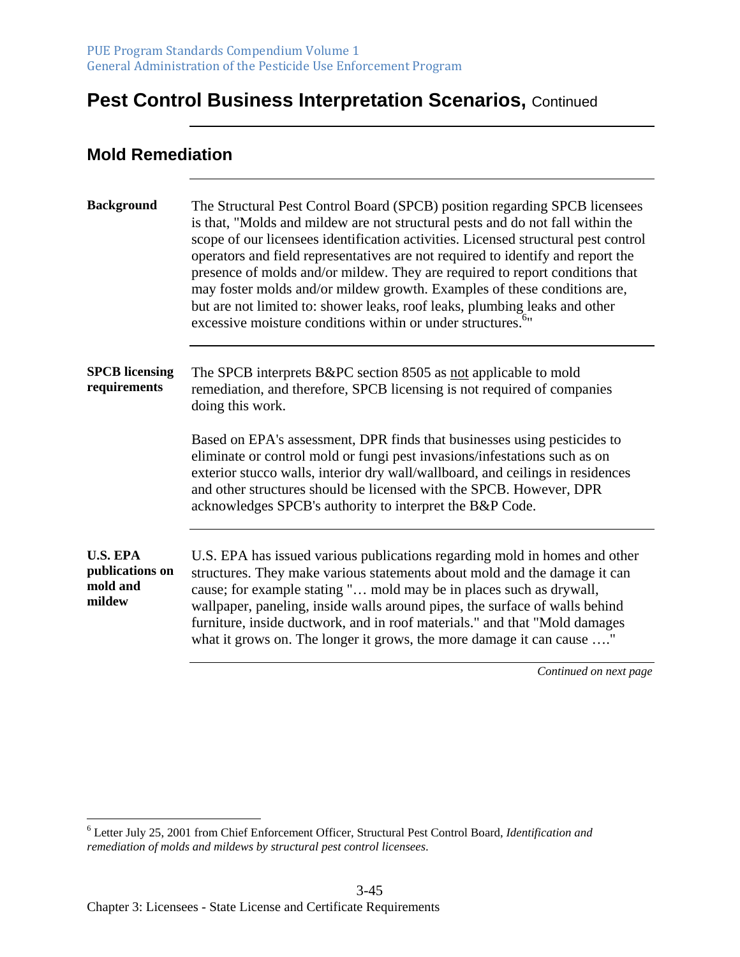#### **Mold Remediation**

| <b>Background</b>                                        | The Structural Pest Control Board (SPCB) position regarding SPCB licensees<br>is that, "Molds and mildew are not structural pests and do not fall within the<br>scope of our licensees identification activities. Licensed structural pest control<br>operators and field representatives are not required to identify and report the<br>presence of molds and/or mildew. They are required to report conditions that<br>may foster molds and/or mildew growth. Examples of these conditions are,<br>but are not limited to: shower leaks, roof leaks, plumbing leaks and other<br>excessive moisture conditions within or under structures. <sup>6</sup> |
|----------------------------------------------------------|-----------------------------------------------------------------------------------------------------------------------------------------------------------------------------------------------------------------------------------------------------------------------------------------------------------------------------------------------------------------------------------------------------------------------------------------------------------------------------------------------------------------------------------------------------------------------------------------------------------------------------------------------------------|
| <b>SPCB</b> licensing<br>requirements                    | The SPCB interprets B&PC section 8505 as not applicable to mold<br>remediation, and therefore, SPCB licensing is not required of companies<br>doing this work.                                                                                                                                                                                                                                                                                                                                                                                                                                                                                            |
|                                                          | Based on EPA's assessment, DPR finds that businesses using pesticides to<br>eliminate or control mold or fungi pest invasions/infestations such as on<br>exterior stucco walls, interior dry wall/wallboard, and ceilings in residences<br>and other structures should be licensed with the SPCB. However, DPR<br>acknowledges SPCB's authority to interpret the B&P Code.                                                                                                                                                                                                                                                                                |
| <b>U.S. EPA</b><br>publications on<br>mold and<br>mildew | U.S. EPA has issued various publications regarding mold in homes and other<br>structures. They make various statements about mold and the damage it can<br>cause; for example stating " mold may be in places such as drywall,<br>wallpaper, paneling, inside walls around pipes, the surface of walls behind<br>furniture, inside ductwork, and in roof materials." and that "Mold damages<br>what it grows on. The longer it grows, the more damage it can cause "                                                                                                                                                                                      |

<sup>6</sup> Letter July 25, 2001 from Chief Enforcement Officer, Structural Pest Control Board, *Identification and remediation of molds and mildews by structural pest control licensees*.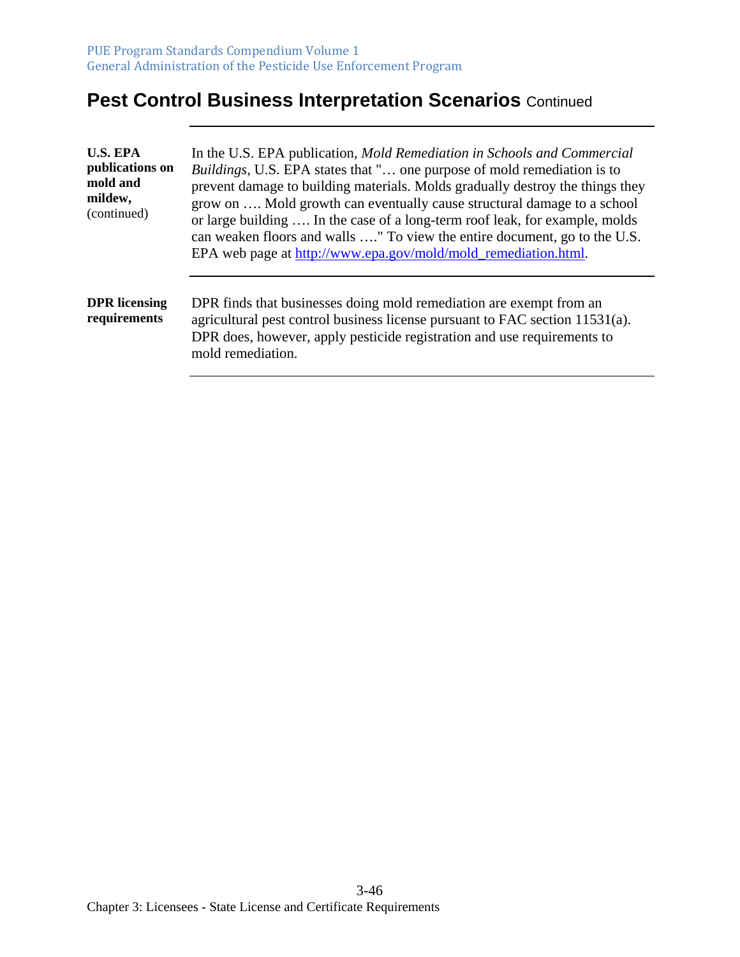| <b>U.S. EPA</b><br>publications on<br>mold and<br>mildew,<br>(continued) | In the U.S. EPA publication, <i>Mold Remediation in Schools and Commercial</i><br><i>Buildings</i> , U.S. EPA states that " one purpose of mold remediation is to<br>prevent damage to building materials. Molds gradually destroy the things they<br>grow on  Mold growth can eventually cause structural damage to a school<br>or large building  In the case of a long-term roof leak, for example, molds<br>can weaken floors and walls " To view the entire document, go to the U.S.<br>EPA web page at http://www.epa.gov/mold/mold_remediation.html. |
|--------------------------------------------------------------------------|-------------------------------------------------------------------------------------------------------------------------------------------------------------------------------------------------------------------------------------------------------------------------------------------------------------------------------------------------------------------------------------------------------------------------------------------------------------------------------------------------------------------------------------------------------------|
| <b>DPR</b> licensing<br>requirements                                     | DPR finds that businesses doing mold remediation are exempt from an<br>agricultural pest control business license pursuant to FAC section 11531(a).<br>DPR does, however, apply pesticide registration and use requirements to<br>mold remediation.                                                                                                                                                                                                                                                                                                         |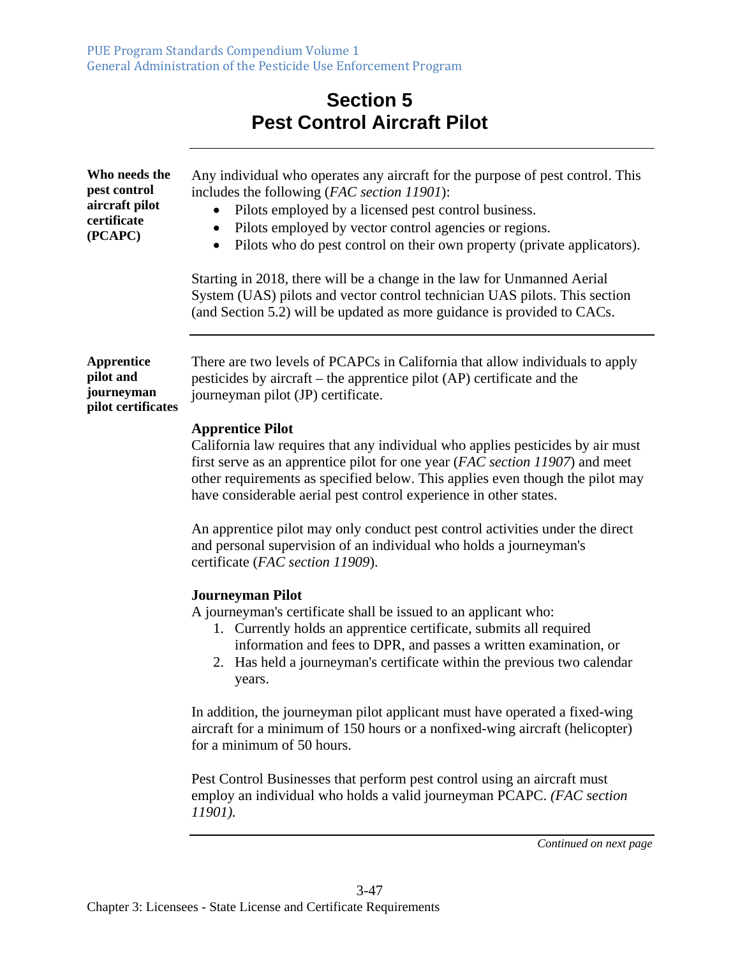## **Section 5 Pest Control Aircraft Pilot**

| Who needs the<br>pest control<br>aircraft pilot<br>certificate<br>(PCAPC) | Any individual who operates any aircraft for the purpose of pest control. This<br>includes the following (FAC section 11901):<br>Pilots employed by a licensed pest control business.<br>Pilots employed by vector control agencies or regions.<br>٠<br>Pilots who do pest control on their own property (private applicators).<br>$\bullet$<br>Starting in 2018, there will be a change in the law for Unmanned Aerial<br>System (UAS) pilots and vector control technician UAS pilots. This section<br>(and Section 5.2) will be updated as more guidance is provided to CACs. |
|---------------------------------------------------------------------------|----------------------------------------------------------------------------------------------------------------------------------------------------------------------------------------------------------------------------------------------------------------------------------------------------------------------------------------------------------------------------------------------------------------------------------------------------------------------------------------------------------------------------------------------------------------------------------|
| <b>Apprentice</b><br>pilot and<br>journeyman<br>pilot certificates        | There are two levels of PCAPCs in California that allow individuals to apply<br>pesticides by aircraft – the apprentice pilot (AP) certificate and the<br>journeyman pilot (JP) certificate.                                                                                                                                                                                                                                                                                                                                                                                     |
|                                                                           | <b>Apprentice Pilot</b><br>California law requires that any individual who applies pesticides by air must<br>first serve as an apprentice pilot for one year (FAC section 11907) and meet<br>other requirements as specified below. This applies even though the pilot may<br>have considerable aerial pest control experience in other states.                                                                                                                                                                                                                                  |
|                                                                           | An apprentice pilot may only conduct pest control activities under the direct<br>and personal supervision of an individual who holds a journeyman's<br>certificate (FAC section 11909).                                                                                                                                                                                                                                                                                                                                                                                          |
|                                                                           | <b>Journeyman Pilot</b><br>A journeyman's certificate shall be issued to an applicant who:<br>1. Currently holds an apprentice certificate, submits all required<br>information and fees to DPR, and passes a written examination, or<br>2. Has held a journeyman's certificate within the previous two calendar<br>years.                                                                                                                                                                                                                                                       |
|                                                                           | In addition, the journeyman pilot applicant must have operated a fixed-wing<br>aircraft for a minimum of 150 hours or a nonfixed-wing aircraft (helicopter)<br>for a minimum of 50 hours.                                                                                                                                                                                                                                                                                                                                                                                        |
|                                                                           | Pest Control Businesses that perform pest control using an aircraft must<br>employ an individual who holds a valid journeyman PCAPC. (FAC section<br>11901).                                                                                                                                                                                                                                                                                                                                                                                                                     |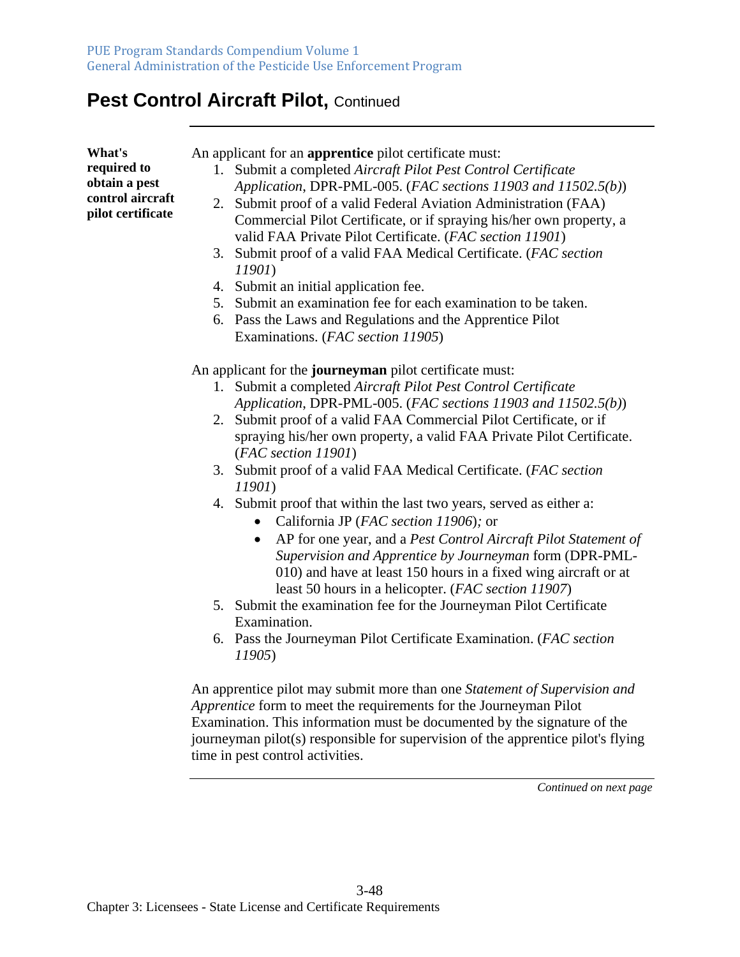## Pest Control Aircraft Pilot, Continued

| An applicant for an <b>apprentice</b> pilot certificate must:<br>1. Submit a completed Aircraft Pilot Pest Control Certificate<br>Application, DPR-PML-005. (FAC sections 11903 and 11502.5(b))<br>2. Submit proof of a valid Federal Aviation Administration (FAA)<br>Commercial Pilot Certificate, or if spraying his/her own property, a<br>valid FAA Private Pilot Certificate. (FAC section 11901)<br>3. Submit proof of a valid FAA Medical Certificate. (FAC section<br><i>11901</i> )<br>4. Submit an initial application fee.<br>5. Submit an examination fee for each examination to be taken.<br>6. Pass the Laws and Regulations and the Apprentice Pilot<br>Examinations. (FAC section 11905)                                                                                                                         |
|------------------------------------------------------------------------------------------------------------------------------------------------------------------------------------------------------------------------------------------------------------------------------------------------------------------------------------------------------------------------------------------------------------------------------------------------------------------------------------------------------------------------------------------------------------------------------------------------------------------------------------------------------------------------------------------------------------------------------------------------------------------------------------------------------------------------------------|
| An applicant for the journeyman pilot certificate must:<br>1. Submit a completed Aircraft Pilot Pest Control Certificate<br>Application, DPR-PML-005. (FAC sections 11903 and 11502.5(b))<br>2. Submit proof of a valid FAA Commercial Pilot Certificate, or if<br>spraying his/her own property, a valid FAA Private Pilot Certificate.<br>(FAC section 11901)<br>3. Submit proof of a valid FAA Medical Certificate. (FAC section<br>11901)<br>4. Submit proof that within the last two years, served as either a:<br>California JP (FAC section 11906); or<br>AP for one year, and a Pest Control Aircraft Pilot Statement of<br>$\bullet$<br>Supervision and Apprentice by Journeyman form (DPR-PML-<br>010) and have at least 150 hours in a fixed wing aircraft or at<br>least 50 hours in a helicopter. (FAC section 11907) |
| 5. Submit the examination fee for the Journeyman Pilot Certificate<br>Examination.<br>6. Pass the Journeyman Pilot Certificate Examination. (FAC section<br>11905)<br>An apprentice pilot may submit more than one Statement of Supervision and<br>Apprentice form to meet the requirements for the Journeyman Pilot<br>Examination. This information must be documented by the signature of the<br>journeyman pilot(s) responsible for supervision of the apprentice pilot's flying                                                                                                                                                                                                                                                                                                                                               |
|                                                                                                                                                                                                                                                                                                                                                                                                                                                                                                                                                                                                                                                                                                                                                                                                                                    |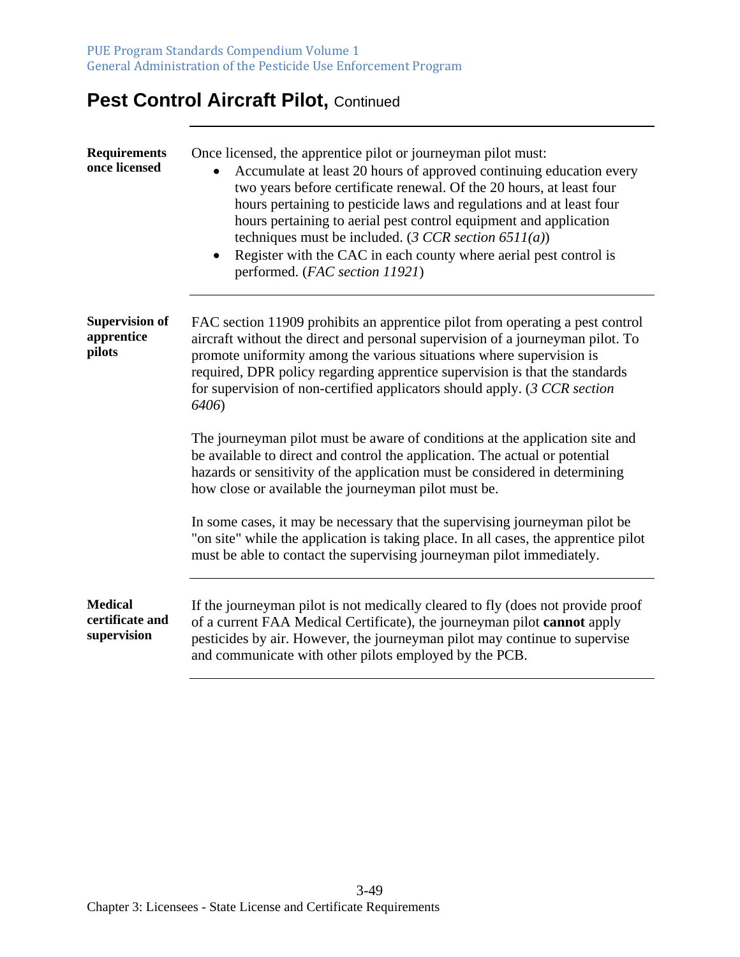## **Pest Control Aircraft Pilot, Continued**

| <b>Requirements</b><br>once licensed             | Once licensed, the apprentice pilot or journeyman pilot must:<br>Accumulate at least 20 hours of approved continuing education every<br>two years before certificate renewal. Of the 20 hours, at least four<br>hours pertaining to pesticide laws and regulations and at least four<br>hours pertaining to aerial pest control equipment and application<br>techniques must be included. (3 CCR section $6511(a)$ )<br>Register with the CAC in each county where aerial pest control is<br>performed. (FAC section 11921) |
|--------------------------------------------------|-----------------------------------------------------------------------------------------------------------------------------------------------------------------------------------------------------------------------------------------------------------------------------------------------------------------------------------------------------------------------------------------------------------------------------------------------------------------------------------------------------------------------------|
| <b>Supervision of</b><br>apprentice<br>pilots    | FAC section 11909 prohibits an apprentice pilot from operating a pest control<br>aircraft without the direct and personal supervision of a journeyman pilot. To<br>promote uniformity among the various situations where supervision is<br>required, DPR policy regarding apprentice supervision is that the standards<br>for supervision of non-certified applicators should apply. (3 CCR section<br>6406)                                                                                                                |
|                                                  | The journeyman pilot must be aware of conditions at the application site and<br>be available to direct and control the application. The actual or potential<br>hazards or sensitivity of the application must be considered in determining<br>how close or available the journeyman pilot must be.                                                                                                                                                                                                                          |
|                                                  | In some cases, it may be necessary that the supervising journeyman pilot be<br>"on site" while the application is taking place. In all cases, the apprentice pilot<br>must be able to contact the supervising journeyman pilot immediately.                                                                                                                                                                                                                                                                                 |
| <b>Medical</b><br>certificate and<br>supervision | If the journeyman pilot is not medically cleared to fly (does not provide proof<br>of a current FAA Medical Certificate), the journeyman pilot cannot apply<br>pesticides by air. However, the journeyman pilot may continue to supervise<br>and communicate with other pilots employed by the PCB.                                                                                                                                                                                                                         |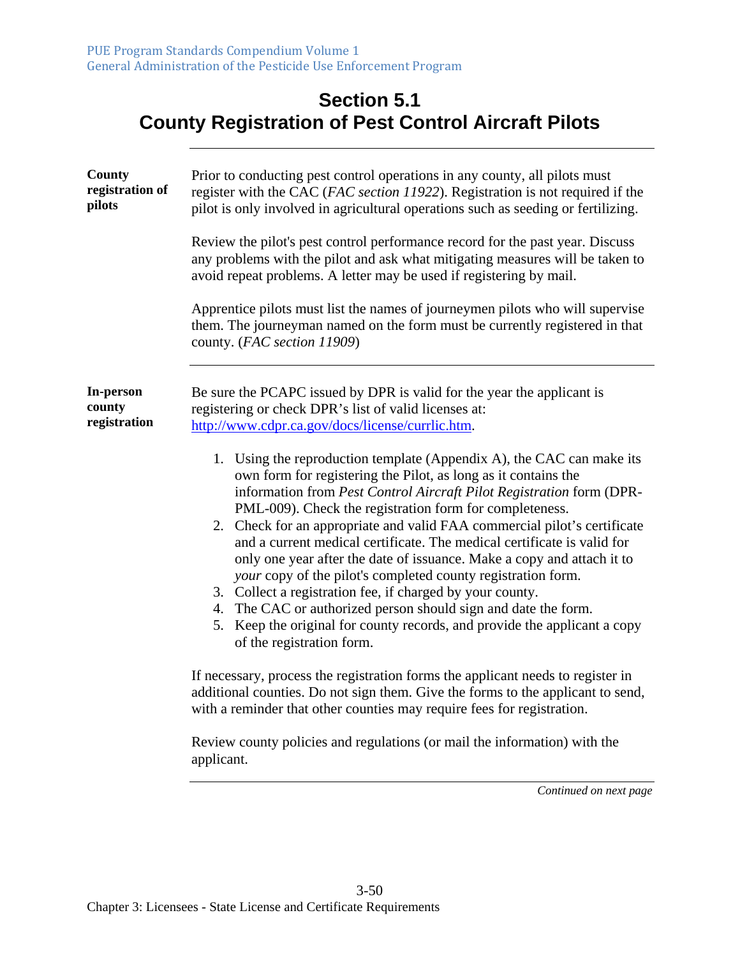## **Section 5.1 County Registration of Pest Control Aircraft Pilots**

| County<br>registration of<br>pilots | Prior to conducting pest control operations in any county, all pilots must<br>register with the CAC (FAC section 11922). Registration is not required if the<br>pilot is only involved in agricultural operations such as seeding or fertilizing.<br>Review the pilot's pest control performance record for the past year. Discuss<br>any problems with the pilot and ask what mitigating measures will be taken to<br>avoid repeat problems. A letter may be used if registering by mail.<br>Apprentice pilots must list the names of journeymen pilots who will supervise<br>them. The journeyman named on the form must be currently registered in that<br>county. (FAC section 11909)                                                                                                                                                                                                                                                                                                                                                                                                                                                                                                                                                                                                                                                              |
|-------------------------------------|--------------------------------------------------------------------------------------------------------------------------------------------------------------------------------------------------------------------------------------------------------------------------------------------------------------------------------------------------------------------------------------------------------------------------------------------------------------------------------------------------------------------------------------------------------------------------------------------------------------------------------------------------------------------------------------------------------------------------------------------------------------------------------------------------------------------------------------------------------------------------------------------------------------------------------------------------------------------------------------------------------------------------------------------------------------------------------------------------------------------------------------------------------------------------------------------------------------------------------------------------------------------------------------------------------------------------------------------------------|
| In-person<br>county<br>registration | Be sure the PCAPC issued by DPR is valid for the year the applicant is<br>registering or check DPR's list of valid licenses at:<br>http://www.cdpr.ca.gov/docs/license/currlic.htm.<br>1. Using the reproduction template (Appendix A), the CAC can make its<br>own form for registering the Pilot, as long as it contains the<br>information from Pest Control Aircraft Pilot Registration form (DPR-<br>PML-009). Check the registration form for completeness.<br>2. Check for an appropriate and valid FAA commercial pilot's certificate<br>and a current medical certificate. The medical certificate is valid for<br>only one year after the date of issuance. Make a copy and attach it to<br>your copy of the pilot's completed county registration form.<br>3. Collect a registration fee, if charged by your county.<br>4. The CAC or authorized person should sign and date the form.<br>5. Keep the original for county records, and provide the applicant a copy<br>of the registration form.<br>If necessary, process the registration forms the applicant needs to register in<br>additional counties. Do not sign them. Give the forms to the applicant to send,<br>with a reminder that other counties may require fees for registration.<br>Review county policies and regulations (or mail the information) with the<br>applicant. |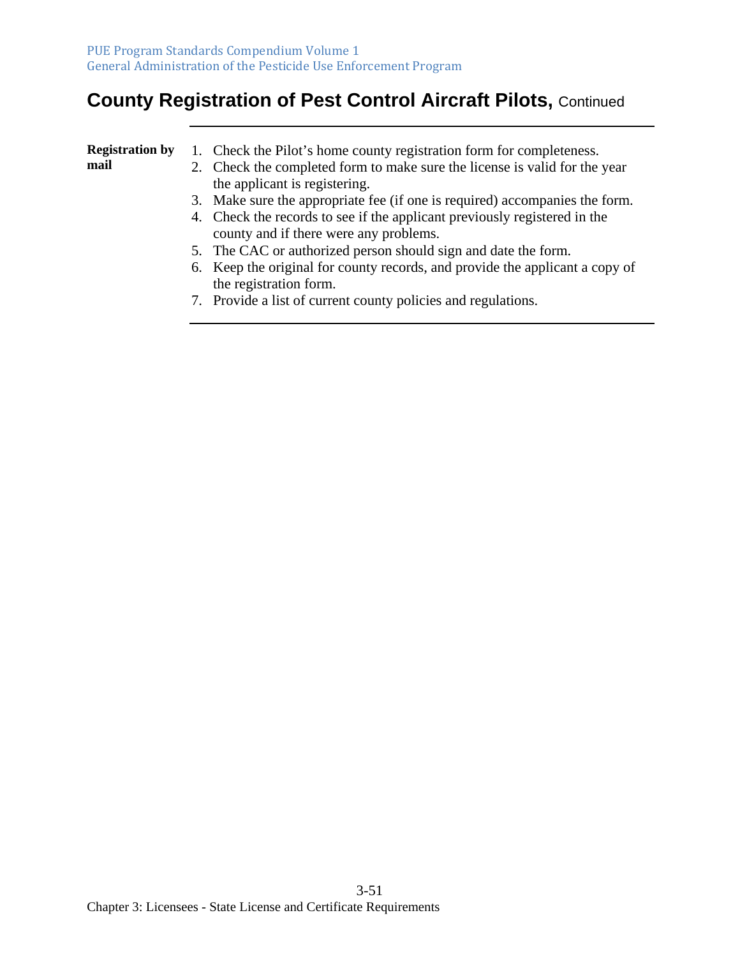## **County Registration of Pest Control Aircraft Pilots,** Continued

| <b>Registration by</b> | 1. Check the Pilot's home county registration form for completeness.         |
|------------------------|------------------------------------------------------------------------------|
| mail                   | 2. Check the completed form to make sure the license is valid for the year   |
|                        | the applicant is registering.                                                |
|                        | 3. Make sure the appropriate fee (if one is required) accompanies the form.  |
|                        | 4. Check the records to see if the applicant previously registered in the    |
|                        | county and if there were any problems.                                       |
|                        | 5. The CAC or authorized person should sign and date the form.               |
|                        | 6. Keep the original for county records, and provide the applicant a copy of |
|                        | the registration form.                                                       |

7. Provide a list of current county policies and regulations.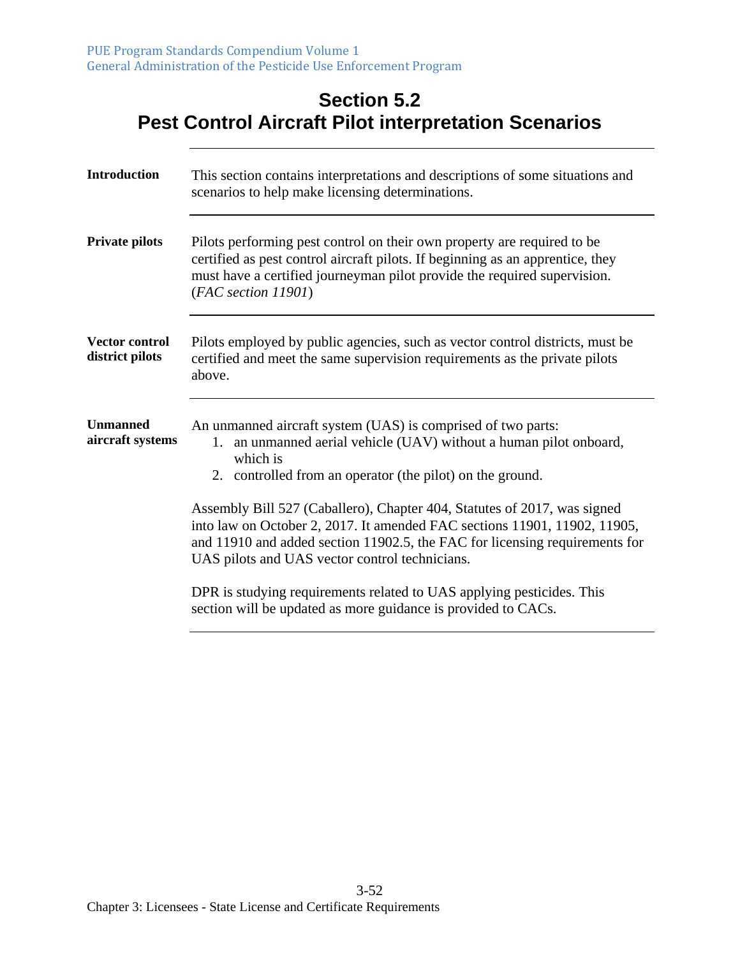#### **Section 5.2 Pest Control Aircraft Pilot interpretation Scenarios**

| <b>Introduction</b>                      | This section contains interpretations and descriptions of some situations and<br>scenarios to help make licensing determinations.                                                                                                                                                                                                                                                                                                                                                                     |
|------------------------------------------|-------------------------------------------------------------------------------------------------------------------------------------------------------------------------------------------------------------------------------------------------------------------------------------------------------------------------------------------------------------------------------------------------------------------------------------------------------------------------------------------------------|
| <b>Private pilots</b>                    | Pilots performing pest control on their own property are required to be<br>certified as pest control aircraft pilots. If beginning as an apprentice, they<br>must have a certified journeyman pilot provide the required supervision.<br>(FAC section 11901)                                                                                                                                                                                                                                          |
| <b>Vector control</b><br>district pilots | Pilots employed by public agencies, such as vector control districts, must be<br>certified and meet the same supervision requirements as the private pilots<br>above.                                                                                                                                                                                                                                                                                                                                 |
| <b>Unmanned</b><br>aircraft systems      | An unmanned aircraft system (UAS) is comprised of two parts:<br>1. an unmanned aerial vehicle (UAV) without a human pilot onboard,<br>which is<br>2. controlled from an operator (the pilot) on the ground.<br>Assembly Bill 527 (Caballero), Chapter 404, Statutes of 2017, was signed<br>into law on October 2, 2017. It amended FAC sections 11901, 11902, 11905,<br>and 11910 and added section 11902.5, the FAC for licensing requirements for<br>UAS pilots and UAS vector control technicians. |
|                                          | DPR is studying requirements related to UAS applying pesticides. This<br>section will be updated as more guidance is provided to CACs.                                                                                                                                                                                                                                                                                                                                                                |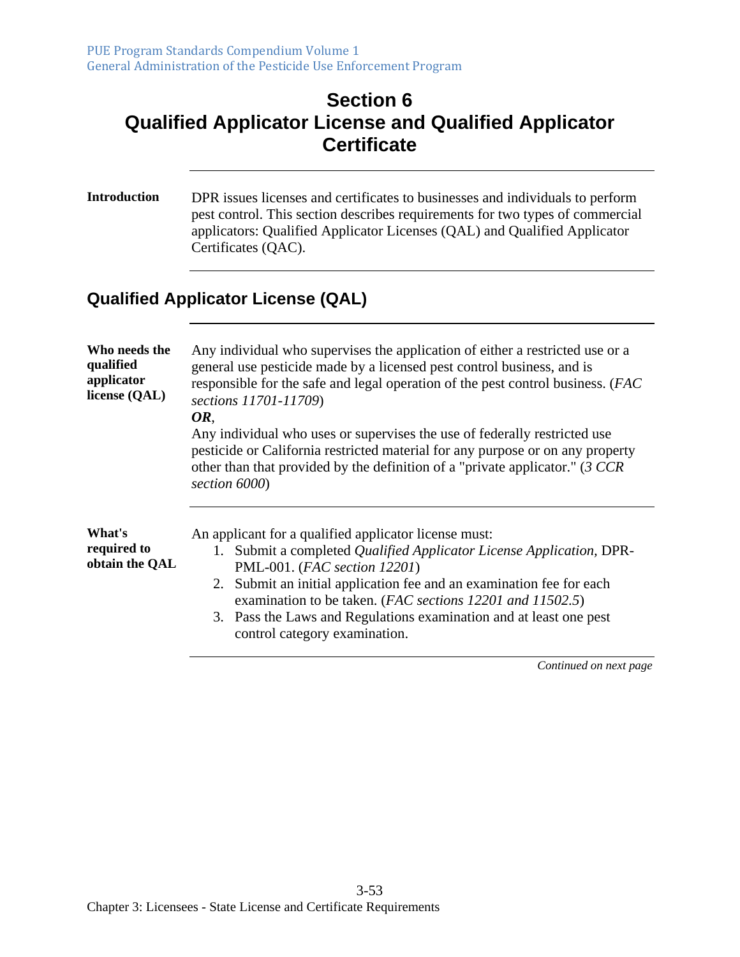## **Section 6 Qualified Applicator License and Qualified Applicator Certificate**

**Introduction** DPR issues licenses and certificates to businesses and individuals to perform pest control. This section describes requirements for two types of commercial applicators: Qualified Applicator Licenses (QAL) and Qualified Applicator Certificates (QAC).

## **Qualified Applicator License (QAL)**

| Who needs the<br>qualified<br>applicator<br>license (QAL) | Any individual who supervises the application of either a restricted use or a<br>general use pesticide made by a licensed pest control business, and is<br>responsible for the safe and legal operation of the pest control business. (FAC<br>sections 11701-11709)<br>OR,                                                                                                                                |
|-----------------------------------------------------------|-----------------------------------------------------------------------------------------------------------------------------------------------------------------------------------------------------------------------------------------------------------------------------------------------------------------------------------------------------------------------------------------------------------|
|                                                           | Any individual who uses or supervises the use of federally restricted use<br>pesticide or California restricted material for any purpose or on any property<br>other than that provided by the definition of a "private applicator." $(3 \text{ } CCR)$<br>section 6000)                                                                                                                                  |
| What's<br>required to<br>obtain the QAL                   | An applicant for a qualified applicator license must:<br>1. Submit a completed Qualified Applicator License Application, DPR-<br>PML-001. (FAC section 12201)<br>2. Submit an initial application fee and an examination fee for each<br>examination to be taken. (FAC sections 12201 and 11502.5)<br>3. Pass the Laws and Regulations examination and at least one pest<br>control category examination. |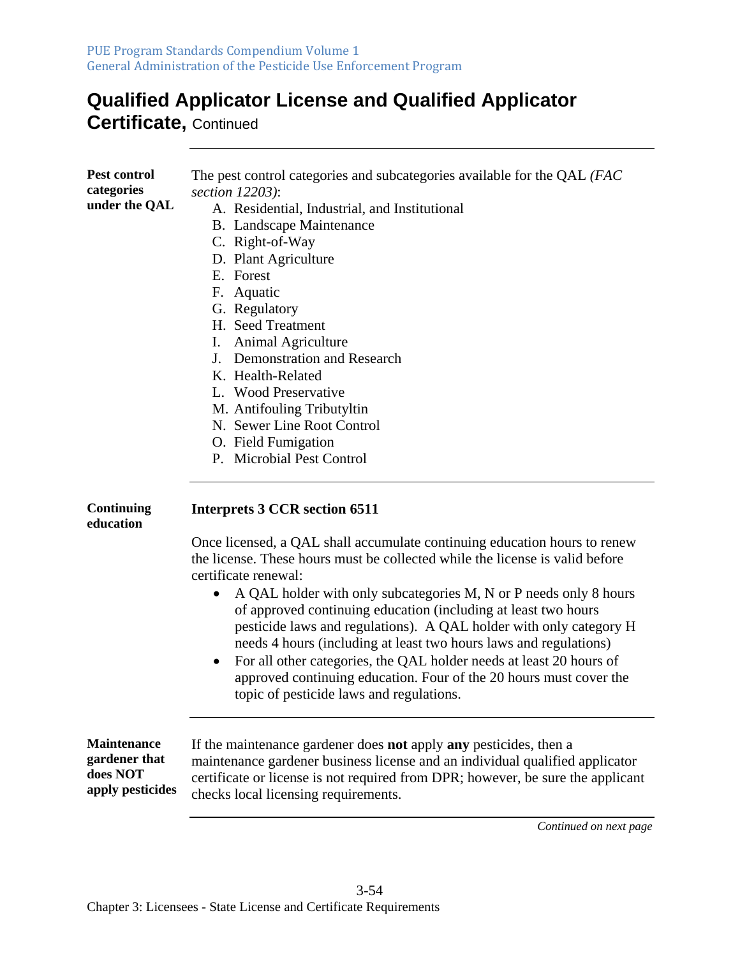## **Qualified Applicator License and Qualified Applicator**

**Certificate,** Continued

| <b>Pest control</b> | The pest control categories and subcategories available for the QAL (FAC         |
|---------------------|----------------------------------------------------------------------------------|
| categories          | section 12203):                                                                  |
| under the QAL       | A. Residential, Industrial, and Institutional                                    |
|                     | <b>B.</b> Landscape Maintenance                                                  |
|                     | C. Right-of-Way                                                                  |
|                     | D. Plant Agriculture                                                             |
|                     | E. Forest                                                                        |
|                     | F. Aquatic                                                                       |
|                     | G. Regulatory                                                                    |
|                     | H. Seed Treatment                                                                |
|                     | Animal Agriculture<br>Ι.                                                         |
|                     | J. Demonstration and Research                                                    |
|                     | K. Health-Related                                                                |
|                     | L. Wood Preservative                                                             |
|                     |                                                                                  |
|                     | M. Antifouling Tributyltin                                                       |
|                     | N. Sewer Line Root Control                                                       |
|                     | O. Field Fumigation                                                              |
|                     | P. Microbial Pest Control                                                        |
| Continuing          | <b>Interprets 3 CCR section 6511</b>                                             |
| education           |                                                                                  |
|                     | Once licensed, a QAL shall accumulate continuing education hours to renew        |
|                     | the license. These hours must be collected while the license is valid before     |
|                     | certificate renewal:                                                             |
|                     |                                                                                  |
|                     | A QAL holder with only subcategories M, N or P needs only 8 hours<br>$\bullet$   |
|                     | of approved continuing education (including at least two hours                   |
|                     | pesticide laws and regulations). A QAL holder with only category H               |
|                     | needs 4 hours (including at least two hours laws and regulations)                |
|                     | For all other categories, the QAL holder needs at least 20 hours of<br>$\bullet$ |
|                     | approved continuing education. Four of the 20 hours must cover the               |
|                     | topic of pesticide laws and regulations.                                         |

| <b>Maintenance</b> | If the maintenance gardener does <b>not</b> apply <b>any</b> pesticides, then a |
|--------------------|---------------------------------------------------------------------------------|
| gardener that      | maintenance gardener business license and an individual qualified applicator    |
| does NOT           | certificate or license is not required from DPR; however, be sure the applicant |
| apply pesticides   | checks local licensing requirements.                                            |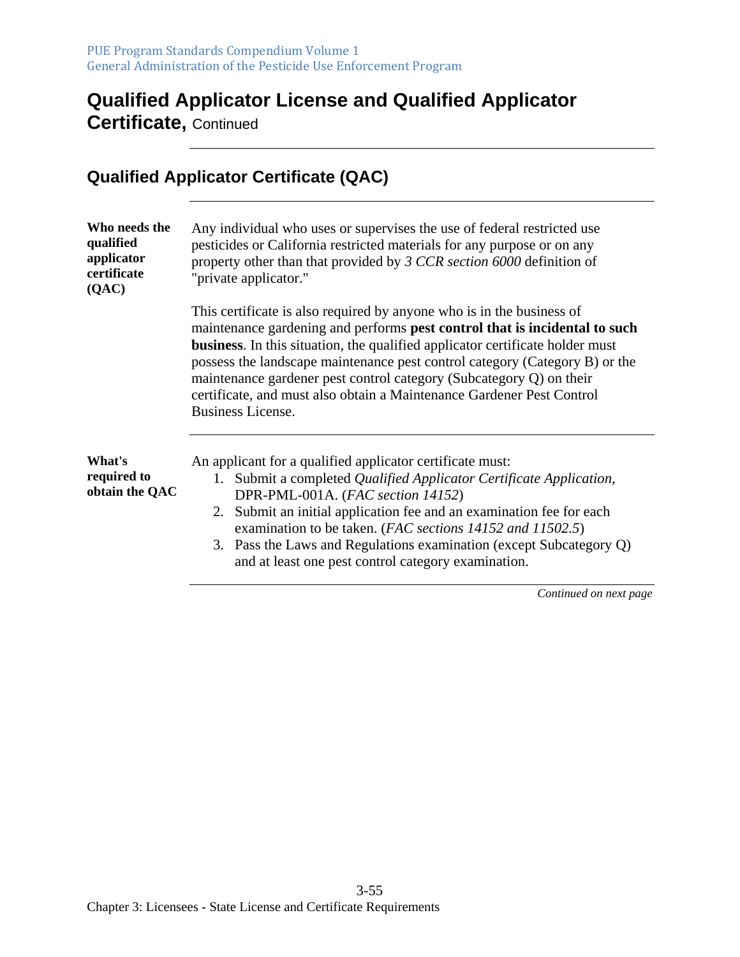## **Qualified Applicator License and Qualified Applicator**

**Certificate,** Continued

|                                                                  | <b>Qualified Applicator Certificate (QAC)</b>                                                                                                                                                                                                                                                                                                                                                                                                                                                          |
|------------------------------------------------------------------|--------------------------------------------------------------------------------------------------------------------------------------------------------------------------------------------------------------------------------------------------------------------------------------------------------------------------------------------------------------------------------------------------------------------------------------------------------------------------------------------------------|
| Who needs the<br>qualified<br>applicator<br>certificate<br>(QAC) | Any individual who uses or supervises the use of federal restricted use<br>pesticides or California restricted materials for any purpose or on any<br>property other than that provided by 3 CCR section 6000 definition of<br>"private applicator."                                                                                                                                                                                                                                                   |
|                                                                  | This certificate is also required by anyone who is in the business of<br>maintenance gardening and performs pest control that is incidental to such<br><b>business.</b> In this situation, the qualified applicator certificate holder must<br>possess the landscape maintenance pest control category (Category B) or the<br>maintenance gardener pest control category (Subcategory Q) on their<br>certificate, and must also obtain a Maintenance Gardener Pest Control<br><b>Business License.</b> |
| What's<br>required to<br>obtain the QAC                          | An applicant for a qualified applicator certificate must:<br>1. Submit a completed Qualified Applicator Certificate Application,<br>DPR-PML-001A. (FAC section 14152)<br>Submit an initial application fee and an examination fee for each<br>2.<br>examination to be taken. (FAC sections 14152 and 11502.5)<br>3. Pass the Laws and Regulations examination (except Subcategory Q)<br>and at least one pest control category examination.                                                            |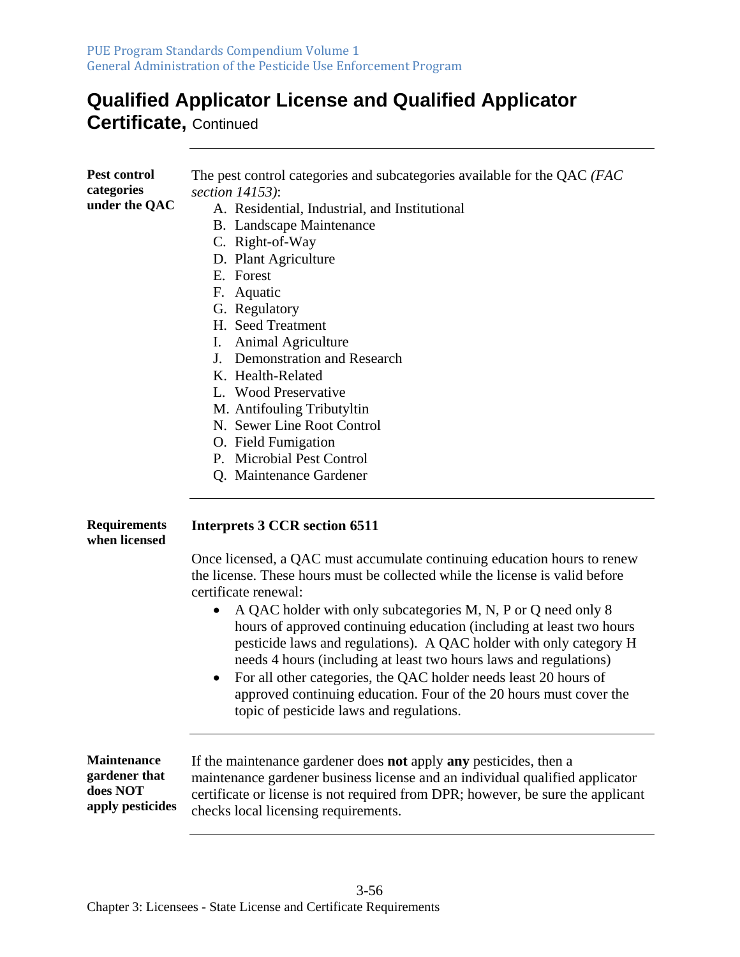## **Qualified Applicator License and Qualified Applicator**

**Certificate,** Continued

| Pest control<br>categories<br>under the QAC                         | The pest control categories and subcategories available for the QAC (FAC<br>section 14153):<br>A. Residential, Industrial, and Institutional<br><b>B.</b> Landscape Maintenance<br>C. Right-of-Way<br>D. Plant Agriculture<br>E. Forest<br>F. Aquatic<br>G. Regulatory<br>H. Seed Treatment<br>I. Animal Agriculture<br>J. Demonstration and Research<br>K. Health-Related<br>L. Wood Preservative<br>M. Antifouling Tributyltin<br>N. Sewer Line Root Control<br>O. Field Fumigation<br>P. Microbial Pest Control<br>Q. Maintenance Gardener                                                                                                                                                                   |
|---------------------------------------------------------------------|-----------------------------------------------------------------------------------------------------------------------------------------------------------------------------------------------------------------------------------------------------------------------------------------------------------------------------------------------------------------------------------------------------------------------------------------------------------------------------------------------------------------------------------------------------------------------------------------------------------------------------------------------------------------------------------------------------------------|
| <b>Requirements</b><br>when licensed                                | <b>Interprets 3 CCR section 6511</b><br>Once licensed, a QAC must accumulate continuing education hours to renew<br>the license. These hours must be collected while the license is valid before<br>certificate renewal:<br>A QAC holder with only subcategories M, N, P or Q need only 8<br>hours of approved continuing education (including at least two hours<br>pesticide laws and regulations). A QAC holder with only category H<br>needs 4 hours (including at least two hours laws and regulations)<br>For all other categories, the QAC holder needs least 20 hours of<br>$\bullet$<br>approved continuing education. Four of the 20 hours must cover the<br>topic of pesticide laws and regulations. |
| <b>Maintenance</b><br>gardener that<br>does NOT<br>apply pesticides | If the maintenance gardener does <b>not</b> apply <b>any</b> pesticides, then a<br>maintenance gardener business license and an individual qualified applicator<br>certificate or license is not required from DPR; however, be sure the applicant<br>checks local licensing requirements.                                                                                                                                                                                                                                                                                                                                                                                                                      |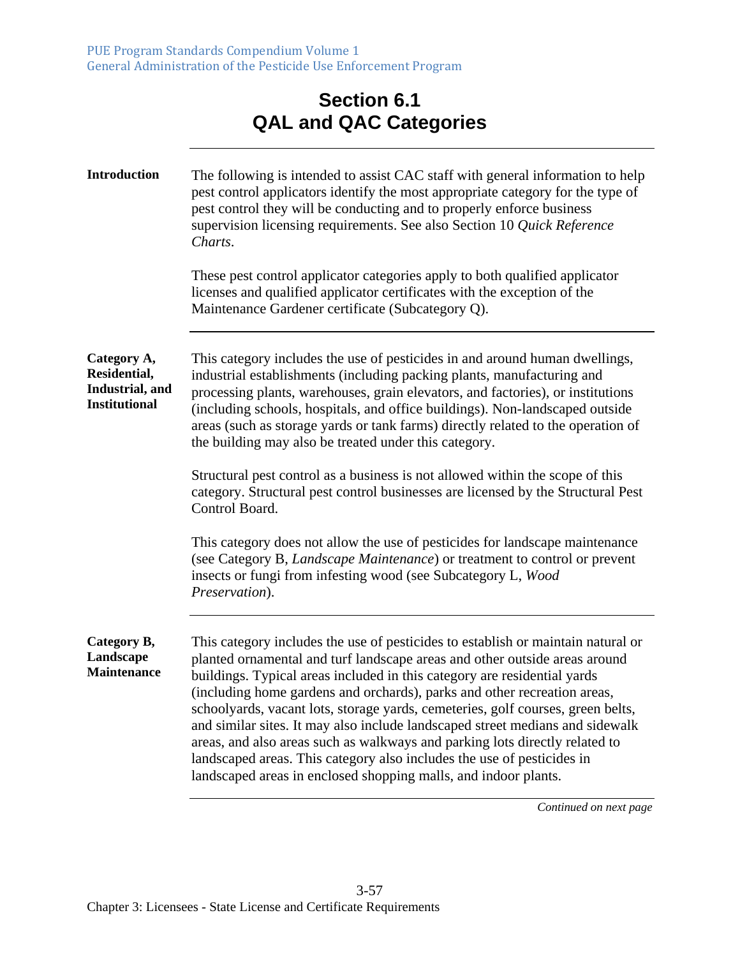## **Section 6.1 QAL and QAC Categories**

| <b>Introduction</b>                                                    | The following is intended to assist CAC staff with general information to help<br>pest control applicators identify the most appropriate category for the type of<br>pest control they will be conducting and to properly enforce business<br>supervision licensing requirements. See also Section 10 Quick Reference<br>Charts.<br>These pest control applicator categories apply to both qualified applicator<br>licenses and qualified applicator certificates with the exception of the<br>Maintenance Gardener certificate (Subcategory Q).                                                                                                                                                                       |
|------------------------------------------------------------------------|------------------------------------------------------------------------------------------------------------------------------------------------------------------------------------------------------------------------------------------------------------------------------------------------------------------------------------------------------------------------------------------------------------------------------------------------------------------------------------------------------------------------------------------------------------------------------------------------------------------------------------------------------------------------------------------------------------------------|
| Category A,<br>Residential,<br>Industrial, and<br><b>Institutional</b> | This category includes the use of pesticides in and around human dwellings,<br>industrial establishments (including packing plants, manufacturing and<br>processing plants, warehouses, grain elevators, and factories), or institutions<br>(including schools, hospitals, and office buildings). Non-landscaped outside<br>areas (such as storage yards or tank farms) directly related to the operation of<br>the building may also be treated under this category.                                                                                                                                                                                                                                                  |
|                                                                        | Structural pest control as a business is not allowed within the scope of this<br>category. Structural pest control businesses are licensed by the Structural Pest<br>Control Board.                                                                                                                                                                                                                                                                                                                                                                                                                                                                                                                                    |
|                                                                        | This category does not allow the use of pesticides for landscape maintenance<br>(see Category B, Landscape Maintenance) or treatment to control or prevent<br>insects or fungi from infesting wood (see Subcategory L, Wood<br>Preservation).                                                                                                                                                                                                                                                                                                                                                                                                                                                                          |
| Category B,<br>Landscape<br><b>Maintenance</b>                         | This category includes the use of pesticides to establish or maintain natural or<br>planted ornamental and turf landscape areas and other outside areas around<br>buildings. Typical areas included in this category are residential yards<br>(including home gardens and orchards), parks and other recreation areas,<br>schoolyards, vacant lots, storage yards, cemeteries, golf courses, green belts,<br>and similar sites. It may also include landscaped street medians and sidewalk<br>areas, and also areas such as walkways and parking lots directly related to<br>landscaped areas. This category also includes the use of pesticides in<br>landscaped areas in enclosed shopping malls, and indoor plants. |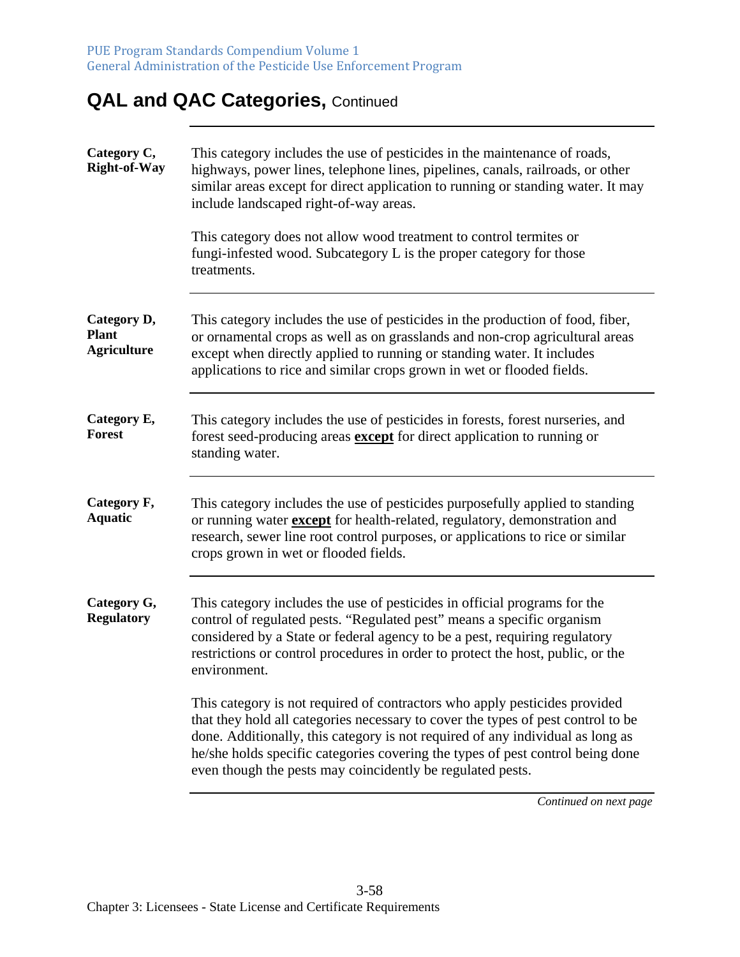## **QAL and QAC Categories, Continued**

| Category C,<br><b>Right-of-Way</b>                | This category includes the use of pesticides in the maintenance of roads,<br>highways, power lines, telephone lines, pipelines, canals, railroads, or other<br>similar areas except for direct application to running or standing water. It may<br>include landscaped right-of-way areas.                                                                                                        |
|---------------------------------------------------|--------------------------------------------------------------------------------------------------------------------------------------------------------------------------------------------------------------------------------------------------------------------------------------------------------------------------------------------------------------------------------------------------|
|                                                   | This category does not allow wood treatment to control termites or<br>fungi-infested wood. Subcategory L is the proper category for those<br>treatments.                                                                                                                                                                                                                                         |
| Category D,<br><b>Plant</b><br><b>Agriculture</b> | This category includes the use of pesticides in the production of food, fiber,<br>or ornamental crops as well as on grasslands and non-crop agricultural areas<br>except when directly applied to running or standing water. It includes<br>applications to rice and similar crops grown in wet or flooded fields.                                                                               |
| Category E,<br><b>Forest</b>                      | This category includes the use of pesticides in forests, forest nurseries, and<br>forest seed-producing areas <b>except</b> for direct application to running or<br>standing water.                                                                                                                                                                                                              |
| Category F,<br><b>Aquatic</b>                     | This category includes the use of pesticides purposefully applied to standing<br>or running water except for health-related, regulatory, demonstration and<br>research, sewer line root control purposes, or applications to rice or similar<br>crops grown in wet or flooded fields.                                                                                                            |
| Category G,<br><b>Regulatory</b>                  | This category includes the use of pesticides in official programs for the<br>control of regulated pests. "Regulated pest" means a specific organism<br>considered by a State or federal agency to be a pest, requiring regulatory<br>restrictions or control procedures in order to protect the host, public, or the<br>environment.                                                             |
|                                                   | This category is not required of contractors who apply pesticides provided<br>that they hold all categories necessary to cover the types of pest control to be<br>done. Additionally, this category is not required of any individual as long as<br>he/she holds specific categories covering the types of pest control being done<br>even though the pests may coincidently be regulated pests. |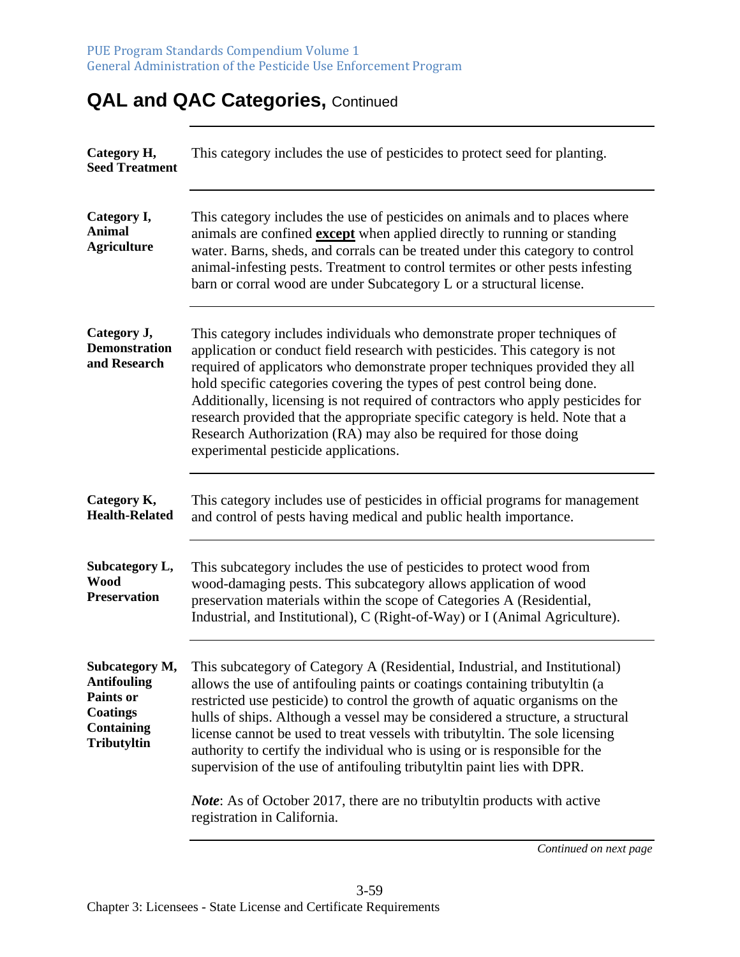| Category H,<br><b>Seed Treatment</b>                                                                     | This category includes the use of pesticides to protect seed for planting.                                                                                                                                                                                                                                                                                                                                                                                                                                                                                                                                                                                                         |
|----------------------------------------------------------------------------------------------------------|------------------------------------------------------------------------------------------------------------------------------------------------------------------------------------------------------------------------------------------------------------------------------------------------------------------------------------------------------------------------------------------------------------------------------------------------------------------------------------------------------------------------------------------------------------------------------------------------------------------------------------------------------------------------------------|
| Category I,<br><b>Animal</b><br><b>Agriculture</b>                                                       | This category includes the use of pesticides on animals and to places where<br>animals are confined <b>except</b> when applied directly to running or standing<br>water. Barns, sheds, and corrals can be treated under this category to control<br>animal-infesting pests. Treatment to control termites or other pests infesting<br>barn or corral wood are under Subcategory L or a structural license.                                                                                                                                                                                                                                                                         |
| Category J,<br><b>Demonstration</b><br>and Research                                                      | This category includes individuals who demonstrate proper techniques of<br>application or conduct field research with pesticides. This category is not<br>required of applicators who demonstrate proper techniques provided they all<br>hold specific categories covering the types of pest control being done.<br>Additionally, licensing is not required of contractors who apply pesticides for<br>research provided that the appropriate specific category is held. Note that a<br>Research Authorization (RA) may also be required for those doing<br>experimental pesticide applications.                                                                                   |
| Category K,<br><b>Health-Related</b>                                                                     | This category includes use of pesticides in official programs for management<br>and control of pests having medical and public health importance.                                                                                                                                                                                                                                                                                                                                                                                                                                                                                                                                  |
| Subcategory L,<br><b>Wood</b><br><b>Preservation</b>                                                     | This subcategory includes the use of pesticides to protect wood from<br>wood-damaging pests. This subcategory allows application of wood<br>preservation materials within the scope of Categories A (Residential,<br>Industrial, and Institutional), C (Right-of-Way) or I (Animal Agriculture).                                                                                                                                                                                                                                                                                                                                                                                   |
| Subcategory M,<br>Antifouling<br><b>Paints or</b><br><b>Coatings</b><br><b>Containing</b><br>Tributyltin | This subcategory of Category A (Residential, Industrial, and Institutional)<br>allows the use of antifouling paints or coatings containing tributyltin (a<br>restricted use pesticide) to control the growth of aquatic organisms on the<br>hulls of ships. Although a vessel may be considered a structure, a structural<br>license cannot be used to treat vessels with tributyltin. The sole licensing<br>authority to certify the individual who is using or is responsible for the<br>supervision of the use of antifouling tributyltin paint lies with DPR.<br><i>Note:</i> As of October 2017, there are no tributyltin products with active<br>registration in California. |

## **QAL and QAC Categories, Continued**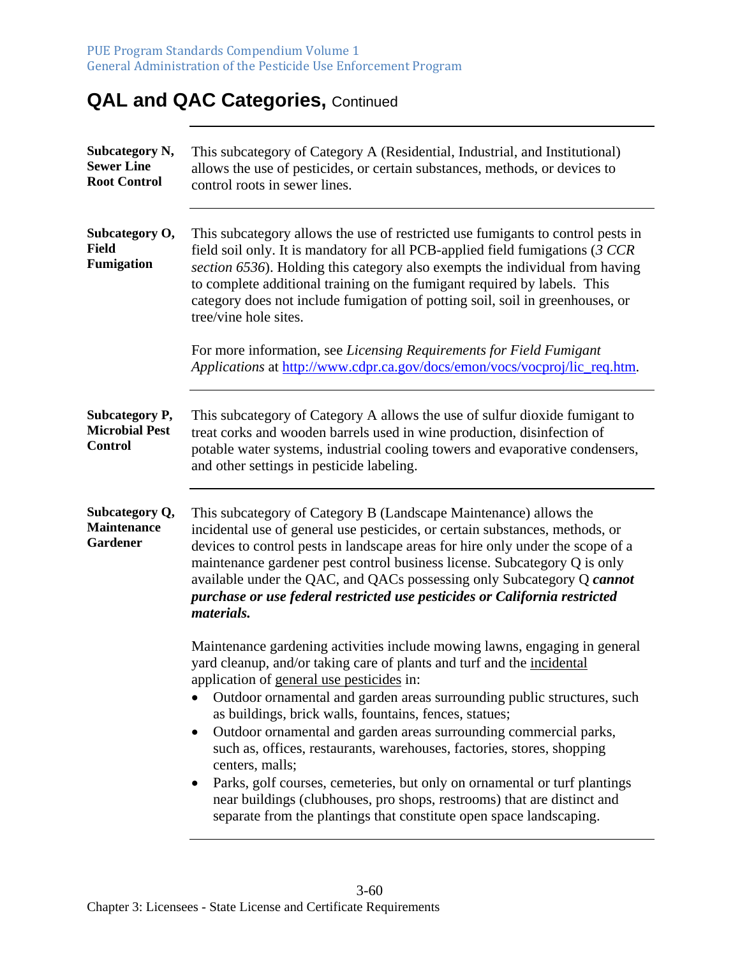## **QAL and QAC Categories, Continued**

| Subcategory N,<br><b>Sewer Line</b><br><b>Root Control</b> | This subcategory of Category A (Residential, Industrial, and Institutional)<br>allows the use of pesticides, or certain substances, methods, or devices to<br>control roots in sewer lines.                                                                                                                                                                                                                                                                                                                                                                                                             |
|------------------------------------------------------------|---------------------------------------------------------------------------------------------------------------------------------------------------------------------------------------------------------------------------------------------------------------------------------------------------------------------------------------------------------------------------------------------------------------------------------------------------------------------------------------------------------------------------------------------------------------------------------------------------------|
| Subcategory O,<br><b>Field</b><br><b>Fumigation</b>        | This subcategory allows the use of restricted use fumigants to control pests in<br>field soil only. It is mandatory for all PCB-applied field fumigations (3 CCR<br>section 6536). Holding this category also exempts the individual from having<br>to complete additional training on the fumigant required by labels. This<br>category does not include fumigation of potting soil, soil in greenhouses, or<br>tree/vine hole sites.                                                                                                                                                                  |
|                                                            | For more information, see Licensing Requirements for Field Fumigant<br>Applications at http://www.cdpr.ca.gov/docs/emon/vocs/vocproj/lic_req.htm.                                                                                                                                                                                                                                                                                                                                                                                                                                                       |
| Subcategory P,<br><b>Microbial Pest</b><br><b>Control</b>  | This subcategory of Category A allows the use of sulfur dioxide fumigant to<br>treat corks and wooden barrels used in wine production, disinfection of<br>potable water systems, industrial cooling towers and evaporative condensers,<br>and other settings in pesticide labeling.                                                                                                                                                                                                                                                                                                                     |
| Subcategory Q,<br><b>Maintenance</b><br>Gardener           | This subcategory of Category B (Landscape Maintenance) allows the<br>incidental use of general use pesticides, or certain substances, methods, or<br>devices to control pests in landscape areas for hire only under the scope of a<br>maintenance gardener pest control business license. Subcategory Q is only<br>available under the QAC, and QACs possessing only Subcategory Q cannot<br>purchase or use federal restricted use pesticides or California restricted<br><i>materials.</i>                                                                                                           |
|                                                            | Maintenance gardening activities include mowing lawns, engaging in general<br>yard cleanup, and/or taking care of plants and turf and the incidental<br>application of general use pesticides in:<br>Outdoor ornamental and garden areas surrounding public structures, such<br>as buildings, brick walls, fountains, fences, statues;<br>Outdoor ornamental and garden areas surrounding commercial parks,<br>$\bullet$<br>such as, offices, restaurants, warehouses, factories, stores, shopping<br>centers, malls;<br>Parks, golf courses, cemeteries, but only on ornamental or turf plantings<br>٠ |
|                                                            | near buildings (clubhouses, pro shops, restrooms) that are distinct and<br>separate from the plantings that constitute open space landscaping.                                                                                                                                                                                                                                                                                                                                                                                                                                                          |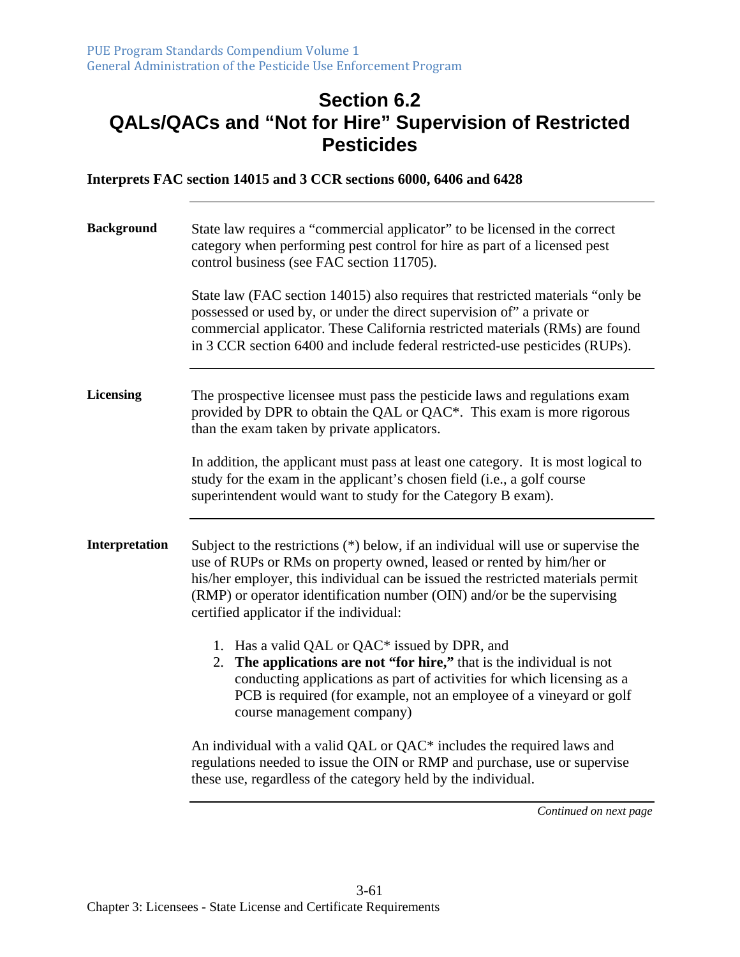#### **Section 6.2 QALs/QACs and "Not for Hire" Supervision of Restricted Pesticides**

**Interprets FAC section 14015 and 3 CCR sections 6000, 6406 and 6428** 

| <b>Background</b> | State law requires a "commercial applicator" to be licensed in the correct<br>category when performing pest control for hire as part of a licensed pest<br>control business (see FAC section 11705).<br>State law (FAC section 14015) also requires that restricted materials "only be<br>possessed or used by, or under the direct supervision of" a private or<br>commercial applicator. These California restricted materials (RMs) are found<br>in 3 CCR section 6400 and include federal restricted-use pesticides (RUPs).                                                                                                                                             |  |
|-------------------|-----------------------------------------------------------------------------------------------------------------------------------------------------------------------------------------------------------------------------------------------------------------------------------------------------------------------------------------------------------------------------------------------------------------------------------------------------------------------------------------------------------------------------------------------------------------------------------------------------------------------------------------------------------------------------|--|
| <b>Licensing</b>  | The prospective licensee must pass the pesticide laws and regulations exam<br>provided by DPR to obtain the QAL or QAC*. This exam is more rigorous<br>than the exam taken by private applicators.<br>In addition, the applicant must pass at least one category. It is most logical to<br>study for the exam in the applicant's chosen field (i.e., a golf course<br>superintendent would want to study for the Category B exam).                                                                                                                                                                                                                                          |  |
| Interpretation    | Subject to the restrictions (*) below, if an individual will use or supervise the<br>use of RUPs or RMs on property owned, leased or rented by him/her or<br>his/her employer, this individual can be issued the restricted materials permit<br>(RMP) or operator identification number (OIN) and/or be the supervising<br>certified applicator if the individual:<br>1. Has a valid QAL or QAC* issued by DPR, and<br>2. The applications are not "for hire," that is the individual is not<br>conducting applications as part of activities for which licensing as a<br>PCB is required (for example, not an employee of a vineyard or golf<br>course management company) |  |
|                   | An individual with a valid QAL or QAC* includes the required laws and<br>regulations needed to issue the OIN or RMP and purchase, use or supervise<br>these use, regardless of the category held by the individual.                                                                                                                                                                                                                                                                                                                                                                                                                                                         |  |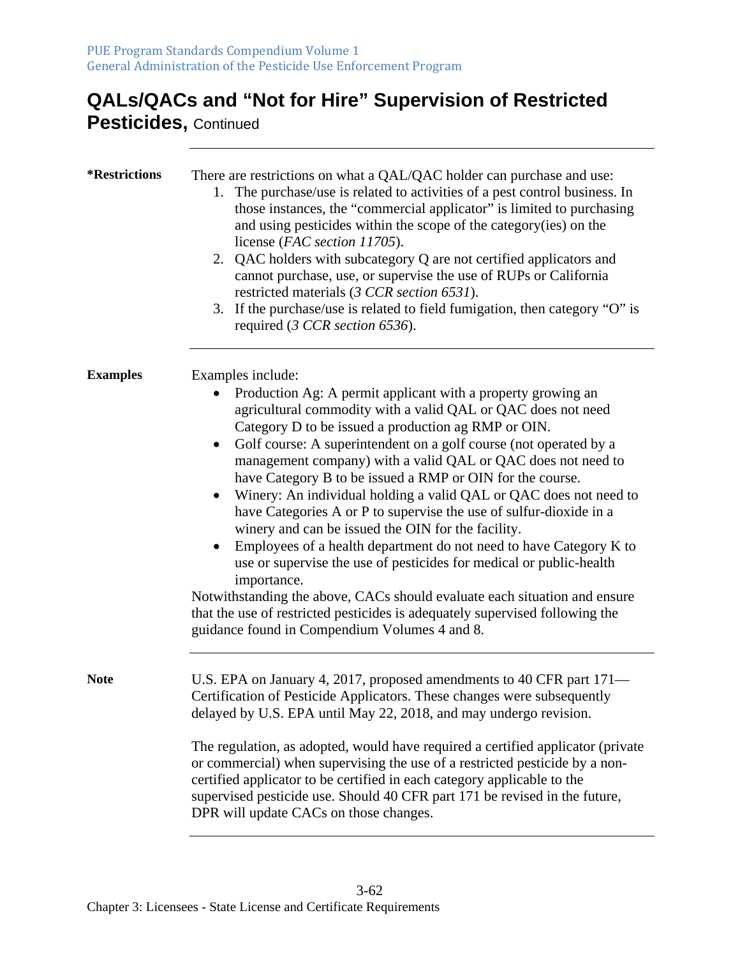## **QALs/QACs and "Not for Hire" Supervision of Restricted**

**Pesticides,** Continued

| <i><b>*Restrictions</b></i> | There are restrictions on what a QAL/QAC holder can purchase and use:<br>1. The purchase/use is related to activities of a pest control business. In<br>those instances, the "commercial applicator" is limited to purchasing<br>and using pesticides within the scope of the category(ies) on the<br>license (FAC section 11705).<br>2. QAC holders with subcategory Q are not certified applicators and<br>cannot purchase, use, or supervise the use of RUPs or California<br>restricted materials (3 CCR section 6531).<br>3. If the purchase/use is related to field fumigation, then category "O" is<br>required (3 CCR section 6536).                                                                                                                                                                                                                                                                                                                                          |
|-----------------------------|---------------------------------------------------------------------------------------------------------------------------------------------------------------------------------------------------------------------------------------------------------------------------------------------------------------------------------------------------------------------------------------------------------------------------------------------------------------------------------------------------------------------------------------------------------------------------------------------------------------------------------------------------------------------------------------------------------------------------------------------------------------------------------------------------------------------------------------------------------------------------------------------------------------------------------------------------------------------------------------|
| <b>Examples</b>             | Examples include:<br>Production Ag: A permit applicant with a property growing an<br>agricultural commodity with a valid QAL or QAC does not need<br>Category D to be issued a production ag RMP or OIN.<br>Golf course: A superintendent on a golf course (not operated by a<br>management company) with a valid QAL or QAC does not need to<br>have Category B to be issued a RMP or OIN for the course.<br>Winery: An individual holding a valid QAL or QAC does not need to<br>have Categories A or P to supervise the use of sulfur-dioxide in a<br>winery and can be issued the OIN for the facility.<br>Employees of a health department do not need to have Category K to<br>use or supervise the use of pesticides for medical or public-health<br>importance.<br>Notwithstanding the above, CACs should evaluate each situation and ensure<br>that the use of restricted pesticides is adequately supervised following the<br>guidance found in Compendium Volumes 4 and 8. |
| <b>Note</b>                 | U.S. EPA on January 4, 2017, proposed amendments to 40 CFR part 171-<br>Certification of Pesticide Applicators. These changes were subsequently<br>delayed by U.S. EPA until May 22, 2018, and may undergo revision.                                                                                                                                                                                                                                                                                                                                                                                                                                                                                                                                                                                                                                                                                                                                                                  |
|                             | The regulation, as adopted, would have required a certified applicator (private<br>or commercial) when supervising the use of a restricted pesticide by a non-<br>certified applicator to be certified in each category applicable to the<br>supervised pesticide use. Should 40 CFR part 171 be revised in the future,<br>DPR will update CACs on those changes.                                                                                                                                                                                                                                                                                                                                                                                                                                                                                                                                                                                                                     |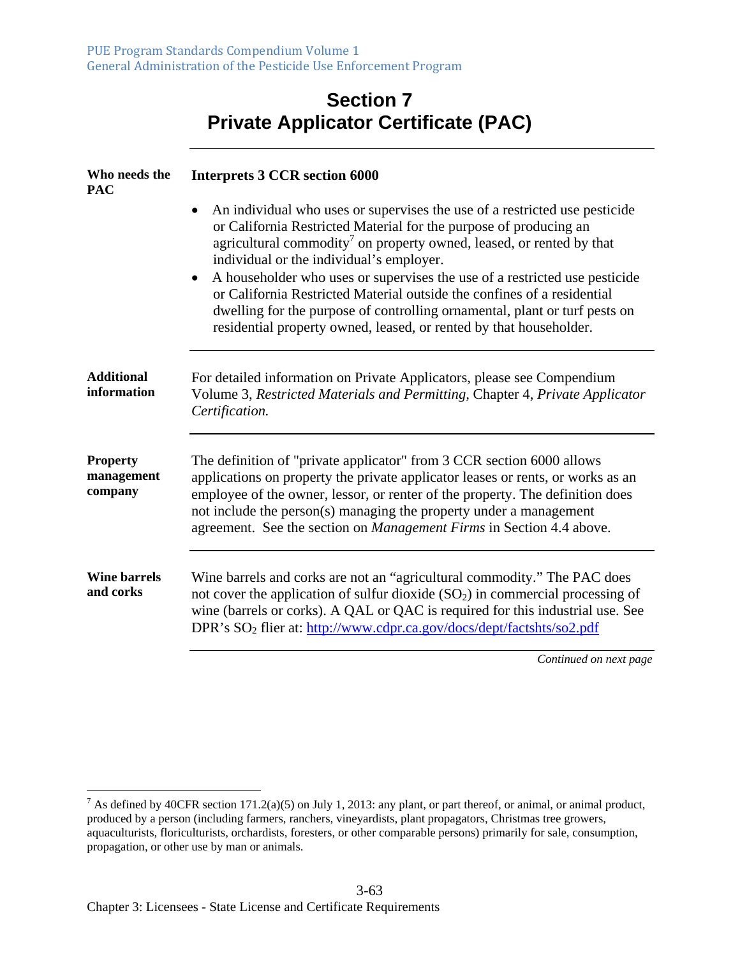#### **Section 7 Private Applicator Certificate (PAC)**

| Who needs the<br><b>PAC</b>              | <b>Interprets 3 CCR section 6000</b>                                                                                                                                                                                                                                                                                                                                                    |  |
|------------------------------------------|-----------------------------------------------------------------------------------------------------------------------------------------------------------------------------------------------------------------------------------------------------------------------------------------------------------------------------------------------------------------------------------------|--|
|                                          | An individual who uses or supervises the use of a restricted use pesticide<br>$\bullet$<br>or California Restricted Material for the purpose of producing an<br>agricultural commodity <sup>7</sup> on property owned, leased, or rented by that<br>individual or the individual's employer.<br>A householder who uses or supervises the use of a restricted use pesticide<br>$\bullet$ |  |
|                                          | or California Restricted Material outside the confines of a residential<br>dwelling for the purpose of controlling ornamental, plant or turf pests on<br>residential property owned, leased, or rented by that householder.                                                                                                                                                             |  |
| <b>Additional</b><br>information         | For detailed information on Private Applicators, please see Compendium<br>Volume 3, Restricted Materials and Permitting, Chapter 4, Private Applicator<br>Certification.                                                                                                                                                                                                                |  |
| <b>Property</b><br>management<br>company | The definition of "private applicator" from 3 CCR section 6000 allows<br>applications on property the private applicator leases or rents, or works as an<br>employee of the owner, lessor, or renter of the property. The definition does<br>not include the person(s) managing the property under a management<br>agreement. See the section on Management Firms in Section 4.4 above. |  |
| <b>Wine barrels</b><br>and corks         | Wine barrels and corks are not an "agricultural commodity." The PAC does<br>not cover the application of sulfur dioxide $(SO2)$ in commercial processing of<br>wine (barrels or corks). A QAL or QAC is required for this industrial use. See<br>DPR's SO <sub>2</sub> flier at: http://www.cdpr.ca.gov/docs/dept/factshts/so2.pdf                                                      |  |
|                                          | Continued on next page                                                                                                                                                                                                                                                                                                                                                                  |  |

<sup>&</sup>lt;sup>7</sup> As defined by 40CFR section 171.2(a)(5) on July 1, 2013: any plant, or part thereof, or animal, or animal product, produced by a person (including farmers, ranchers, vineyardists, plant propagators, Christmas tree growers, aquaculturists, floriculturists, orchardists, foresters, or other comparable persons) primarily for sale, consumption, propagation, or other use by man or animals.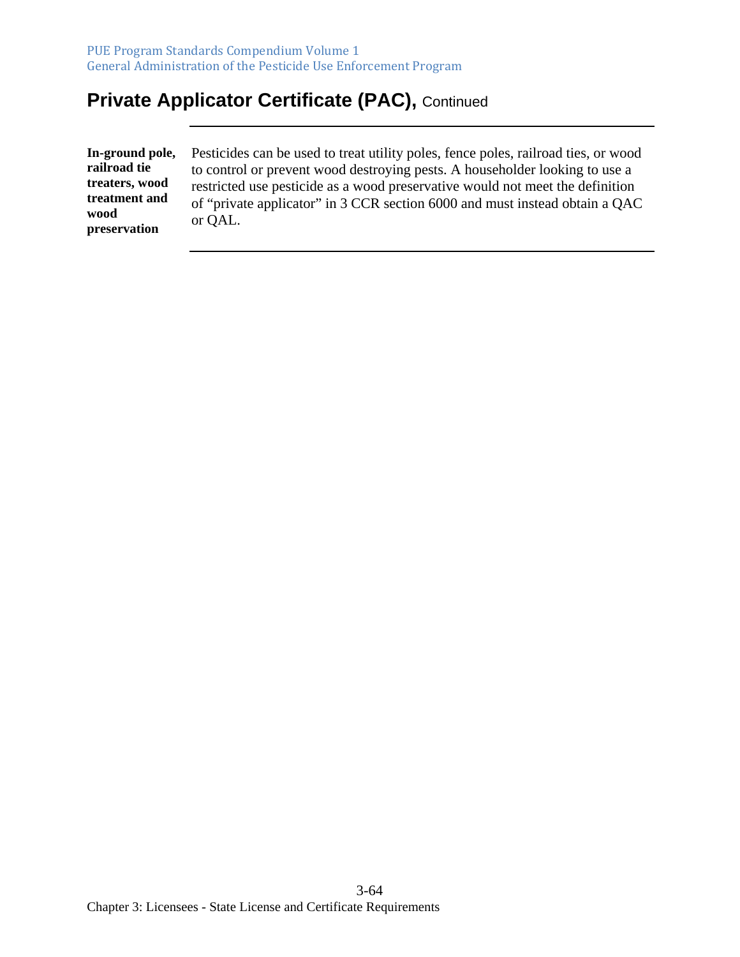## **Private Applicator Certificate (PAC), Continued**

**In-ground pole, railroad tie treaters, wood treatment and wood preservation** 

Pesticides can be used to treat utility poles, fence poles, railroad ties, or wood to control or prevent wood destroying pests. A householder looking to use a restricted use pesticide as a wood preservative would not meet the definition of "private applicator" in 3 CCR section 6000 and must instead obtain a QAC or QAL.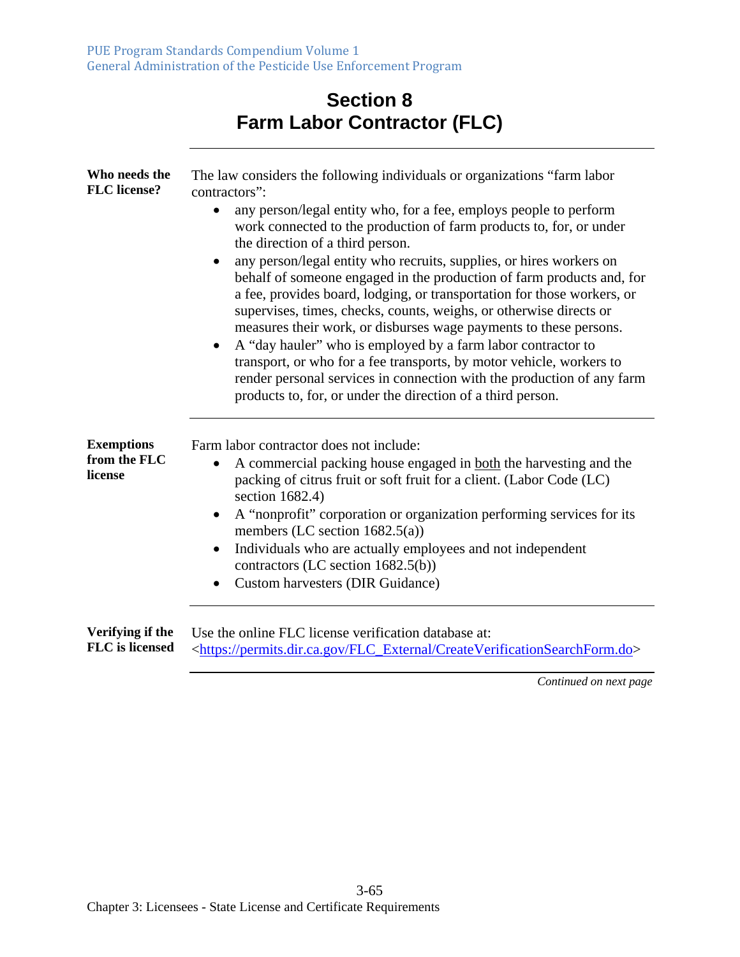## **Section 8 Farm Labor Contractor (FLC)**

| Who needs the<br><b>FLC</b> license?         | The law considers the following individuals or organizations "farm labor"<br>contractors":                                                                                                                                                                                                                                                                                                                                                                                                                                                                                                                                                                                                                                                                                                                                                                                 |  |
|----------------------------------------------|----------------------------------------------------------------------------------------------------------------------------------------------------------------------------------------------------------------------------------------------------------------------------------------------------------------------------------------------------------------------------------------------------------------------------------------------------------------------------------------------------------------------------------------------------------------------------------------------------------------------------------------------------------------------------------------------------------------------------------------------------------------------------------------------------------------------------------------------------------------------------|--|
|                                              | any person/legal entity who, for a fee, employs people to perform<br>$\bullet$<br>work connected to the production of farm products to, for, or under<br>the direction of a third person.<br>any person/legal entity who recruits, supplies, or hires workers on<br>$\bullet$<br>behalf of someone engaged in the production of farm products and, for<br>a fee, provides board, lodging, or transportation for those workers, or<br>supervises, times, checks, counts, weighs, or otherwise directs or<br>measures their work, or disburses wage payments to these persons.<br>A "day hauler" who is employed by a farm labor contractor to<br>$\bullet$<br>transport, or who for a fee transports, by motor vehicle, workers to<br>render personal services in connection with the production of any farm<br>products to, for, or under the direction of a third person. |  |
| <b>Exemptions</b><br>from the FLC<br>license | Farm labor contractor does not include:<br>A commercial packing house engaged in both the harvesting and the<br>$\bullet$<br>packing of citrus fruit or soft fruit for a client. (Labor Code (LC)<br>section 1682.4)<br>A "nonprofit" corporation or organization performing services for its<br>$\bullet$<br>members (LC section 1682.5(a))<br>Individuals who are actually employees and not independent<br>$\bullet$<br>contractors (LC section 1682.5(b))<br><b>Custom harvesters (DIR Guidance)</b><br>$\bullet$                                                                                                                                                                                                                                                                                                                                                      |  |
| Verifying if the<br><b>FLC</b> is licensed   | Use the online FLC license verification database at:<br><https: createverificationsearchform.do="" flc_external="" permits.dir.ca.gov=""></https:>                                                                                                                                                                                                                                                                                                                                                                                                                                                                                                                                                                                                                                                                                                                         |  |
|                                              | Continued on next page                                                                                                                                                                                                                                                                                                                                                                                                                                                                                                                                                                                                                                                                                                                                                                                                                                                     |  |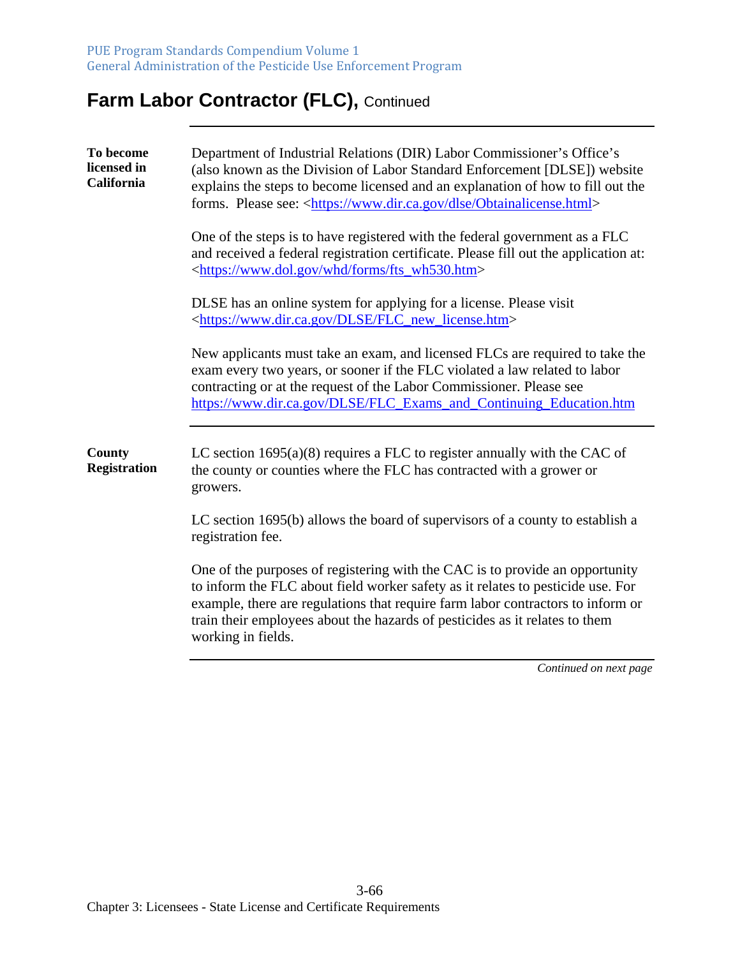# **Farm Labor Contractor (FLC), Continued**

| To become<br>licensed in<br>California | Department of Industrial Relations (DIR) Labor Commissioner's Office's<br>(also known as the Division of Labor Standard Enforcement [DLSE]) website<br>explains the steps to become licensed and an explanation of how to fill out the<br>forms. Please see: <https: dlse="" obtainalicense.html="" www.dir.ca.gov=""></https:>                         |  |
|----------------------------------------|---------------------------------------------------------------------------------------------------------------------------------------------------------------------------------------------------------------------------------------------------------------------------------------------------------------------------------------------------------|--|
|                                        | One of the steps is to have registered with the federal government as a FLC<br>and received a federal registration certificate. Please fill out the application at:<br><https: forms="" fts_wh530.htm="" whd="" www.dol.gov=""></https:>                                                                                                                |  |
|                                        | DLSE has an online system for applying for a license. Please visit<br><https: dlse="" flc_new_license.htm="" www.dir.ca.gov=""></https:>                                                                                                                                                                                                                |  |
|                                        | New applicants must take an exam, and licensed FLCs are required to take the<br>exam every two years, or sooner if the FLC violated a law related to labor<br>contracting or at the request of the Labor Commissioner. Please see<br>https://www.dir.ca.gov/DLSE/FLC_Exams_and_Continuing_Education.htm                                                 |  |
| <b>County</b><br><b>Registration</b>   | LC section $1695(a)(8)$ requires a FLC to register annually with the CAC of<br>the county or counties where the FLC has contracted with a grower or<br>growers.                                                                                                                                                                                         |  |
|                                        | LC section 1695(b) allows the board of supervisors of a county to establish a<br>registration fee.                                                                                                                                                                                                                                                      |  |
|                                        | One of the purposes of registering with the CAC is to provide an opportunity<br>to inform the FLC about field worker safety as it relates to pesticide use. For<br>example, there are regulations that require farm labor contractors to inform or<br>train their employees about the hazards of pesticides as it relates to them<br>working in fields. |  |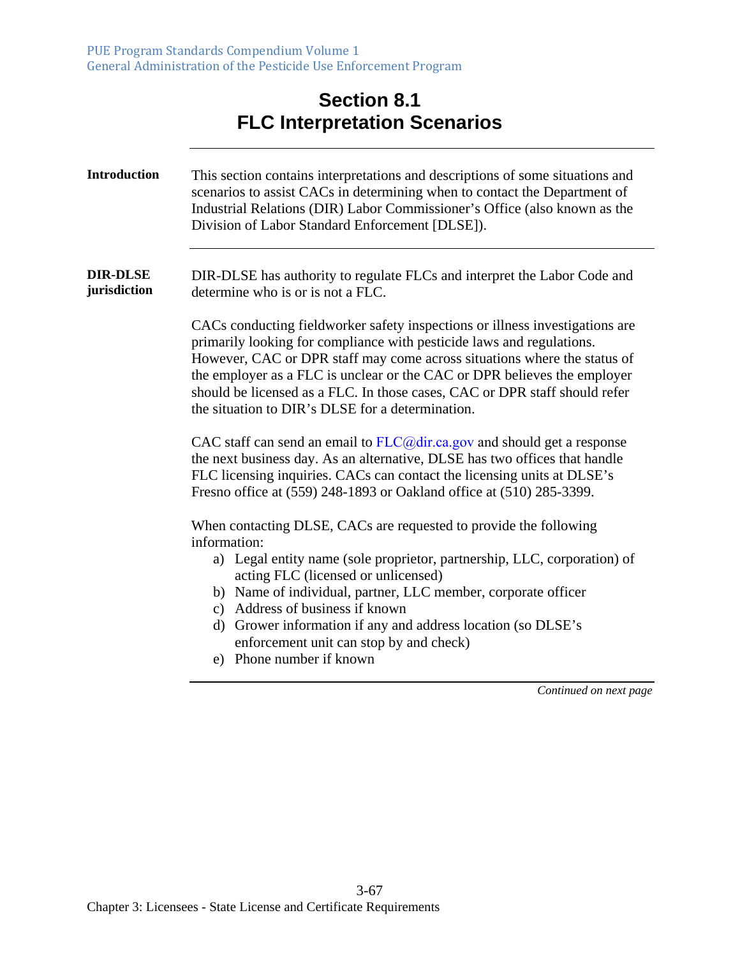## **Section 8.1 FLC Interpretation Scenarios**

| <b>Introduction</b>             | This section contains interpretations and descriptions of some situations and<br>scenarios to assist CACs in determining when to contact the Department of<br>Industrial Relations (DIR) Labor Commissioner's Office (also known as the<br>Division of Labor Standard Enforcement [DLSE]).                                                                                                                                                      |
|---------------------------------|-------------------------------------------------------------------------------------------------------------------------------------------------------------------------------------------------------------------------------------------------------------------------------------------------------------------------------------------------------------------------------------------------------------------------------------------------|
| <b>DIR-DLSE</b><br>jurisdiction | DIR-DLSE has authority to regulate FLCs and interpret the Labor Code and<br>determine who is or is not a FLC.                                                                                                                                                                                                                                                                                                                                   |
|                                 | CACs conducting fieldworker safety inspections or illness investigations are<br>primarily looking for compliance with pesticide laws and regulations.<br>However, CAC or DPR staff may come across situations where the status of<br>the employer as a FLC is unclear or the CAC or DPR believes the employer<br>should be licensed as a FLC. In those cases, CAC or DPR staff should refer<br>the situation to DIR's DLSE for a determination. |
|                                 | CAC staff can send an email to $FLC@dir.ca.gov$ and should get a response<br>the next business day. As an alternative, DLSE has two offices that handle<br>FLC licensing inquiries. CACs can contact the licensing units at DLSE's<br>Fresno office at (559) 248-1893 or Oakland office at (510) 285-3399.                                                                                                                                      |
|                                 | When contacting DLSE, CACs are requested to provide the following<br>information:<br>a) Legal entity name (sole proprietor, partnership, LLC, corporation) of<br>acting FLC (licensed or unlicensed)<br>b) Name of individual, partner, LLC member, corporate officer<br>c) Address of business if known<br>d) Grower information if any and address location (so DLSE's<br>enforcement unit can stop by and check)<br>e) Phone number if known |
|                                 | Continued on next page                                                                                                                                                                                                                                                                                                                                                                                                                          |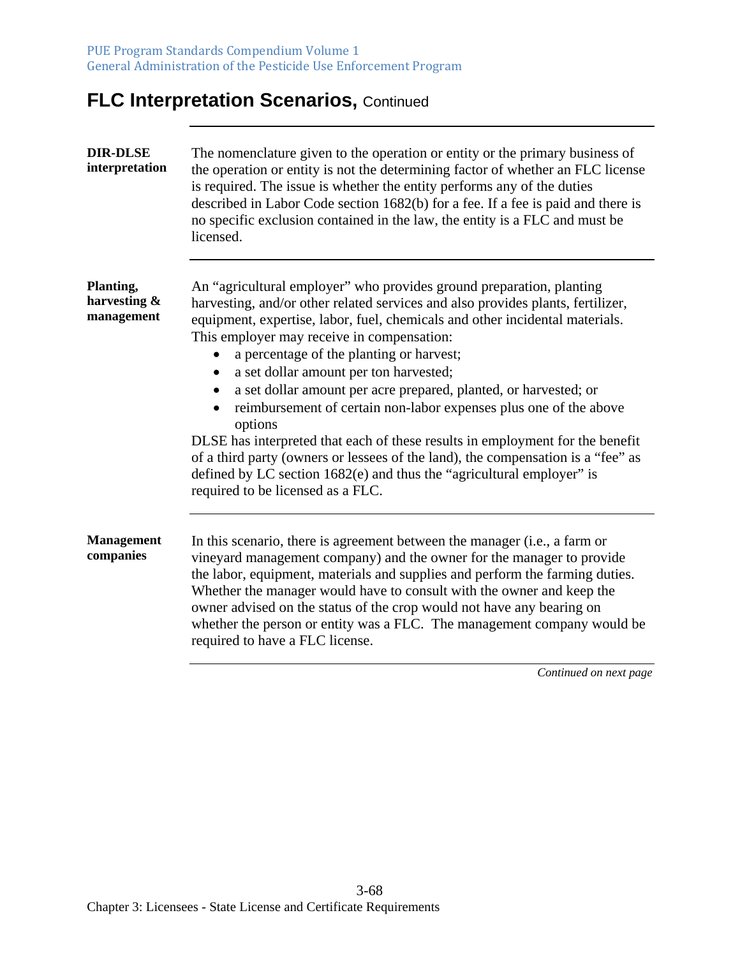# **FLC Interpretation Scenarios, Continued**

| <b>DIR-DLSE</b><br>interpretation       | The nomenclature given to the operation or entity or the primary business of<br>the operation or entity is not the determining factor of whether an FLC license<br>is required. The issue is whether the entity performs any of the duties<br>described in Labor Code section 1682(b) for a fee. If a fee is paid and there is<br>no specific exclusion contained in the law, the entity is a FLC and must be<br>licensed.                                                                                                                                                                                                                                                                                                                                                                                         |
|-----------------------------------------|--------------------------------------------------------------------------------------------------------------------------------------------------------------------------------------------------------------------------------------------------------------------------------------------------------------------------------------------------------------------------------------------------------------------------------------------------------------------------------------------------------------------------------------------------------------------------------------------------------------------------------------------------------------------------------------------------------------------------------------------------------------------------------------------------------------------|
| Planting,<br>harvesting &<br>management | An "agricultural employer" who provides ground preparation, planting<br>harvesting, and/or other related services and also provides plants, fertilizer,<br>equipment, expertise, labor, fuel, chemicals and other incidental materials.<br>This employer may receive in compensation:<br>a percentage of the planting or harvest;<br>a set dollar amount per ton harvested;<br>a set dollar amount per acre prepared, planted, or harvested; or<br>reimbursement of certain non-labor expenses plus one of the above<br>options<br>DLSE has interpreted that each of these results in employment for the benefit<br>of a third party (owners or lessees of the land), the compensation is a "fee" as<br>defined by LC section 1682(e) and thus the "agricultural employer" is<br>required to be licensed as a FLC. |
| <b>Management</b><br>companies          | In this scenario, there is agreement between the manager (i.e., a farm or<br>vineyard management company) and the owner for the manager to provide<br>the labor, equipment, materials and supplies and perform the farming duties.<br>Whether the manager would have to consult with the owner and keep the<br>owner advised on the status of the crop would not have any bearing on<br>whether the person or entity was a FLC. The management company would be<br>required to have a FLC license.                                                                                                                                                                                                                                                                                                                 |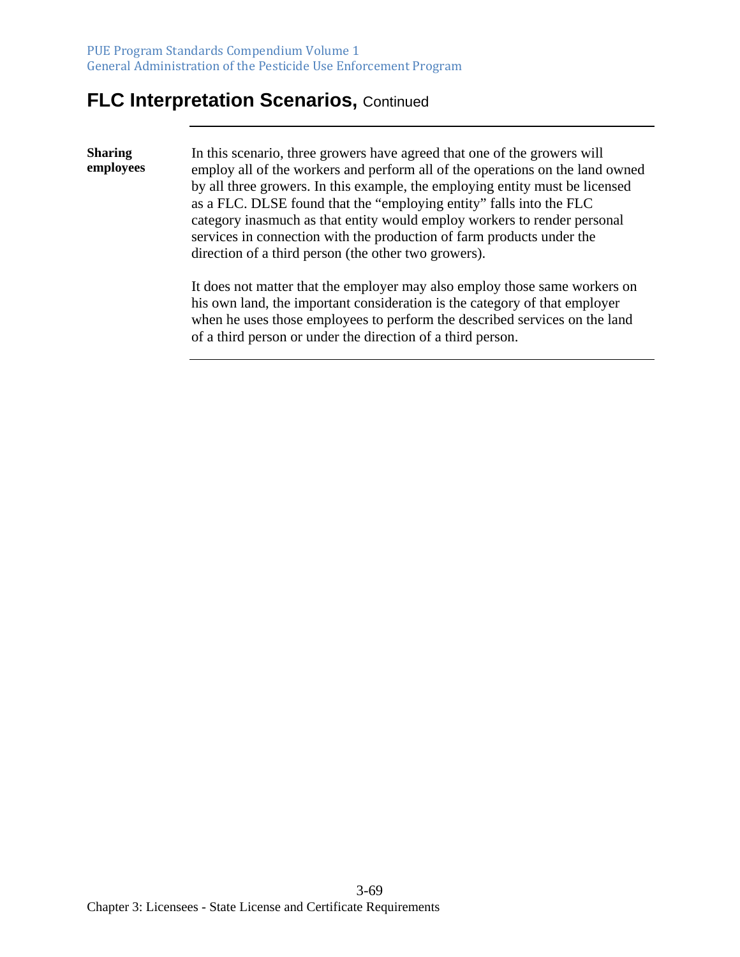#### **FLC Interpretation Scenarios, Continued**

**Sharing employees**  In this scenario, three growers have agreed that one of the growers will employ all of the workers and perform all of the operations on the land owned by all three growers. In this example, the employing entity must be licensed as a FLC. DLSE found that the "employing entity" falls into the FLC category inasmuch as that entity would employ workers to render personal services in connection with the production of farm products under the direction of a third person (the other two growers). It does not matter that the employer may also employ those same workers on

his own land, the important consideration is the category of that employer when he uses those employees to perform the described services on the land of a third person or under the direction of a third person.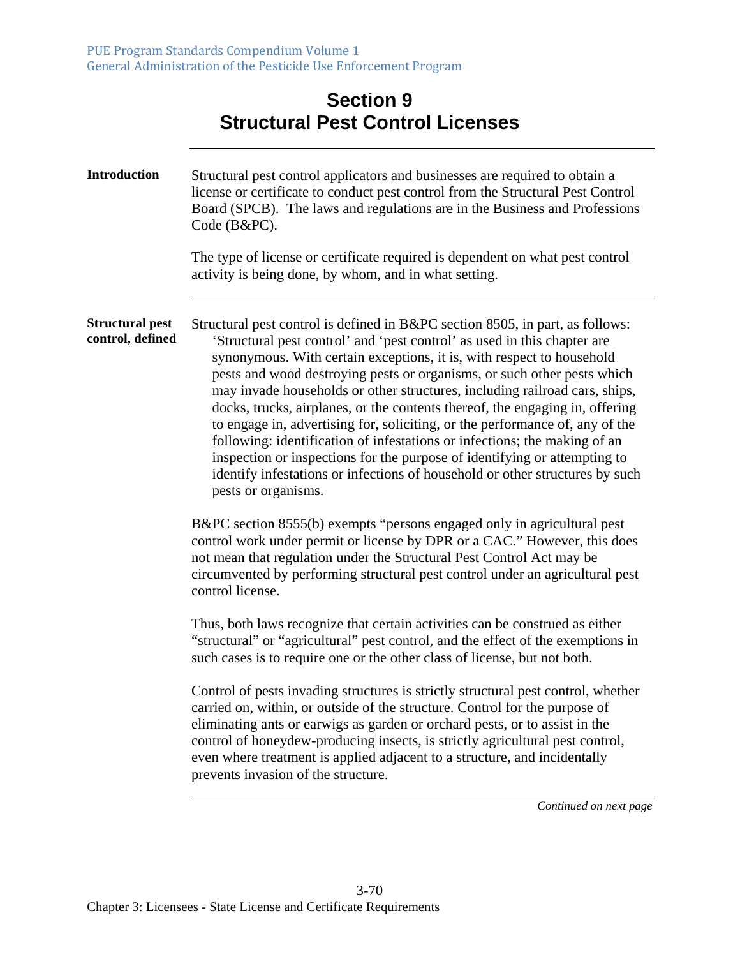| <b>Section 9</b>                        |  |  |
|-----------------------------------------|--|--|
| <b>Structural Pest Control Licenses</b> |  |  |

| <b>Introduction</b>                        | Structural pest control applicators and businesses are required to obtain a<br>license or certificate to conduct pest control from the Structural Pest Control<br>Board (SPCB). The laws and regulations are in the Business and Professions<br>Code (B&PC).<br>The type of license or certificate required is dependent on what pest control<br>activity is being done, by whom, and in what setting.                                                                                                                                                                                                                                                                                                                                                                                                                                                                                                                                                                                                                                                                                                                                                                                                                                                                                                                                                                                                                                                                                                                                                                                                                                                                                                                                                                                                                                                                      |  |
|--------------------------------------------|-----------------------------------------------------------------------------------------------------------------------------------------------------------------------------------------------------------------------------------------------------------------------------------------------------------------------------------------------------------------------------------------------------------------------------------------------------------------------------------------------------------------------------------------------------------------------------------------------------------------------------------------------------------------------------------------------------------------------------------------------------------------------------------------------------------------------------------------------------------------------------------------------------------------------------------------------------------------------------------------------------------------------------------------------------------------------------------------------------------------------------------------------------------------------------------------------------------------------------------------------------------------------------------------------------------------------------------------------------------------------------------------------------------------------------------------------------------------------------------------------------------------------------------------------------------------------------------------------------------------------------------------------------------------------------------------------------------------------------------------------------------------------------------------------------------------------------------------------------------------------------|--|
| <b>Structural pest</b><br>control, defined | Structural pest control is defined in B&PC section 8505, in part, as follows:<br>'Structural pest control' and 'pest control' as used in this chapter are<br>synonymous. With certain exceptions, it is, with respect to household<br>pests and wood destroying pests or organisms, or such other pests which<br>may invade households or other structures, including railroad cars, ships,<br>docks, trucks, airplanes, or the contents thereof, the engaging in, offering<br>to engage in, advertising for, soliciting, or the performance of, any of the<br>following: identification of infestations or infections; the making of an<br>inspection or inspections for the purpose of identifying or attempting to<br>identify infestations or infections of household or other structures by such<br>pests or organisms.<br>B&PC section 8555(b) exempts "persons engaged only in agricultural pest<br>control work under permit or license by DPR or a CAC." However, this does<br>not mean that regulation under the Structural Pest Control Act may be<br>circumvented by performing structural pest control under an agricultural pest<br>control license.<br>Thus, both laws recognize that certain activities can be construed as either<br>"structural" or "agricultural" pest control, and the effect of the exemptions in<br>such cases is to require one or the other class of license, but not both.<br>Control of pests invading structures is strictly structural pest control, whether<br>carried on, within, or outside of the structure. Control for the purpose of<br>eliminating ants or earwigs as garden or orchard pests, or to assist in the<br>control of honeydew-producing insects, is strictly agricultural pest control,<br>even where treatment is applied adjacent to a structure, and incidentally<br>prevents invasion of the structure. |  |
|                                            |                                                                                                                                                                                                                                                                                                                                                                                                                                                                                                                                                                                                                                                                                                                                                                                                                                                                                                                                                                                                                                                                                                                                                                                                                                                                                                                                                                                                                                                                                                                                                                                                                                                                                                                                                                                                                                                                             |  |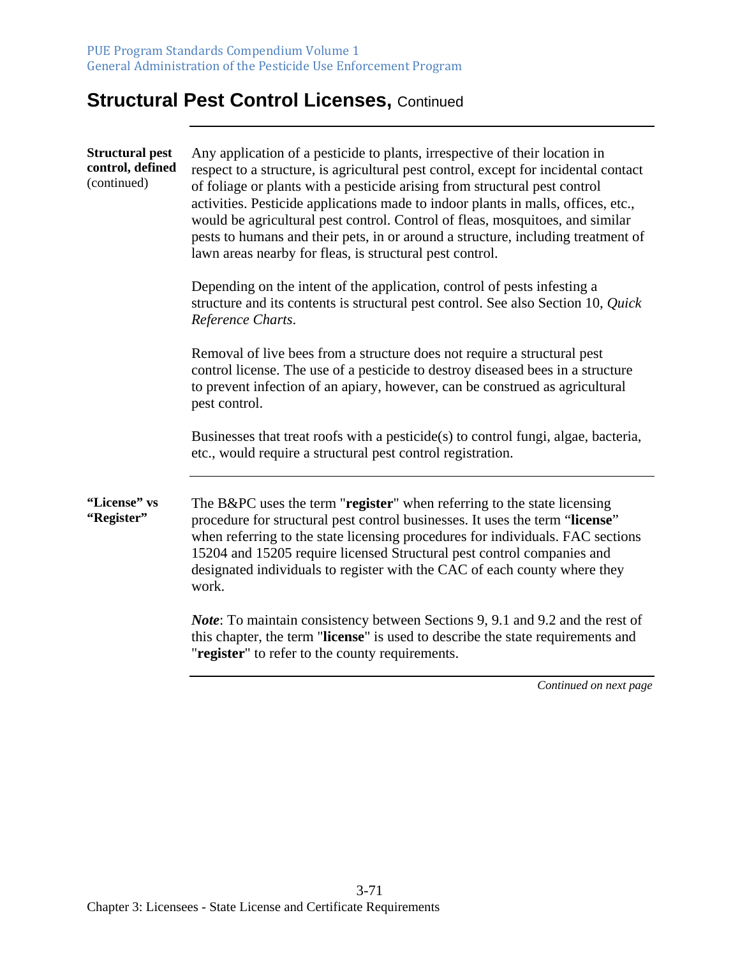## **Structural Pest Control Licenses, Continued**

| <b>Structural pest</b><br>control, defined<br>(continued)                                                                                         | Any application of a pesticide to plants, irrespective of their location in<br>respect to a structure, is agricultural pest control, except for incidental contact<br>of foliage or plants with a pesticide arising from structural pest control<br>activities. Pesticide applications made to indoor plants in malls, offices, etc.,<br>would be agricultural pest control. Control of fleas, mosquitoes, and similar<br>pests to humans and their pets, in or around a structure, including treatment of<br>lawn areas nearby for fleas, is structural pest control. |
|---------------------------------------------------------------------------------------------------------------------------------------------------|------------------------------------------------------------------------------------------------------------------------------------------------------------------------------------------------------------------------------------------------------------------------------------------------------------------------------------------------------------------------------------------------------------------------------------------------------------------------------------------------------------------------------------------------------------------------|
|                                                                                                                                                   | Depending on the intent of the application, control of pests infesting a<br>structure and its contents is structural pest control. See also Section 10, Quick<br>Reference Charts.                                                                                                                                                                                                                                                                                                                                                                                     |
|                                                                                                                                                   | Removal of live bees from a structure does not require a structural pest<br>control license. The use of a pesticide to destroy diseased bees in a structure<br>to prevent infection of an apiary, however, can be construed as agricultural<br>pest control.                                                                                                                                                                                                                                                                                                           |
| Businesses that treat roofs with a pesticide(s) to control fungi, algae, bacteria,<br>etc., would require a structural pest control registration. |                                                                                                                                                                                                                                                                                                                                                                                                                                                                                                                                                                        |
| "License" vs<br>"Register"                                                                                                                        | The B&PC uses the term "register" when referring to the state licensing<br>procedure for structural pest control businesses. It uses the term "license"<br>when referring to the state licensing procedures for individuals. FAC sections<br>15204 and 15205 require licensed Structural pest control companies and<br>designated individuals to register with the CAC of each county where they<br>work.                                                                                                                                                              |
|                                                                                                                                                   | <i>Note:</i> To maintain consistency between Sections 9, 9.1 and 9.2 and the rest of<br>this chapter, the term "license" is used to describe the state requirements and<br>"register" to refer to the county requirements.                                                                                                                                                                                                                                                                                                                                             |
|                                                                                                                                                   | Continued on next page                                                                                                                                                                                                                                                                                                                                                                                                                                                                                                                                                 |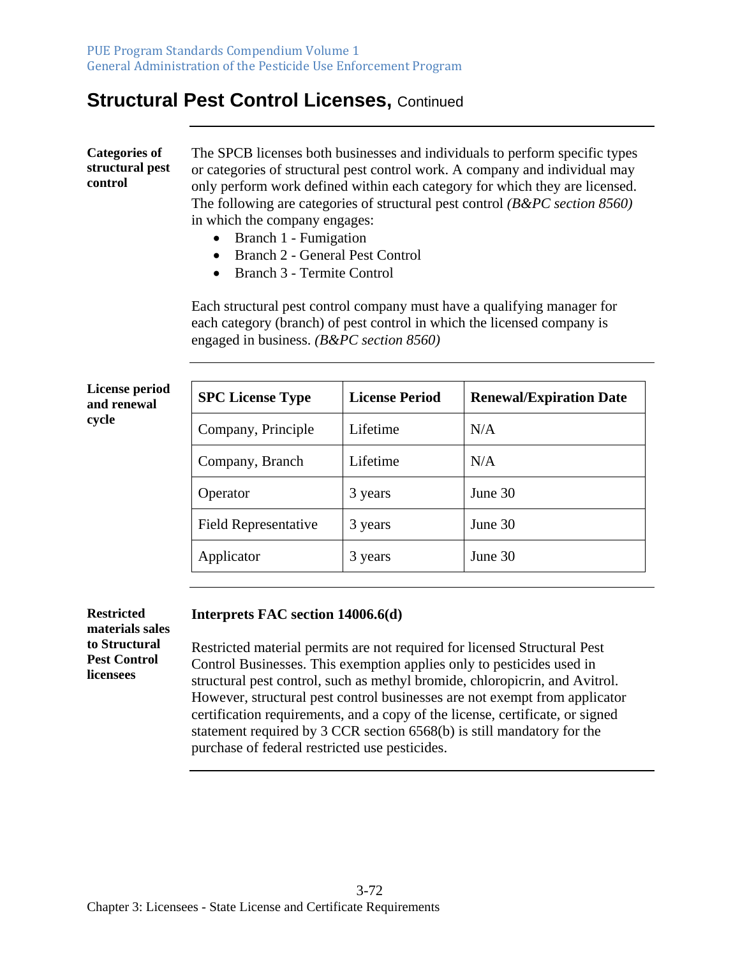#### **Structural Pest Control Licenses, Continued**

**Categories of structural pest control**  The SPCB licenses both businesses and individuals to perform specific types or categories of structural pest control work. A company and individual may only perform work defined within each category for which they are licensed. The following are categories of structural pest control *(B&PC section 8560)* in which the company engages:

- Branch 1 Fumigation
- Branch 2 General Pest Control
- Branch 3 Termite Control

Each structural pest control company must have a qualifying manager for each category (branch) of pest control in which the licensed company is engaged in business. *(B&PC section 8560)*

**License period and renewal cycle** 

| <b>SPC License Type</b>     | <b>License Period</b> | <b>Renewal/Expiration Date</b> |
|-----------------------------|-----------------------|--------------------------------|
| Company, Principle          | Lifetime              | N/A                            |
| Company, Branch             | Lifetime              | N/A                            |
| Operator                    | 3 years               | June 30                        |
| <b>Field Representative</b> | 3 years               | June 30                        |
| Applicator                  | 3 years               | June 30                        |

**Restricted materials sales to Structural Pest Control licensees** 

#### **Interprets FAC section 14006.6(d)**

Restricted material permits are not required for licensed Structural Pest Control Businesses. This exemption applies only to pesticides used in structural pest control, such as methyl bromide, chloropicrin, and Avitrol. However, structural pest control businesses are not exempt from applicator certification requirements, and a copy of the license, certificate, or signed statement required by 3 CCR section 6568(b) is still mandatory for the purchase of federal restricted use pesticides.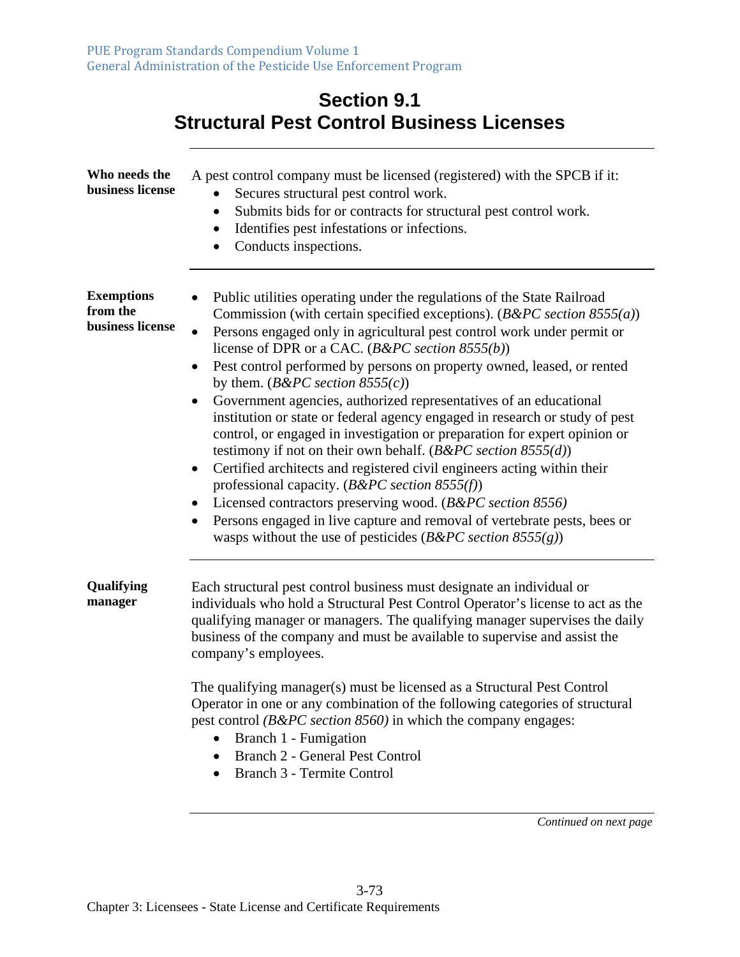| <b>Section 9.1</b><br><b>Structural Pest Control Business Licenses</b> |                                                                                                                                                                                                                                                                                                                                                                                                                                                                                                                                                                                                                                                                                                                                                                                                                                                                                                                                                                                                                                                                                                                      |  |  |  |  |
|------------------------------------------------------------------------|----------------------------------------------------------------------------------------------------------------------------------------------------------------------------------------------------------------------------------------------------------------------------------------------------------------------------------------------------------------------------------------------------------------------------------------------------------------------------------------------------------------------------------------------------------------------------------------------------------------------------------------------------------------------------------------------------------------------------------------------------------------------------------------------------------------------------------------------------------------------------------------------------------------------------------------------------------------------------------------------------------------------------------------------------------------------------------------------------------------------|--|--|--|--|
| Who needs the<br>business license                                      | A pest control company must be licensed (registered) with the SPCB if it:<br>Secures structural pest control work.<br>٠<br>Submits bids for or contracts for structural pest control work.<br>Identifies pest infestations or infections.<br>$\bullet$<br>Conducts inspections.                                                                                                                                                                                                                                                                                                                                                                                                                                                                                                                                                                                                                                                                                                                                                                                                                                      |  |  |  |  |
| <b>Exemptions</b><br>from the<br>business license                      | Public utilities operating under the regulations of the State Railroad<br>Commission (with certain specified exceptions). $(B\&PC\, section\ 8555(a))$<br>Persons engaged only in agricultural pest control work under permit or<br>$\bullet$<br>license of DPR or a CAC. ( $B\&PC$ section 8555(b))<br>Pest control performed by persons on property owned, leased, or rented<br>$\bullet$<br>by them. ( $B\&PC$ section 8555(c))<br>Government agencies, authorized representatives of an educational<br>٠<br>institution or state or federal agency engaged in research or study of pest<br>control, or engaged in investigation or preparation for expert opinion or<br>testimony if not on their own behalf. ( $B\&PC$ section 8555(d))<br>Certified architects and registered civil engineers acting within their<br>$\bullet$<br>professional capacity. ( $B\&PC$ section 8555(f))<br>Licensed contractors preserving wood. (B&PC section 8556)<br>Persons engaged in live capture and removal of vertebrate pests, bees or<br>$\bullet$<br>wasps without the use of pesticides ( $B\&PC$ section $8555(g)$ ) |  |  |  |  |
| Qualifying<br>manager                                                  | Each structural pest control business must designate an individual or<br>individuals who hold a Structural Pest Control Operator's license to act as the<br>qualifying manager or managers. The qualifying manager supervises the daily<br>business of the company and must be available to supervise and assist the<br>company's employees.<br>The qualifying manager(s) must be licensed as a Structural Pest Control<br>Operator in one or any combination of the following categories of structural<br>pest control (B&PC section 8560) in which the company engages:<br>Branch 1 - Fumigation<br>$\bullet$<br><b>Branch 2 - General Pest Control</b><br>٠<br>Branch 3 - Termite Control<br>$\bullet$                                                                                                                                                                                                                                                                                                                                                                                                            |  |  |  |  |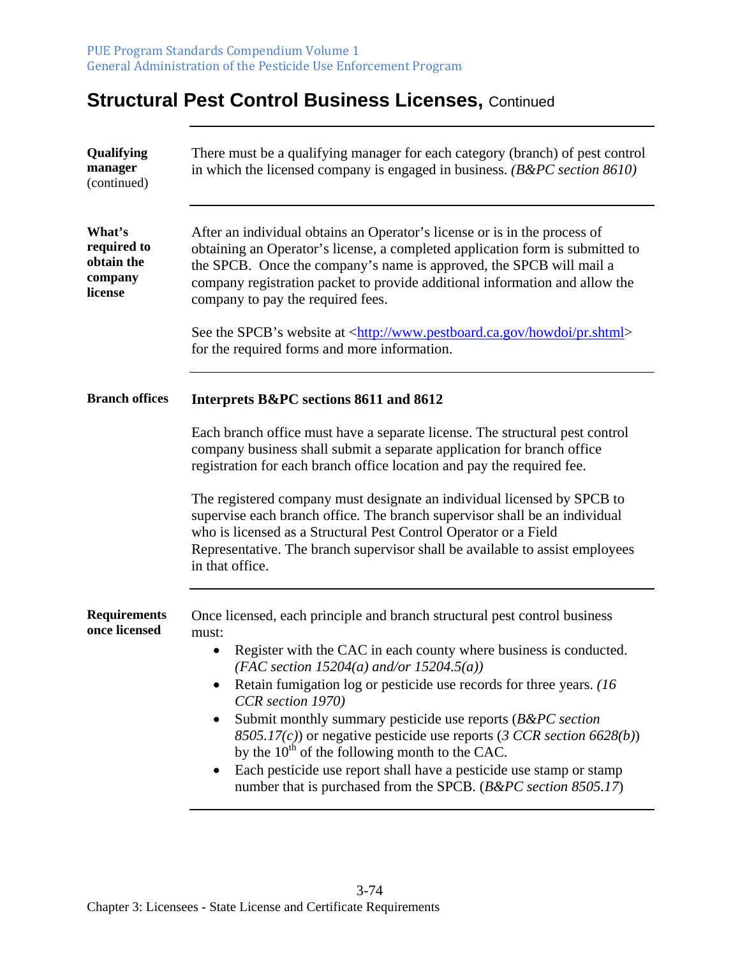# **Structural Pest Control Business Licenses, Continued**

| Qualifying<br>manager<br>(continued)                      | There must be a qualifying manager for each category (branch) of pest control<br>in which the licensed company is engaged in business. $(B\&PC\, section\,8610)$                                                                                                                                                                                      |  |  |  |  |
|-----------------------------------------------------------|-------------------------------------------------------------------------------------------------------------------------------------------------------------------------------------------------------------------------------------------------------------------------------------------------------------------------------------------------------|--|--|--|--|
| What's<br>required to<br>obtain the<br>company<br>license | After an individual obtains an Operator's license or is in the process of<br>obtaining an Operator's license, a completed application form is submitted to<br>the SPCB. Once the company's name is approved, the SPCB will mail a<br>company registration packet to provide additional information and allow the<br>company to pay the required fees. |  |  |  |  |
|                                                           | See the SPCB's website at <http: howdoi="" pr.shtml="" www.pestboard.ca.gov=""><br/>for the required forms and more information.</http:>                                                                                                                                                                                                              |  |  |  |  |
| <b>Branch offices</b>                                     | Interprets B&PC sections 8611 and 8612                                                                                                                                                                                                                                                                                                                |  |  |  |  |
|                                                           | Each branch office must have a separate license. The structural pest control<br>company business shall submit a separate application for branch office<br>registration for each branch office location and pay the required fee.                                                                                                                      |  |  |  |  |
|                                                           | The registered company must designate an individual licensed by SPCB to<br>supervise each branch office. The branch supervisor shall be an individual<br>who is licensed as a Structural Pest Control Operator or a Field<br>Representative. The branch supervisor shall be available to assist employees<br>in that office.                          |  |  |  |  |
| <b>Requirements</b><br>once licensed                      | Once licensed, each principle and branch structural pest control business<br>must:<br>Register with the CAC in each county where business is conducted.<br>$\bullet$<br>(FAC section 15204(a) and/or 15204.5(a))                                                                                                                                      |  |  |  |  |
|                                                           | Retain fumigation log or pesticide use records for three years. (16)<br>CCR section 1970)                                                                                                                                                                                                                                                             |  |  |  |  |
|                                                           | Submit monthly summary pesticide use reports (B&PC section<br>٠<br>8505.17(c)) or negative pesticide use reports (3 CCR section 6628(b))<br>by the $10^{th}$ of the following month to the CAC.                                                                                                                                                       |  |  |  |  |
|                                                           | Each pesticide use report shall have a pesticide use stamp or stamp<br>number that is purchased from the SPCB. (B&PC section 8505.17)                                                                                                                                                                                                                 |  |  |  |  |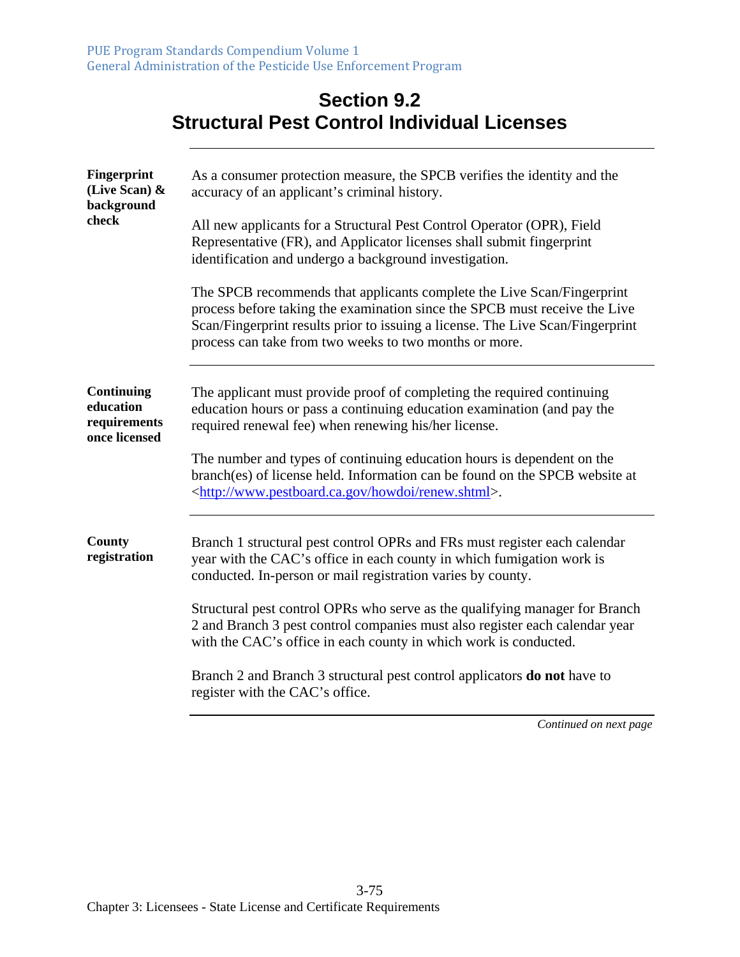### **Section 9.2 Structural Pest Control Individual Licenses**

| <b>Fingerprint</b><br>(Live Scan) &<br>background<br>check      | As a consumer protection measure, the SPCB verifies the identity and the<br>accuracy of an applicant's criminal history.                                                                                                                                                                         |  |  |  |  |
|-----------------------------------------------------------------|--------------------------------------------------------------------------------------------------------------------------------------------------------------------------------------------------------------------------------------------------------------------------------------------------|--|--|--|--|
|                                                                 | All new applicants for a Structural Pest Control Operator (OPR), Field<br>Representative (FR), and Applicator licenses shall submit fingerprint<br>identification and undergo a background investigation.                                                                                        |  |  |  |  |
|                                                                 | The SPCB recommends that applicants complete the Live Scan/Fingerprint<br>process before taking the examination since the SPCB must receive the Live<br>Scan/Fingerprint results prior to issuing a license. The Live Scan/Fingerprint<br>process can take from two weeks to two months or more. |  |  |  |  |
| <b>Continuing</b><br>education<br>requirements<br>once licensed | The applicant must provide proof of completing the required continuing<br>education hours or pass a continuing education examination (and pay the<br>required renewal fee) when renewing his/her license.                                                                                        |  |  |  |  |
|                                                                 | The number and types of continuing education hours is dependent on the<br>branch(es) of license held. Information can be found on the SPCB website at<br><http: howdoi="" renew.shtml="" www.pestboard.ca.gov="">.</http:>                                                                       |  |  |  |  |
| <b>County</b><br>registration                                   | Branch 1 structural pest control OPRs and FRs must register each calendar<br>year with the CAC's office in each county in which fumigation work is<br>conducted. In-person or mail registration varies by county.                                                                                |  |  |  |  |
|                                                                 | Structural pest control OPRs who serve as the qualifying manager for Branch<br>2 and Branch 3 pest control companies must also register each calendar year<br>with the CAC's office in each county in which work is conducted.                                                                   |  |  |  |  |
|                                                                 | Branch 2 and Branch 3 structural pest control applicators <b>do not</b> have to<br>register with the CAC's office.                                                                                                                                                                               |  |  |  |  |
|                                                                 | Continued on next page                                                                                                                                                                                                                                                                           |  |  |  |  |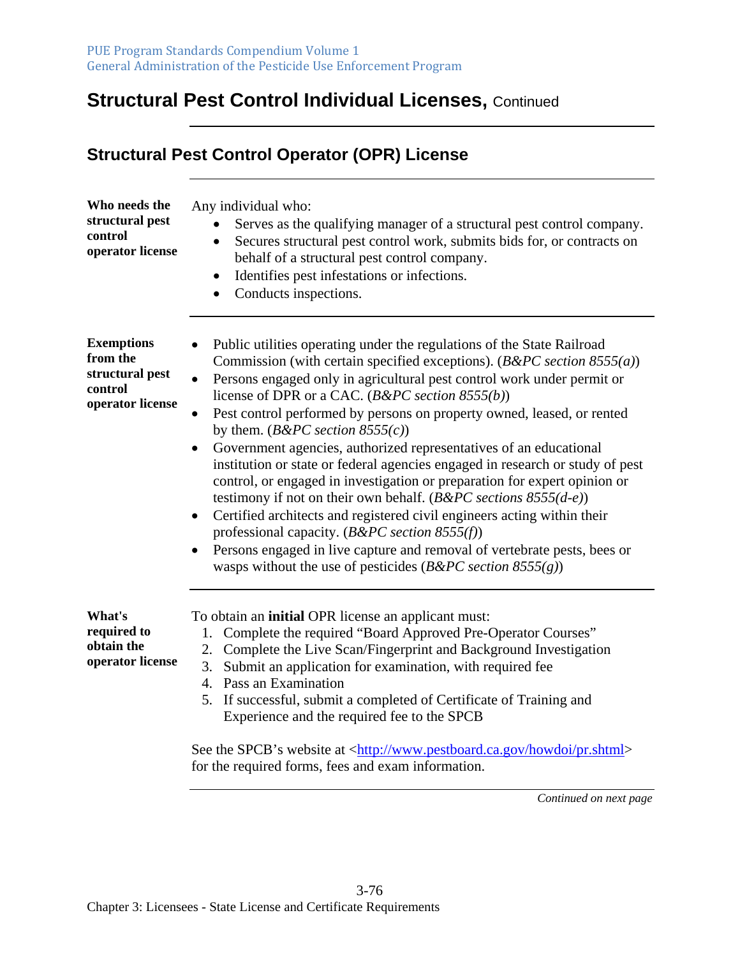**Structural Pest Control Operator (OPR) License** 

# **Structural Pest Control Individual Licenses,** Continued

| Who needs the<br>structural pest<br>control<br>operator license                 | Any individual who:<br>Serves as the qualifying manager of a structural pest control company.<br>Secures structural pest control work, submits bids for, or contracts on<br>٠<br>behalf of a structural pest control company.<br>Identifies pest infestations or infections.<br>$\bullet$<br>Conducts inspections.                                                                                                                                                                                                                                                                                                                                                                                                                                                                                                                                                                                                                                                                                                                                        |
|---------------------------------------------------------------------------------|-----------------------------------------------------------------------------------------------------------------------------------------------------------------------------------------------------------------------------------------------------------------------------------------------------------------------------------------------------------------------------------------------------------------------------------------------------------------------------------------------------------------------------------------------------------------------------------------------------------------------------------------------------------------------------------------------------------------------------------------------------------------------------------------------------------------------------------------------------------------------------------------------------------------------------------------------------------------------------------------------------------------------------------------------------------|
| <b>Exemptions</b><br>from the<br>structural pest<br>control<br>operator license | Public utilities operating under the regulations of the State Railroad<br>Commission (with certain specified exceptions). $(B\&PC\,section\,8555(a))$<br>Persons engaged only in agricultural pest control work under permit or<br>$\bullet$<br>license of DPR or a CAC. ( $B\&PC$ section 8555(b))<br>Pest control performed by persons on property owned, leased, or rented<br>by them. ( $B\&PC$ section 8555(c))<br>Government agencies, authorized representatives of an educational<br>$\bullet$<br>institution or state or federal agencies engaged in research or study of pest<br>control, or engaged in investigation or preparation for expert opinion or<br>testimony if not on their own behalf. ( $B\&PC$ sections $8555(d-e)$ )<br>Certified architects and registered civil engineers acting within their<br>$\bullet$<br>professional capacity. ( $B\&PC$ section 8555(f))<br>Persons engaged in live capture and removal of vertebrate pests, bees or<br>$\bullet$<br>wasps without the use of pesticides ( $B\&PC$ section $8555(g)$ ) |
| What's<br>required to<br>obtain the<br>operator license                         | To obtain an initial OPR license an applicant must:<br>Complete the required "Board Approved Pre-Operator Courses"<br>1.<br>2. Complete the Live Scan/Fingerprint and Background Investigation<br>Submit an application for examination, with required fee<br>3.<br>4. Pass an Examination<br>5. If successful, submit a completed of Certificate of Training and<br>Experience and the required fee to the SPCB<br>See the SPCB's website at <http: howdoi="" pr.shtml="" www.pestboard.ca.gov=""><br/>for the required forms, fees and exam information.</http:>                                                                                                                                                                                                                                                                                                                                                                                                                                                                                        |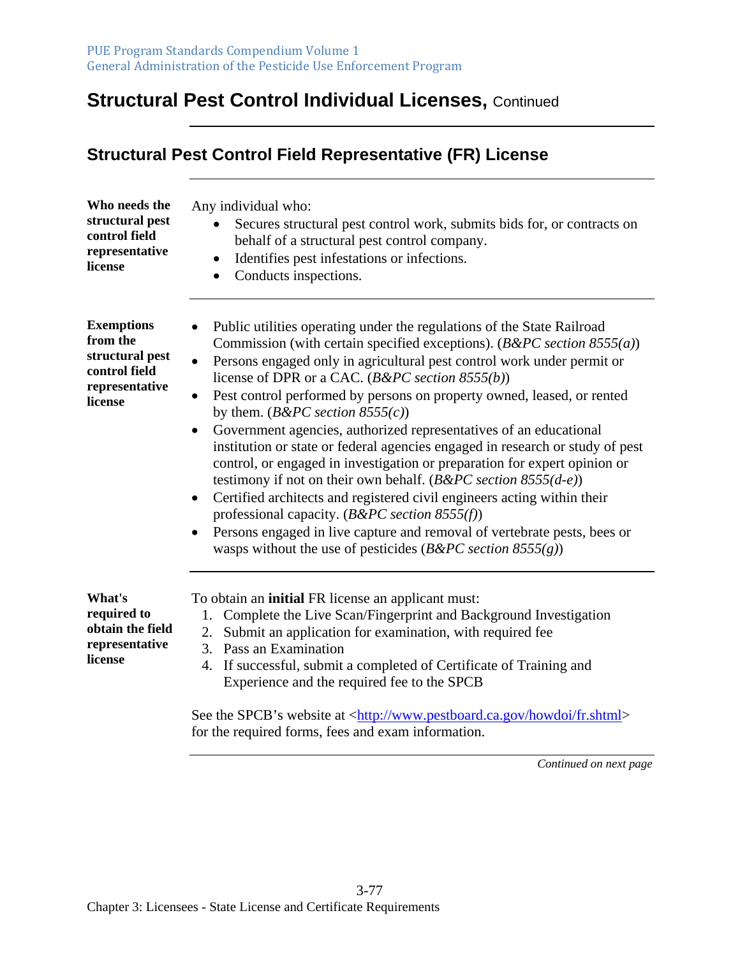# **Structural Pest Control Individual Licenses,** Continued

| Who needs the<br>structural pest<br>control field<br>representative<br>license                 | Any individual who:<br>Secures structural pest control work, submits bids for, or contracts on<br>behalf of a structural pest control company.<br>Identifies pest infestations or infections.<br>$\bullet$<br>Conducts inspections.<br>$\bullet$                                                                                                                                                                                                                                                                                                                                                                                                                                                                                                                                                                                                                                                                                                                                                                                                                          |  |  |  |  |  |
|------------------------------------------------------------------------------------------------|---------------------------------------------------------------------------------------------------------------------------------------------------------------------------------------------------------------------------------------------------------------------------------------------------------------------------------------------------------------------------------------------------------------------------------------------------------------------------------------------------------------------------------------------------------------------------------------------------------------------------------------------------------------------------------------------------------------------------------------------------------------------------------------------------------------------------------------------------------------------------------------------------------------------------------------------------------------------------------------------------------------------------------------------------------------------------|--|--|--|--|--|
| <b>Exemptions</b><br>from the<br>structural pest<br>control field<br>representative<br>license | Public utilities operating under the regulations of the State Railroad<br>Commission (with certain specified exceptions). $(B\&PC\, section\ 8555(a))$<br>Persons engaged only in agricultural pest control work under permit or<br>$\bullet$<br>license of DPR or a CAC. ( $B\&PC$ section 8555(b))<br>Pest control performed by persons on property owned, leased, or rented<br>$\bullet$<br>by them. ( $B\&PC$ section $8555(c)$ )<br>Government agencies, authorized representatives of an educational<br>$\bullet$<br>institution or state or federal agencies engaged in research or study of pest<br>control, or engaged in investigation or preparation for expert opinion or<br>testimony if not on their own behalf. ( $B\&PC$ section $8555(d-e)$ )<br>Certified architects and registered civil engineers acting within their<br>$\bullet$<br>professional capacity. ( $B\&PC$ section 8555(f))<br>Persons engaged in live capture and removal of vertebrate pests, bees or<br>$\bullet$<br>wasps without the use of pesticides ( $B\&PC$ section $8555(g)$ ) |  |  |  |  |  |
| What's<br>required to<br>obtain the field<br>representative<br>license                         | To obtain an <b>initial</b> FR license an applicant must:<br>Complete the Live Scan/Fingerprint and Background Investigation<br>1.<br>Submit an application for examination, with required fee<br>2.<br>Pass an Examination<br>3.<br>If successful, submit a completed of Certificate of Training and<br>4.<br>Experience and the required fee to the SPCB                                                                                                                                                                                                                                                                                                                                                                                                                                                                                                                                                                                                                                                                                                                |  |  |  |  |  |
|                                                                                                | See the SPCB's website at <http: fr.shtml="" howdoi="" www.pestboard.ca.gov=""></http:>                                                                                                                                                                                                                                                                                                                                                                                                                                                                                                                                                                                                                                                                                                                                                                                                                                                                                                                                                                                   |  |  |  |  |  |

for the required forms, fees and exam information.

**Structural Pest Control Field Representative (FR) License**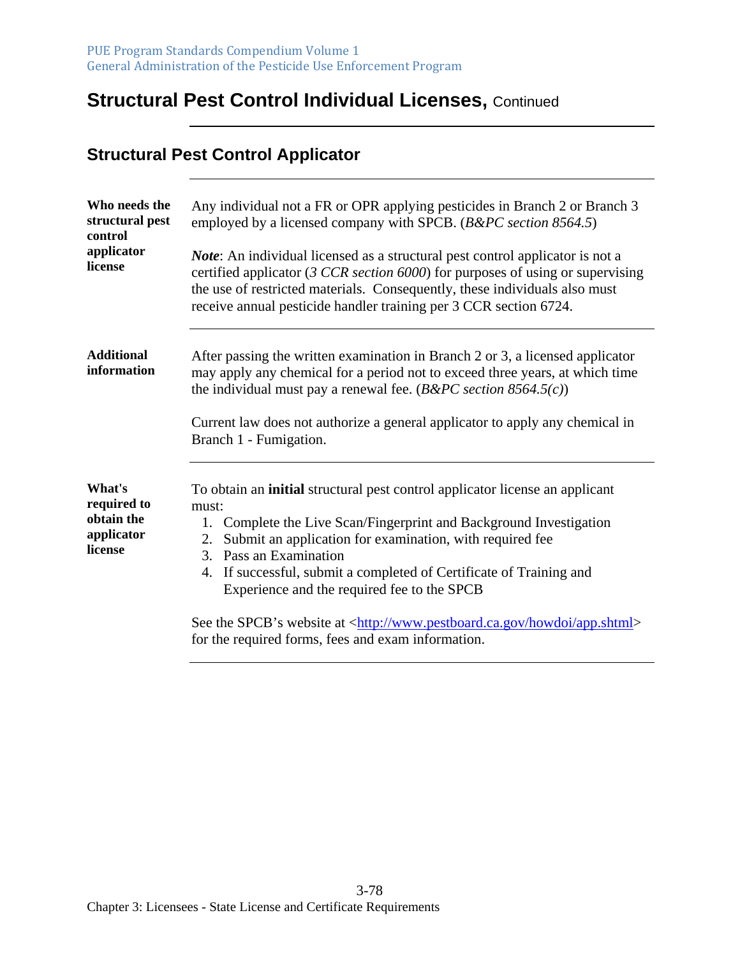# **Structural Pest Control Individual Licenses,** Continued

#### **Structural Pest Control Applicator**

| Who needs the<br>structural pest<br>control                  | Any individual not a FR or OPR applying pesticides in Branch 2 or Branch 3<br>employed by a licensed company with SPCB. (B&PC section 8564.5)                                                                                                                                                                                                                                          |  |  |  |  |
|--------------------------------------------------------------|----------------------------------------------------------------------------------------------------------------------------------------------------------------------------------------------------------------------------------------------------------------------------------------------------------------------------------------------------------------------------------------|--|--|--|--|
| applicator<br>license                                        | <i>Note</i> : An individual licensed as a structural pest control applicator is not a<br>certified applicator (3 CCR section $6000$ ) for purposes of using or supervising<br>the use of restricted materials. Consequently, these individuals also must<br>receive annual pesticide handler training per 3 CCR section 6724.                                                          |  |  |  |  |
| <b>Additional</b><br>information                             | After passing the written examination in Branch 2 or 3, a licensed applicator<br>may apply any chemical for a period not to exceed three years, at which time<br>the individual must pay a renewal fee. $(B\&PC\; section\;8564.5(c))$<br>Current law does not authorize a general applicator to apply any chemical in<br>Branch 1 - Fumigation.                                       |  |  |  |  |
| What's<br>required to<br>obtain the<br>applicator<br>license | To obtain an initial structural pest control applicator license an applicant<br>must:<br>Complete the Live Scan/Fingerprint and Background Investigation<br>1.<br>Submit an application for examination, with required fee<br>2.<br>Pass an Examination<br>3.<br>If successful, submit a completed of Certificate of Training and<br>4.<br>Experience and the required fee to the SPCB |  |  |  |  |
|                                                              | See the SPCB's website at <http: app.shtml="" howdoi="" www.pestboard.ca.gov=""><br/>for the required forms, fees and exam information.</http:>                                                                                                                                                                                                                                        |  |  |  |  |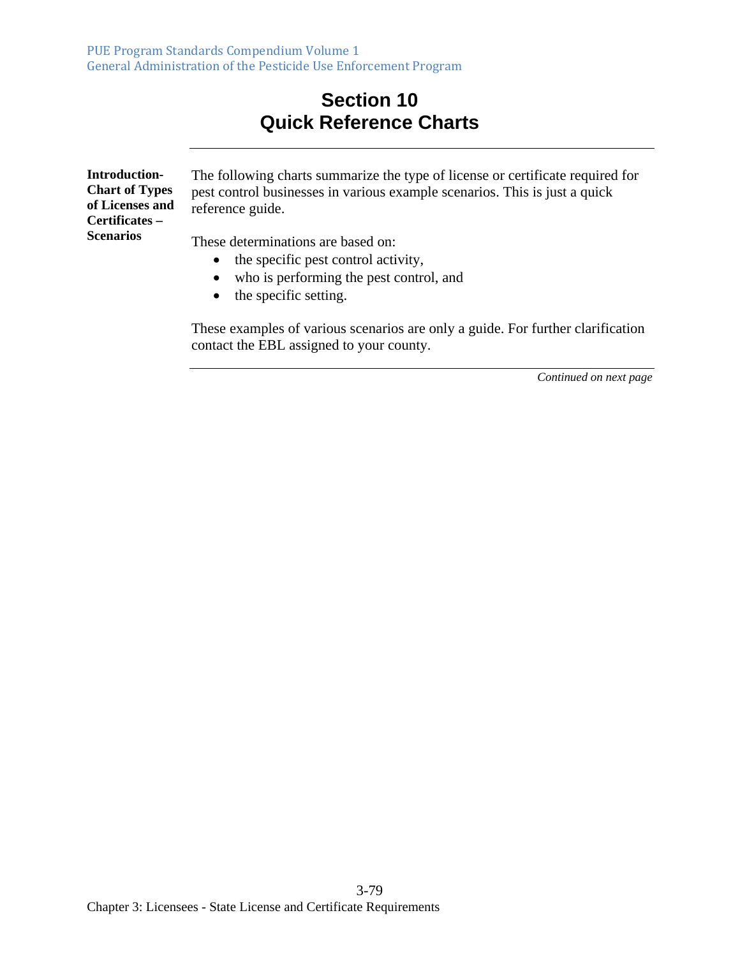### **Section 10 Quick Reference Charts**

| Introduction-<br><b>Chart of Types</b><br>of Licenses and<br>Certificates – | The following charts summarize the type of license or certificate required for<br>pest control businesses in various example scenarios. This is just a quick<br>reference guide. |
|-----------------------------------------------------------------------------|----------------------------------------------------------------------------------------------------------------------------------------------------------------------------------|
| <b>Scenarios</b>                                                            | These determinations are based on:<br>$\bullet$ the specific pest control activity,                                                                                              |

- who is performing the pest control, and
- the specific setting.

These examples of various scenarios are only a guide. For further clarification contact the EBL assigned to your county.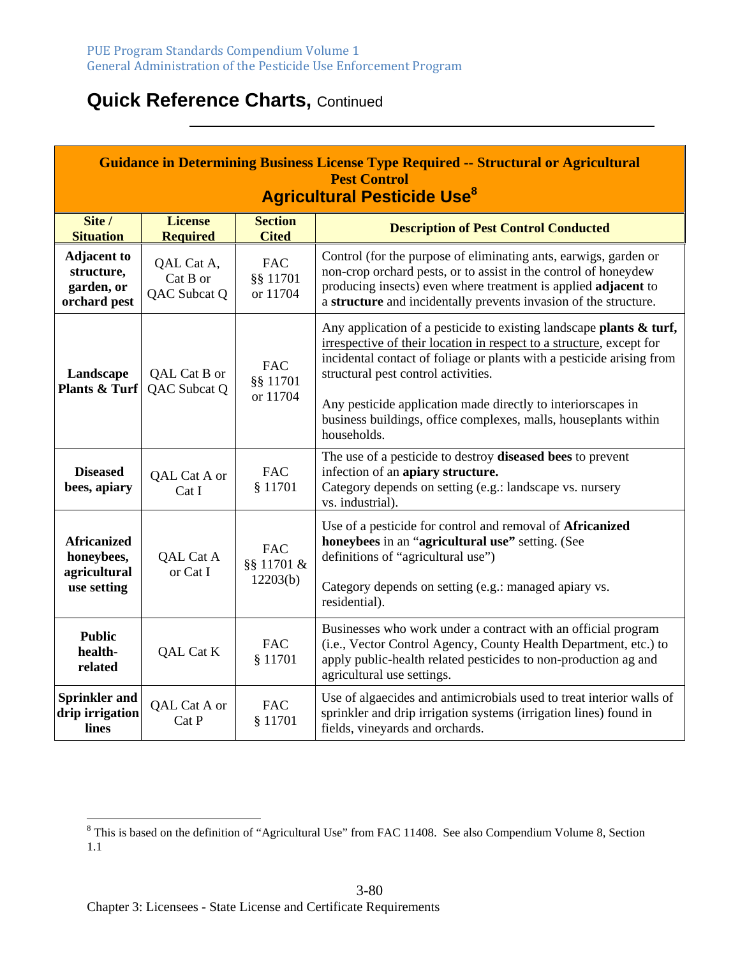| <b>Guidance in Determining Business License Type Required -- Structural or Agricultural</b><br><b>Pest Control</b><br><b>Agricultural Pesticide Use<sup>8</sup></b> |                                        |                                      |                                                                                                                                                                                                                                                                                                                                                                                                                  |
|---------------------------------------------------------------------------------------------------------------------------------------------------------------------|----------------------------------------|--------------------------------------|------------------------------------------------------------------------------------------------------------------------------------------------------------------------------------------------------------------------------------------------------------------------------------------------------------------------------------------------------------------------------------------------------------------|
| Site /<br><b>Situation</b>                                                                                                                                          | <b>License</b><br><b>Required</b>      | <b>Section</b><br><b>Cited</b>       | <b>Description of Pest Control Conducted</b>                                                                                                                                                                                                                                                                                                                                                                     |
| <b>Adjacent to</b><br>structure,<br>garden, or<br>orchard pest                                                                                                      | QAL Cat A,<br>Cat B or<br>QAC Subcat Q | <b>FAC</b><br>§§ 11701<br>or 11704   | Control (for the purpose of eliminating ants, earwigs, garden or<br>non-crop orchard pests, or to assist in the control of honeydew<br>producing insects) even where treatment is applied adjacent to<br>a structure and incidentally prevents invasion of the structure.                                                                                                                                        |
| Landscape<br><b>Plants &amp; Turf</b>                                                                                                                               | QAL Cat B or<br>QAC Subcat Q           | <b>FAC</b><br>§§ 11701<br>or 11704   | Any application of a pesticide to existing landscape plants $\&$ turf,<br>irrespective of their location in respect to a structure, except for<br>incidental contact of foliage or plants with a pesticide arising from<br>structural pest control activities.<br>Any pesticide application made directly to interiorscapes in<br>business buildings, office complexes, malls, houseplants within<br>households. |
| <b>Diseased</b><br>bees, apiary                                                                                                                                     | QAL Cat A or<br>Cat I                  | <b>FAC</b><br>§ 11701                | The use of a pesticide to destroy diseased bees to prevent<br>infection of an apiary structure.<br>Category depends on setting (e.g.: landscape vs. nursery<br>vs. industrial).                                                                                                                                                                                                                                  |
| <b>Africanized</b><br>honeybees,<br>agricultural<br>use setting                                                                                                     | QAL Cat A<br>or Cat I                  | <b>FAC</b><br>§§ 11701 &<br>12203(b) | Use of a pesticide for control and removal of Africanized<br>honeybees in an "agricultural use" setting. (See<br>definitions of "agricultural use")<br>Category depends on setting (e.g.: managed apiary vs.<br>residential).                                                                                                                                                                                    |
| <b>Public</b><br>health-<br>related                                                                                                                                 | QAL Cat K                              | <b>FAC</b><br>§ 11701                | Businesses who work under a contract with an official program<br>(i.e., Vector Control Agency, County Health Department, etc.) to<br>apply public-health related pesticides to non-production ag and<br>agricultural use settings.                                                                                                                                                                               |
| <b>Sprinkler and</b><br>drip irrigation<br>lines                                                                                                                    | QAL Cat A or<br>Cat P                  | <b>FAC</b><br>§ 11701                | Use of algaecides and antimicrobials used to treat interior walls of<br>sprinkler and drip irrigation systems (irrigation lines) found in<br>fields, vineyards and orchards.                                                                                                                                                                                                                                     |

<sup>&</sup>lt;sup>8</sup> This is based on the definition of "Agricultural Use" from FAC 11408. See also Compendium Volume 8, Section 1.1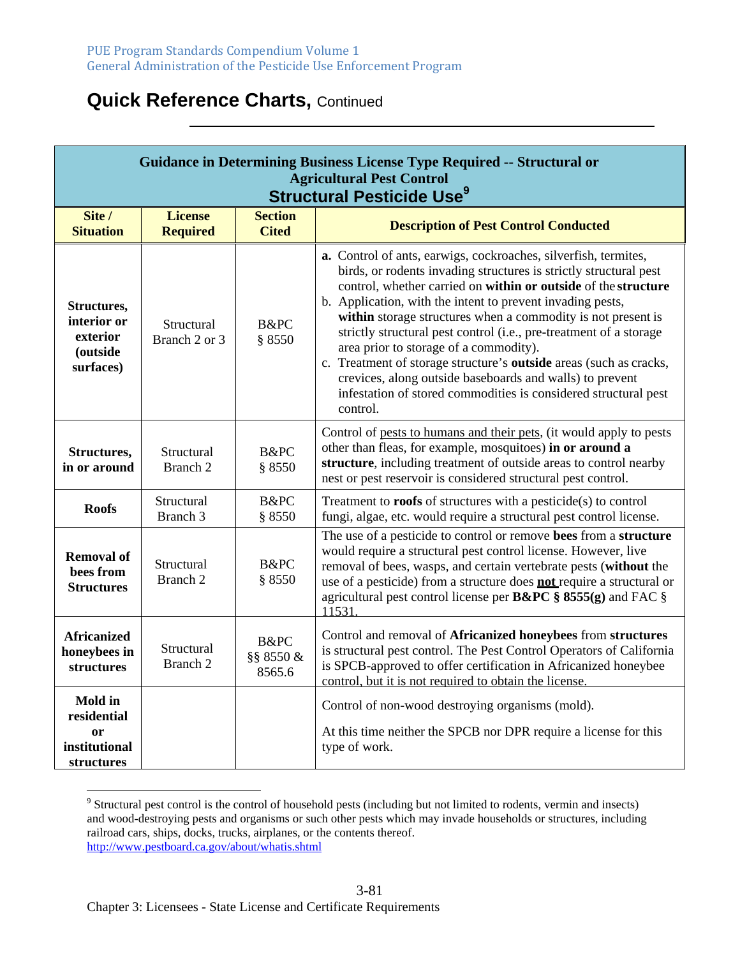| <b>Guidance in Determining Business License Type Required -- Structural or</b><br><b>Agricultural Pest Control</b><br><b>Structural Pesticide Use<sup>9</sup></b> |                                   |                                |                                                                                                                                                                                                                                                                                                                                                                                                                                                                                                                                                                                                                                                                       |
|-------------------------------------------------------------------------------------------------------------------------------------------------------------------|-----------------------------------|--------------------------------|-----------------------------------------------------------------------------------------------------------------------------------------------------------------------------------------------------------------------------------------------------------------------------------------------------------------------------------------------------------------------------------------------------------------------------------------------------------------------------------------------------------------------------------------------------------------------------------------------------------------------------------------------------------------------|
| Site /<br><b>Situation</b>                                                                                                                                        | <b>License</b><br><b>Required</b> | <b>Section</b><br><b>Cited</b> | <b>Description of Pest Control Conducted</b>                                                                                                                                                                                                                                                                                                                                                                                                                                                                                                                                                                                                                          |
| Structures,<br>interior or<br>exterior<br><i>(outside)</i><br>surfaces)                                                                                           | Structural<br>Branch 2 or 3       | B&PC<br>\$8550                 | a. Control of ants, earwigs, cockroaches, silverfish, termites,<br>birds, or rodents invading structures is strictly structural pest<br>control, whether carried on within or outside of the structure<br>b. Application, with the intent to prevent invading pests,<br>within storage structures when a commodity is not present is<br>strictly structural pest control (i.e., pre-treatment of a storage<br>area prior to storage of a commodity).<br>c. Treatment of storage structure's outside areas (such as cracks,<br>crevices, along outside baseboards and walls) to prevent<br>infestation of stored commodities is considered structural pest<br>control. |
| Structures,<br>in or around                                                                                                                                       | Structural<br>Branch 2            | B&PC<br>§ 8550                 | Control of pests to humans and their pets, (it would apply to pests<br>other than fleas, for example, mosquitoes) in or around a<br>structure, including treatment of outside areas to control nearby<br>nest or pest reservoir is considered structural pest control.                                                                                                                                                                                                                                                                                                                                                                                                |
| <b>Roofs</b>                                                                                                                                                      | Structural<br>Branch 3            | B&PC<br>§ 8550                 | Treatment to <b>roofs</b> of structures with a pesticide(s) to control<br>fungi, algae, etc. would require a structural pest control license.                                                                                                                                                                                                                                                                                                                                                                                                                                                                                                                         |
| <b>Removal of</b><br>bees from<br><b>Structures</b>                                                                                                               | Structural<br>Branch 2            | B&PC<br>§ 8550                 | The use of a pesticide to control or remove bees from a structure<br>would require a structural pest control license. However, live<br>removal of bees, wasps, and certain vertebrate pests (without the<br>use of a pesticide) from a structure does <b>not</b> require a structural or<br>agricultural pest control license per B&PC § 8555(g) and FAC §<br>11531.                                                                                                                                                                                                                                                                                                  |
| <b>Africanized</b><br>honeybees in<br>structures                                                                                                                  | Structural<br>Branch <sub>2</sub> | B&PC<br>§§ 8550 &<br>8565.6    | Control and removal of Africanized honeybees from structures<br>is structural pest control. The Pest Control Operators of California<br>is SPCB-approved to offer certification in Africanized honeybee<br>control, but it is not required to obtain the license.                                                                                                                                                                                                                                                                                                                                                                                                     |
| <b>Mold</b> in<br>residential<br>or<br>institutional<br>structures                                                                                                |                                   |                                | Control of non-wood destroying organisms (mold).<br>At this time neither the SPCB nor DPR require a license for this<br>type of work.                                                                                                                                                                                                                                                                                                                                                                                                                                                                                                                                 |

 $9$  Structural pest control is the control of household pests (including but not limited to rodents, vermin and insects) and wood-destroying pests and organisms or such other pests which may invade households or structures, including railroad cars, ships, docks, trucks, airplanes, or the contents thereof. http://www.pestboard.ca.gov/about/whatis.shtml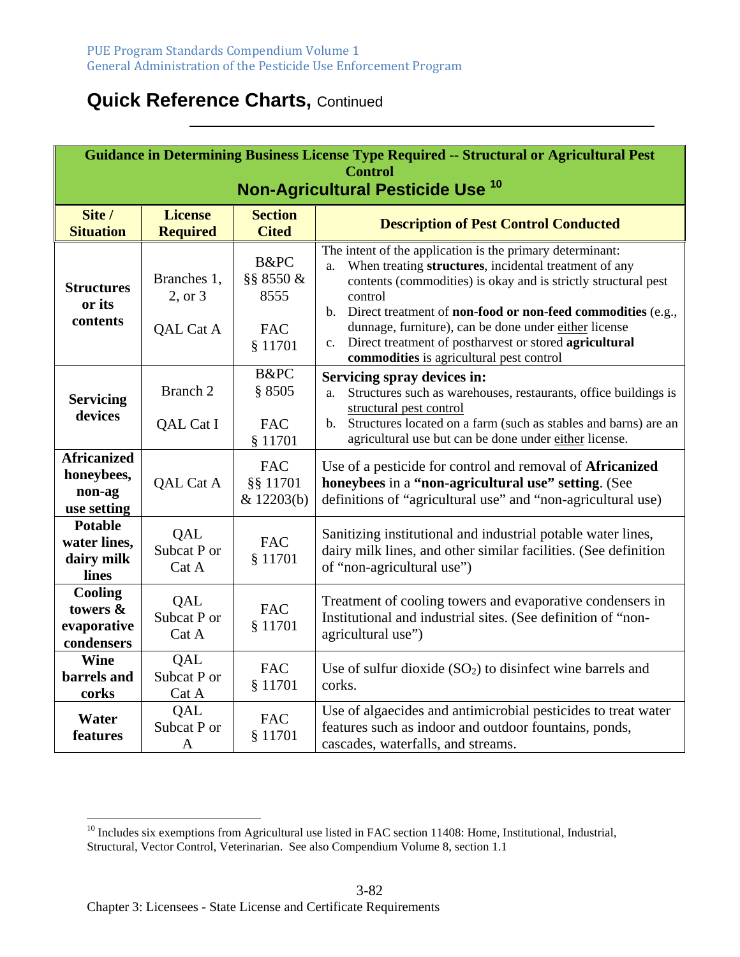| Guidance in Determining Business License Type Required -- Structural or Agricultural Pest<br><b>Control</b><br>Non-Agricultural Pesticide Use <sup>10</sup> |                                     |                                                    |                                                                                                                                                                                                                                                                                                                                                                                                                                                     |
|-------------------------------------------------------------------------------------------------------------------------------------------------------------|-------------------------------------|----------------------------------------------------|-----------------------------------------------------------------------------------------------------------------------------------------------------------------------------------------------------------------------------------------------------------------------------------------------------------------------------------------------------------------------------------------------------------------------------------------------------|
| Site /<br><b>Situation</b>                                                                                                                                  | <b>License</b><br><b>Required</b>   | <b>Section</b><br><b>Cited</b>                     | <b>Description of Pest Control Conducted</b>                                                                                                                                                                                                                                                                                                                                                                                                        |
| <b>Structures</b><br>or its<br>contents                                                                                                                     | Branches 1,<br>2, or 3<br>QAL Cat A | B&PC<br>§§ 8550 &<br>8555<br><b>FAC</b><br>§ 11701 | The intent of the application is the primary determinant:<br>When treating structures, incidental treatment of any<br>a.<br>contents (commodities) is okay and is strictly structural pest<br>control<br>b. Direct treatment of <b>non-food or non-feed commodities</b> (e.g.,<br>dunnage, furniture), can be done under either license<br>Direct treatment of postharvest or stored agricultural<br>c.<br>commodities is agricultural pest control |
| <b>Servicing</b><br>devices                                                                                                                                 | Branch 2<br>QAL Cat I               | B&PC<br>\$8505<br><b>FAC</b><br>§ 11701            | Servicing spray devices in:<br>Structures such as warehouses, restaurants, office buildings is<br>a.<br>structural pest control<br>b. Structures located on a farm (such as stables and barns) are an<br>agricultural use but can be done under either license.                                                                                                                                                                                     |
| <b>Africanized</b><br>honeybees,<br>non-ag<br>use setting                                                                                                   | QAL Cat A                           | <b>FAC</b><br>§§ 11701<br>& 12203(b)               | Use of a pesticide for control and removal of <b>Africanized</b><br>honeybees in a "non-agricultural use" setting. (See<br>definitions of "agricultural use" and "non-agricultural use)                                                                                                                                                                                                                                                             |
| <b>Potable</b><br>water lines,<br>dairy milk<br>lines                                                                                                       | QAL<br>Subcat P or<br>Cat A         | <b>FAC</b><br>§ 11701                              | Sanitizing institutional and industrial potable water lines,<br>dairy milk lines, and other similar facilities. (See definition<br>of "non-agricultural use")                                                                                                                                                                                                                                                                                       |
| Cooling<br>towers &<br>evaporative<br>condensers                                                                                                            | QAL<br>Subcat P or<br>Cat A         | <b>FAC</b><br>§ 11701                              | Treatment of cooling towers and evaporative condensers in<br>Institutional and industrial sites. (See definition of "non-<br>agricultural use")                                                                                                                                                                                                                                                                                                     |
| <b>Wine</b><br>barrels and<br>corks                                                                                                                         | QAL<br>Subcat P or<br>Cat A         | <b>FAC</b><br>§ 11701                              | Use of sulfur dioxide $(SO2)$ to disinfect wine barrels and<br>corks.                                                                                                                                                                                                                                                                                                                                                                               |
| Water<br>features                                                                                                                                           | QAL<br>Subcat P or<br>$\mathbf{A}$  | <b>FAC</b><br>§ 11701                              | Use of algaecides and antimicrobial pesticides to treat water<br>features such as indoor and outdoor fountains, ponds,<br>cascades, waterfalls, and streams.                                                                                                                                                                                                                                                                                        |

<sup>&</sup>lt;sup>10</sup> Includes six exemptions from Agricultural use listed in FAC section 11408: Home, Institutional, Industrial, Structural, Vector Control, Veterinarian. See also Compendium Volume 8, section 1.1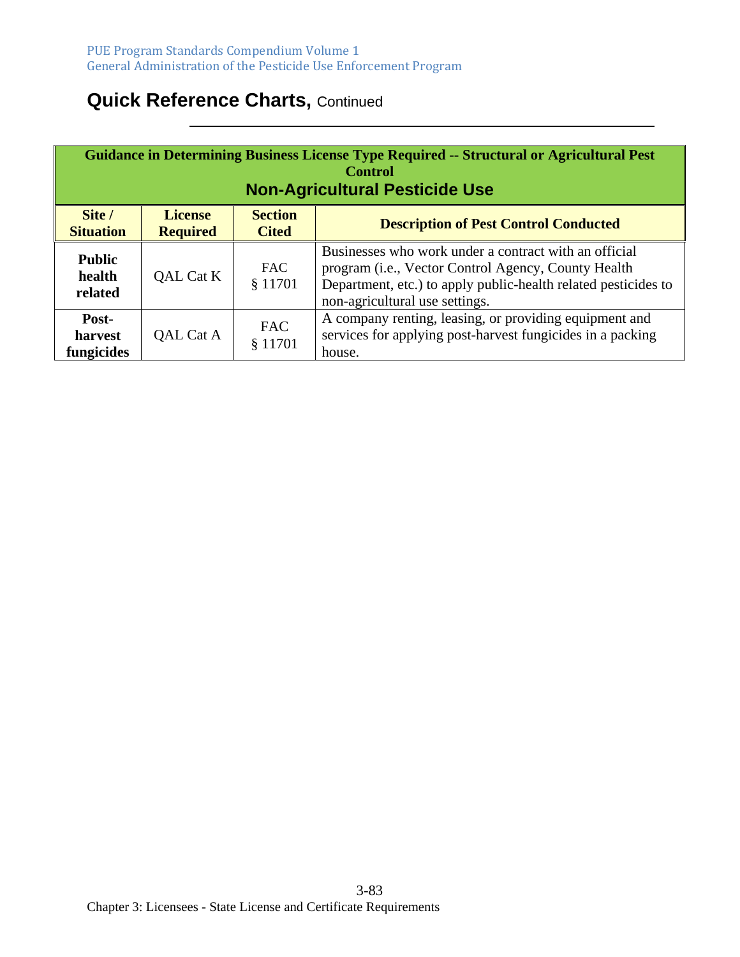| Guidance in Determining Business License Type Required -- Structural or Agricultural Pest<br><b>Control</b><br><b>Non-Agricultural Pesticide Use</b> |                                   |                                |                                                                                                                                                                                                                           |
|------------------------------------------------------------------------------------------------------------------------------------------------------|-----------------------------------|--------------------------------|---------------------------------------------------------------------------------------------------------------------------------------------------------------------------------------------------------------------------|
| Site /<br><b>Situation</b>                                                                                                                           | <b>License</b><br><b>Required</b> | <b>Section</b><br><b>Cited</b> | <b>Description of Pest Control Conducted</b>                                                                                                                                                                              |
| <b>Public</b><br>health<br>related                                                                                                                   | QAL Cat K                         | <b>FAC</b><br>\$11701          | Businesses who work under a contract with an official<br>program ( <i>i.e.</i> , Vector Control Agency, County Health<br>Department, etc.) to apply public-health related pesticides to<br>non-agricultural use settings. |
| Post-<br>harvest<br>fungicides                                                                                                                       | QAL Cat A                         | <b>FAC</b><br>§ 11701          | A company renting, leasing, or providing equipment and<br>services for applying post-harvest fungicides in a packing<br>house.                                                                                            |